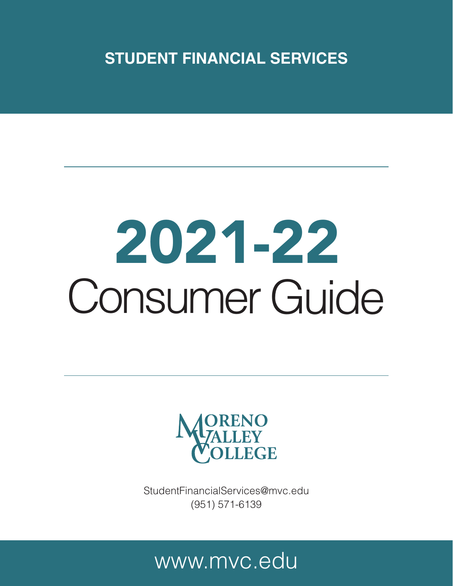**STUDENT FINANCIAL SERVICES**

# 2021-22 Consumer Guide



StudentFinancialServices@mvc.edu (951) 571-6139

# www.mvc.edu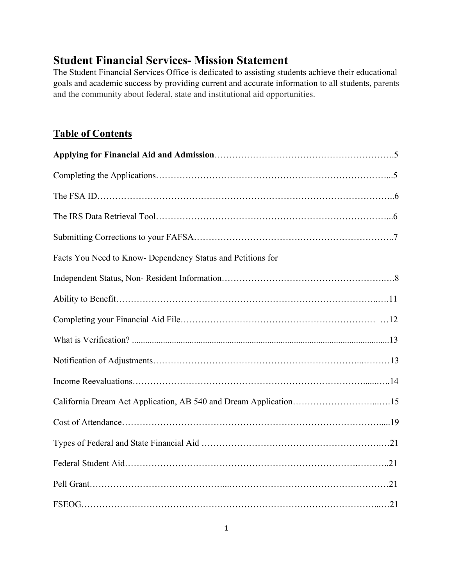# **Student Financial Services- Mission Statement**

The Student Financial Services Office is dedicated to assisting students achieve their educational goals and academic success by providing current and accurate information to all students, parents and the community about federal, state and institutional aid opportunities.

# **Table of Contents**

| Facts You Need to Know- Dependency Status and Petitions for |
|-------------------------------------------------------------|
|                                                             |
|                                                             |
|                                                             |
|                                                             |
|                                                             |
|                                                             |
|                                                             |
|                                                             |
|                                                             |
|                                                             |
|                                                             |
|                                                             |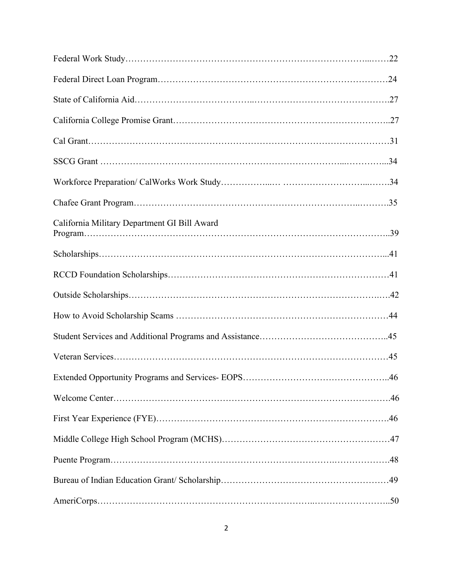| California Military Department GI Bill Award |
|----------------------------------------------|
|                                              |
|                                              |
|                                              |
|                                              |
|                                              |
|                                              |
|                                              |
|                                              |
|                                              |
|                                              |
|                                              |
|                                              |
|                                              |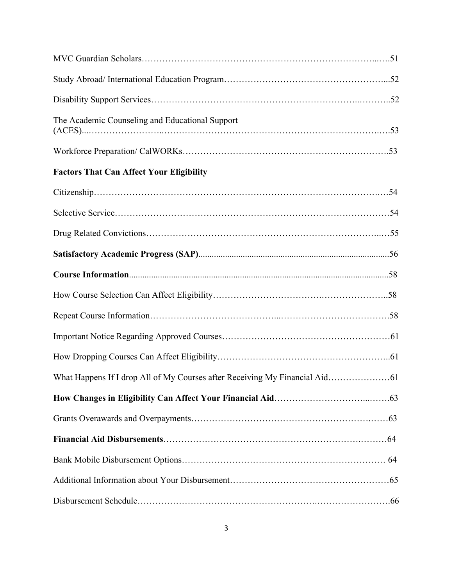| The Academic Counseling and Educational Support |  |
|-------------------------------------------------|--|
|                                                 |  |
| <b>Factors That Can Affect Your Eligibility</b> |  |
|                                                 |  |
|                                                 |  |
|                                                 |  |
|                                                 |  |
|                                                 |  |
|                                                 |  |
|                                                 |  |
|                                                 |  |
|                                                 |  |
|                                                 |  |
|                                                 |  |
|                                                 |  |
|                                                 |  |
|                                                 |  |
|                                                 |  |
|                                                 |  |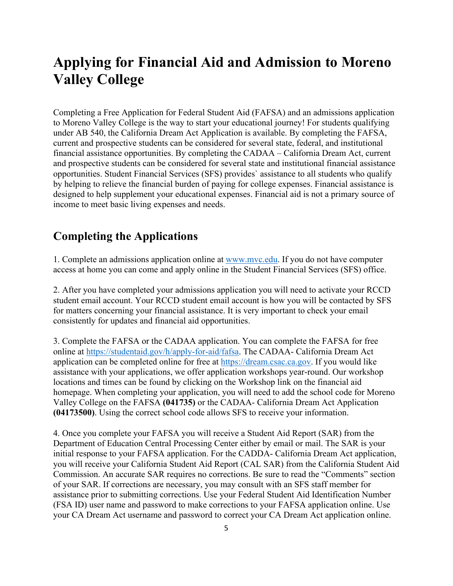# **Applying for Financial Aid and Admission to Moreno Valley College**

Completing a Free Application for Federal Student Aid (FAFSA) and an admissions application to Moreno Valley College is the way to start your educational journey! For students qualifying under AB 540, the California Dream Act Application is available. By completing the FAFSA, current and prospective students can be considered for several state, federal, and institutional financial assistance opportunities. By completing the CADAA – California Dream Act, current and prospective students can be considered for several state and institutional financial assistance opportunities. Student Financial Services (SFS) provides` assistance to all students who qualify by helping to relieve the financial burden of paying for college expenses. Financial assistance is designed to help supplement your educational expenses. Financial aid is not a primary source of income to meet basic living expenses and needs.

# **Completing the Applications**

1. Complete an admissions application online at [www.mvc.edu.](http://www.mvc.edu/) If you do not have computer access at home you can come and apply online in the Student Financial Services (SFS) office.

2. After you have completed your admissions application you will need to activate your RCCD student email account. Your RCCD student email account is how you will be contacted by SFS for matters concerning your financial assistance. It is very important to check your email consistently for updates and financial aid opportunities.

3. Complete the FAFSA or the CADAA application. You can complete the FAFSA for free online at [https://studentaid.gov/h/apply-for-aid/fafsa.](https://studentaid.gov/h/apply-for-aid/fafsa) The CADAA- California Dream Act application can be completed online for free at [https://dream.csac.ca.gov.](https://dream.csac.ca.gov/) If you would like assistance with your applications, we offer application workshops year-round. Our workshop locations and times can be found by clicking on the Workshop link on the financial aid homepage. When completing your application, you will need to add the school code for Moreno Valley College on the FAFSA **(041735)** or the CADAA- California Dream Act Application **(04173500)**. Using the correct school code allows SFS to receive your information.

4. Once you complete your FAFSA you will receive a Student Aid Report (SAR) from the Department of Education Central Processing Center either by email or mail. The SAR is your initial response to your FAFSA application. For the CADDA- California Dream Act application, you will receive your California Student Aid Report (CAL SAR) from the California Student Aid Commission. An accurate SAR requires no corrections. Be sure to read the "Comments" section of your SAR. If corrections are necessary, you may consult with an SFS staff member for assistance prior to submitting corrections. Use your Federal Student Aid Identification Number (FSA ID) user name and password to make corrections to your FAFSA application online. Use your CA Dream Act username and password to correct your CA Dream Act application online.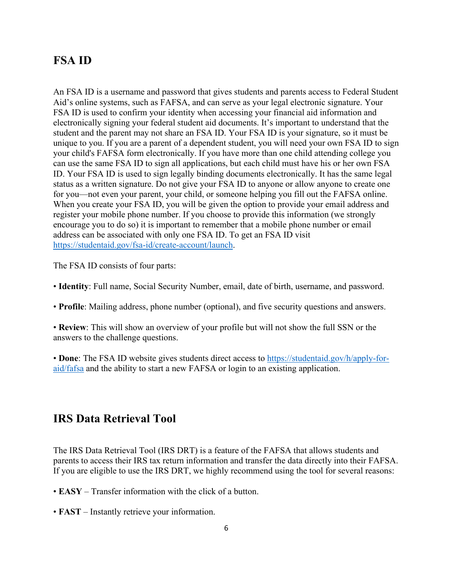# **FSA ID**

An FSA ID is a username and password that gives students and parents access to Federal Student Aid's online systems, such as FAFSA, and can serve as your legal electronic signature. Your FSA ID is used to confirm your identity when accessing your financial aid information and electronically signing your federal student aid documents. It's important to understand that the student and the parent may not share an FSA ID. Your FSA ID is your signature, so it must be unique to you. If you are a parent of a dependent student, you will need your own FSA ID to sign your child's FAFSA form electronically. If you have more than one child attending college you can use the same FSA ID to sign all applications, but each child must have his or her own FSA ID. Your FSA ID is used to sign legally binding documents electronically. It has the same legal status as a written signature. Do not give your FSA ID to anyone or allow anyone to create one for you—not even your parent, your child, or someone helping you fill out the FAFSA online. When you create your FSA ID, you will be given the option to provide your email address and register your mobile phone number. If you choose to provide this information (we strongly encourage you to do so) it is important to remember that a mobile phone number or email address can be associated with only one FSA ID. To get an FSA ID visit [https://studentaid.gov/fsa-id/create-account/launch.](https://studentaid.gov/fsa-id/create-account/launch)

The FSA ID consists of four parts:

• **Identity**: Full name, Social Security Number, email, date of birth, username, and password.

• **Profile**: Mailing address, phone number (optional), and five security questions and answers.

• **Review**: This will show an overview of your profile but will not show the full SSN or the answers to the challenge questions.

• **Done**: The FSA ID website gives students direct access to [https://studentaid.gov/h/apply-for](https://studentaid.gov/h/apply-for-aid/fafsa)[aid/fafsa](https://studentaid.gov/h/apply-for-aid/fafsa) and the ability to start a new FAFSA or login to an existing application.

# **IRS Data Retrieval Tool**

The IRS Data Retrieval Tool (IRS DRT) is a feature of the FAFSA that allows students and parents to access their IRS tax return information and transfer the data directly into their FAFSA. If you are eligible to use the IRS DRT, we highly recommend using the tool for several reasons:

• **EASY** – Transfer information with the click of a button.

• **FAST** – Instantly retrieve your information.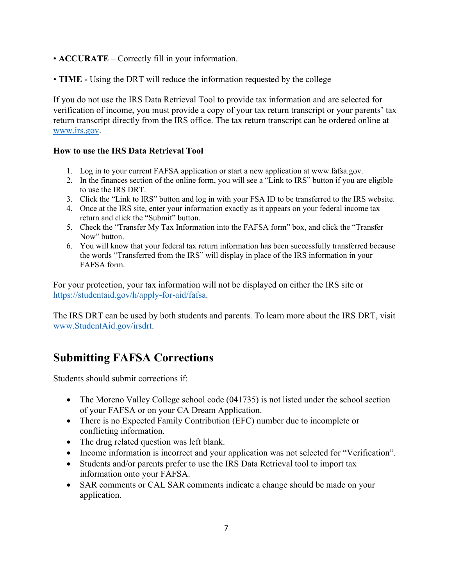- **ACCURATE** Correctly fill in your information.
- **TIME -** Using the DRT will reduce the information requested by the college

If you do not use the IRS Data Retrieval Tool to provide tax information and are selected for verification of income, you must provide a copy of your tax return transcript or your parents' tax return transcript directly from the IRS office. The tax return transcript can be ordered online at [www.irs.gov.](http://www.irs.gov/)

### **How to use the IRS Data Retrieval Tool**

- 1. Log in to your current FAFSA application or start a new application at www.fafsa.gov.
- 2. In the finances section of the online form, you will see a "Link to IRS" button if you are eligible to use the IRS DRT.
- 3. Click the "Link to IRS" button and log in with your FSA ID to be transferred to the IRS website.
- 4. Once at the IRS site, enter your information exactly as it appears on your federal income tax return and click the "Submit" button.
- 5. Check the "Transfer My Tax Information into the FAFSA form" box, and click the "Transfer Now" button.
- 6. You will know that your federal tax return information has been successfully transferred because the words "Transferred from the IRS" will display in place of the IRS information in your FAFSA form.

For your protection, your tax information will not be displayed on either the IRS site or [https://studentaid.gov/h/apply-for-aid/fafsa.](https://studentaid.gov/h/apply-for-aid/fafsa)

The IRS DRT can be used by both students and parents. To learn more about the IRS DRT, visit [www.StudentAid.gov/irsdrt.](http://www.studentaid.gov/irsdrt)

# **Submitting FAFSA Corrections**

Students should submit corrections if:

- The Moreno Valley College school code (041735) is not listed under the school section of your FAFSA or on your CA Dream Application.
- There is no Expected Family Contribution (EFC) number due to incomplete or conflicting information.
- The drug related question was left blank.
- Income information is incorrect and your application was not selected for "Verification".
- Students and/or parents prefer to use the IRS Data Retrieval tool to import tax information onto your FAFSA.
- SAR comments or CAL SAR comments indicate a change should be made on your application.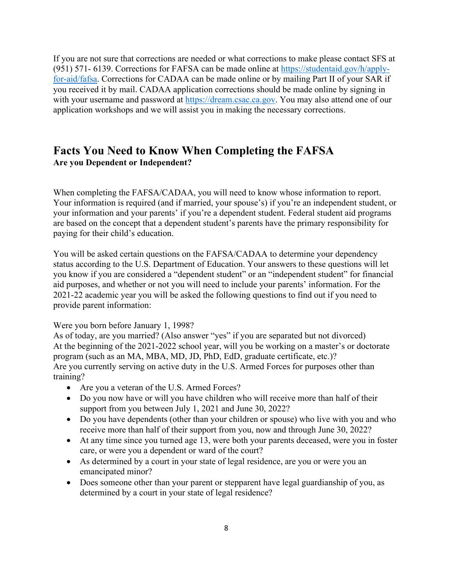If you are not sure that corrections are needed or what corrections to make please contact SFS at (951) 571- 6139. Corrections for FAFSA can be made online at [https://studentaid.gov/h/apply](https://studentaid.gov/h/apply-for-aid/fafsa)[for-aid/fafsa.](https://studentaid.gov/h/apply-for-aid/fafsa) Corrections for CADAA can be made online or by mailing Part II of your SAR if you received it by mail. CADAA application corrections should be made online by signing in with your username and password at [https://dream.csac.ca.gov.](https://dream.csac.ca.gov/) You may also attend one of our application workshops and we will assist you in making the necessary corrections.

# **Facts You Need to Know When Completing the FAFSA Are you Dependent or Independent?**

When completing the FAFSA/CADAA, you will need to know whose information to report. Your information is required (and if married, your spouse's) if you're an independent student, or your information and your parents' if you're a dependent student. Federal student aid programs are based on the concept that a dependent student's parents have the primary responsibility for paying for their child's education.

You will be asked certain questions on the FAFSA/CADAA to determine your dependency status according to the U.S. Department of Education. Your answers to these questions will let you know if you are considered a "dependent student" or an "independent student" for financial aid purposes, and whether or not you will need to include your parents' information. For the 2021-22 academic year you will be asked the following questions to find out if you need to provide parent information:

Were you born before January 1, 1998?

As of today, are you married? (Also answer "yes" if you are separated but not divorced) At the beginning of the 2021-2022 school year, will you be working on a master's or doctorate program (such as an MA, MBA, MD, JD, PhD, EdD, graduate certificate, etc.)? Are you currently serving on active duty in the U.S. Armed Forces for purposes other than training?

- Are you a veteran of the U.S. Armed Forces?
- Do you now have or will you have children who will receive more than half of their support from you between July 1, 2021 and June 30, 2022?
- Do you have dependents (other than your children or spouse) who live with you and who receive more than half of their support from you, now and through June 30, 2022?
- At any time since you turned age 13, were both your parents deceased, were you in foster care, or were you a dependent or ward of the court?
- As determined by a court in your state of legal residence, are you or were you an emancipated minor?
- Does someone other than your parent or stepparent have legal guardianship of you, as determined by a court in your state of legal residence?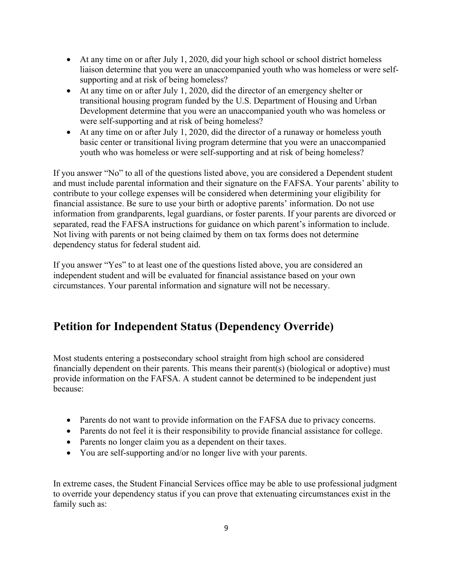- At any time on or after July 1, 2020, did your high school or school district homeless liaison determine that you were an unaccompanied youth who was homeless or were selfsupporting and at risk of being homeless?
- At any time on or after July 1, 2020, did the director of an emergency shelter or transitional housing program funded by the U.S. Department of Housing and Urban Development determine that you were an unaccompanied youth who was homeless or were self-supporting and at risk of being homeless?
- At any time on or after July 1, 2020, did the director of a runaway or homeless youth basic center or transitional living program determine that you were an unaccompanied youth who was homeless or were self-supporting and at risk of being homeless?

If you answer "No" to all of the questions listed above, you are considered a Dependent student and must include parental information and their signature on the FAFSA. Your parents' ability to contribute to your college expenses will be considered when determining your eligibility for financial assistance. Be sure to use your birth or adoptive parents' information. Do not use information from grandparents, legal guardians, or foster parents. If your parents are divorced or separated, read the FAFSA instructions for guidance on which parent's information to include. Not living with parents or not being claimed by them on tax forms does not determine dependency status for federal student aid.

If you answer "Yes" to at least one of the questions listed above, you are considered an independent student and will be evaluated for financial assistance based on your own circumstances. Your parental information and signature will not be necessary.

# **Petition for Independent Status (Dependency Override)**

Most students entering a postsecondary school straight from high school are considered financially dependent on their parents. This means their parent(s) (biological or adoptive) must provide information on the FAFSA. A student cannot be determined to be independent just because:

- Parents do not want to provide information on the FAFSA due to privacy concerns.
- Parents do not feel it is their responsibility to provide financial assistance for college.
- Parents no longer claim you as a dependent on their taxes.
- You are self-supporting and/or no longer live with your parents.

In extreme cases, the Student Financial Services office may be able to use professional judgment to override your dependency status if you can prove that extenuating circumstances exist in the family such as: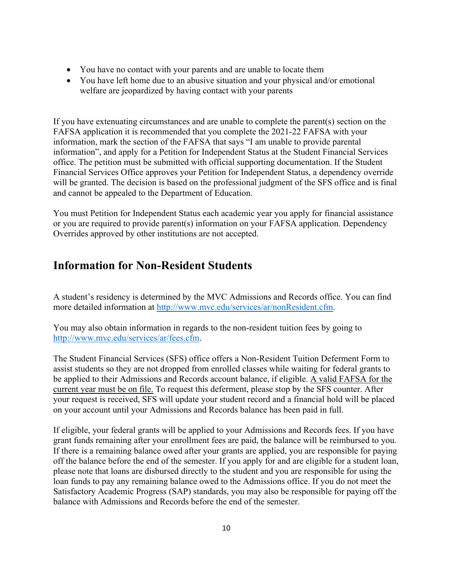- You have no contact with your parents and are unable to locate them
- You have left home due to an abusive situation and your physical and/or emotional welfare are jeopardized by having contact with your parents

If you have extenuating circumstances and are unable to complete the parent(s) section on the FAFSA application it is recommended that you complete the 2021-22 FAFSA with your information, mark the section of the FAFSA that says "I am unable to provide parental information", and apply for a Petition for Independent Status at the Student Financial Services office. The petition must be submitted with official supporting documentation. If the Student Financial Services Office approves your Petition for Independent Status, a dependency override will be granted. The decision is based on the professional judgment of the SFS office and is final and cannot be appealed to the Department of Education.

You must Petition for Independent Status each academic year you apply for financial assistance or you are required to provide parent(s) information on your FAFSA application. Dependency Overrides approved by other institutions are not accepted.

# **Information for Non-Resident Students**

A student's residency is determined by the MVC Admissions and Records office. You can find more detailed information at [http://www.mvc.edu/services/ar/nonResident.cfm.](http://www.mvc.edu/services/ar/nonResident.cfm)

You may also obtain information in regards to the non-resident tuition fees by going to [http://www.mvc.edu/services/ar/fees.cfm.](http://www.mvc.edu/services/ar/fees.cfm)

The Student Financial Services (SFS) office offers a Non-Resident Tuition Deferment Form to assist students so they are not dropped from enrolled classes while waiting for federal grants to be applied to their Admissions and Records account balance, if eligible. A valid FAFSA for the current year must be on file. To request this deferment, please stop by the SFS counter. After your request is received, SFS will update your student record and a financial hold will be placed on your account until your Admissions and Records balance has been paid in full.

If eligible, your federal grants will be applied to your Admissions and Records fees. If you have grant funds remaining after your enrollment fees are paid, the balance will be reimbursed to you. If there is a remaining balance owed after your grants are applied, you are responsible for paying off the balance before the end of the semester. If you apply for and are eligible for a student loan, please note that loans are disbursed directly to the student and you are responsible for using the loan funds to pay any remaining balance owed to the Admissions office. If you do not meet the Satisfactory Academic Progress (SAP) standards, you may also be responsible for paying off the balance with Admissions and Records before the end of the semester.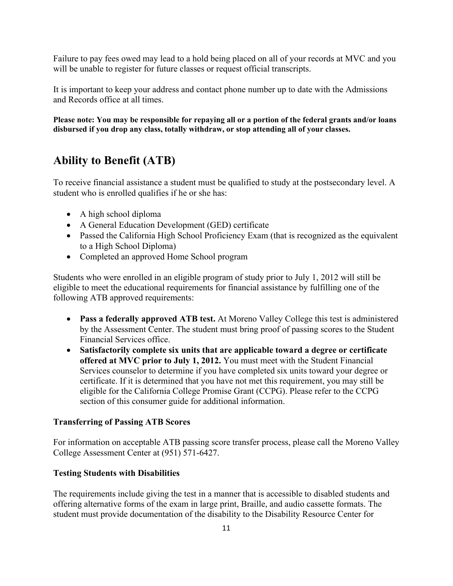Failure to pay fees owed may lead to a hold being placed on all of your records at MVC and you will be unable to register for future classes or request official transcripts.

It is important to keep your address and contact phone number up to date with the Admissions and Records office at all times.

**Please note: You may be responsible for repaying all or a portion of the federal grants and/or loans disbursed if you drop any class, totally withdraw, or stop attending all of your classes.**

# **Ability to Benefit (ATB)**

To receive financial assistance a student must be qualified to study at the postsecondary level. A student who is enrolled qualifies if he or she has:

- A high school diploma
- A General Education Development (GED) certificate
- Passed the California High School Proficiency Exam (that is recognized as the equivalent to a High School Diploma)
- Completed an approved Home School program

Students who were enrolled in an eligible program of study prior to July 1, 2012 will still be eligible to meet the educational requirements for financial assistance by fulfilling one of the following ATB approved requirements:

- **Pass a federally approved ATB test.** At Moreno Valley College this test is administered by the Assessment Center. The student must bring proof of passing scores to the Student Financial Services office.
- **Satisfactorily complete six units that are applicable toward a degree or certificate offered at MVC prior to July 1, 2012.** You must meet with the Student Financial Services counselor to determine if you have completed six units toward your degree or certificate. If it is determined that you have not met this requirement, you may still be eligible for the California College Promise Grant (CCPG). Please refer to the CCPG section of this consumer guide for additional information.

### **Transferring of Passing ATB Scores**

For information on acceptable ATB passing score transfer process, please call the Moreno Valley College Assessment Center at (951) 571-6427.

### **Testing Students with Disabilities**

The requirements include giving the test in a manner that is accessible to disabled students and offering alternative forms of the exam in large print, Braille, and audio cassette formats. The student must provide documentation of the disability to the Disability Resource Center for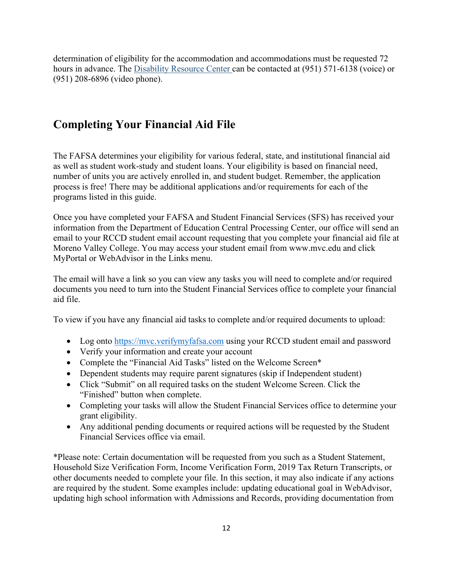determination of eligibility for the accommodation and accommodations must be requested 72 hours in advance. The Disability Resource Center can be contacted at (951) 571-6138 (voice) or (951) 208-6896 (video phone).

# **Completing Your Financial Aid File**

The FAFSA determines your eligibility for various federal, state, and institutional financial aid as well as student work-study and student loans. Your eligibility is based on financial need, number of units you are actively enrolled in, and student budget. Remember, the application process is free! There may be additional applications and/or requirements for each of the programs listed in this guide.

Once you have completed your FAFSA and Student Financial Services (SFS) has received your information from the Department of Education Central Processing Center, our office will send an email to your RCCD student email account requesting that you complete your financial aid file at Moreno Valley College. You may access your student email from www.mvc.edu and click MyPortal or WebAdvisor in the Links menu.

The email will have a link so you can view any tasks you will need to complete and/or required documents you need to turn into the Student Financial Services office to complete your financial aid file.

To view if you have any financial aid tasks to complete and/or required documents to upload:

- Log onto [https://mvc.verifymyfafsa.com](https://mvc.verifymyfafsa.com/) using your RCCD student email and password
- Verify your information and create your account
- Complete the "Financial Aid Tasks" listed on the Welcome Screen\*
- Dependent students may require parent signatures (skip if Independent student)
- Click "Submit" on all required tasks on the student Welcome Screen. Click the "Finished" button when complete.
- Completing your tasks will allow the Student Financial Services office to determine your grant eligibility.
- Any additional pending documents or required actions will be requested by the Student Financial Services office via email.

\*Please note: Certain documentation will be requested from you such as a Student Statement, Household Size Verification Form, Income Verification Form, 2019 Tax Return Transcripts, or other documents needed to complete your file. In this section, it may also indicate if any actions are required by the student. Some examples include: updating educational goal in WebAdvisor, updating high school information with Admissions and Records, providing documentation from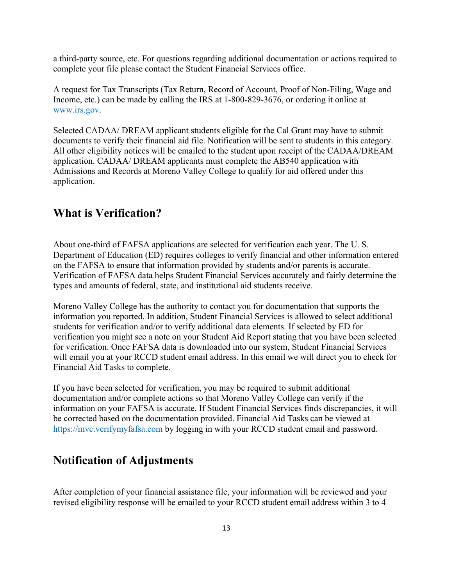a third-party source, etc. For questions regarding additional documentation or actions required to complete your file please contact the Student Financial Services office.

A request for Tax Transcripts (Tax Return, Record of Account, Proof of Non-Filing, Wage and Income, etc.) can be made by calling the IRS at 1-800-829-3676, or ordering it online at [www.irs.gov.](http://www.irs.gov/)

Selected CADAA/ DREAM applicant students eligible for the Cal Grant may have to submit documents to verify their financial aid file. Notification will be sent to students in this category. All other eligibility notices will be emailed to the student upon receipt of the CADAA/DREAM application. CADAA/ DREAM applicants must complete the AB540 application with Admissions and Records at Moreno Valley College to qualify for aid offered under this application.

# **What is Verification?**

About one-third of FAFSA applications are selected for verification each year. The U. S. Department of Education (ED) requires colleges to verify financial and other information entered on the FAFSA to ensure that information provided by students and/or parents is accurate. Verification of FAFSA data helps Student Financial Services accurately and fairly determine the types and amounts of federal, state, and institutional aid students receive.

Moreno Valley College has the authority to contact you for documentation that supports the information you reported. In addition, Student Financial Services is allowed to select additional students for verification and/or to verify additional data elements. If selected by ED for verification you might see a note on your Student Aid Report stating that you have been selected for verification. Once FAFSA data is downloaded into our system, Student Financial Services will email you at your RCCD student email address. In this email we will direct you to check for Financial Aid Tasks to complete.

If you have been selected for verification, you may be required to submit additional documentation and/or complete actions so that Moreno Valley College can verify if the information on your FAFSA is accurate. If Student Financial Services finds discrepancies, it will be corrected based on the documentation provided. Financial Aid Tasks can be viewed at [https://mvc.verifymyfafsa.com](https://mvc.verifymyfafsa.com/) by logging in with your RCCD student email and password.

# **Notification of Adjustments**

After completion of your financial assistance file, your information will be reviewed and your revised eligibility response will be emailed to your RCCD student email address within 3 to 4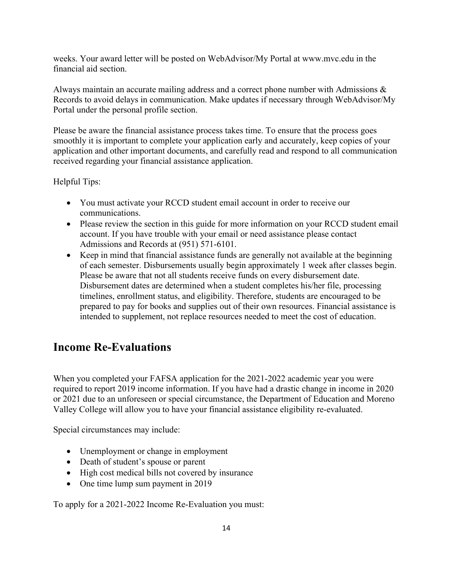weeks. Your award letter will be posted on WebAdvisor/My Portal at www.mvc.edu in the financial aid section.

Always maintain an accurate mailing address and a correct phone number with Admissions & Records to avoid delays in communication. Make updates if necessary through WebAdvisor/My Portal under the personal profile section.

Please be aware the financial assistance process takes time. To ensure that the process goes smoothly it is important to complete your application early and accurately, keep copies of your application and other important documents, and carefully read and respond to all communication received regarding your financial assistance application.

Helpful Tips:

- You must activate your RCCD student email account in order to receive our communications.
- Please review the section in this guide for more information on your RCCD student email account. If you have trouble with your email or need assistance please contact Admissions and Records at (951) 571-6101.
- Keep in mind that financial assistance funds are generally not available at the beginning of each semester. Disbursements usually begin approximately 1 week after classes begin. Please be aware that not all students receive funds on every disbursement date. Disbursement dates are determined when a student completes his/her file, processing timelines, enrollment status, and eligibility. Therefore, students are encouraged to be prepared to pay for books and supplies out of their own resources. Financial assistance is intended to supplement, not replace resources needed to meet the cost of education.

# **Income Re-Evaluations**

When you completed your FAFSA application for the 2021-2022 academic year you were required to report 2019 income information. If you have had a drastic change in income in 2020 or 2021 due to an unforeseen or special circumstance, the Department of Education and Moreno Valley College will allow you to have your financial assistance eligibility re-evaluated.

Special circumstances may include:

- Unemployment or change in employment
- Death of student's spouse or parent
- High cost medical bills not covered by insurance
- One time lump sum payment in 2019

To apply for a 2021-2022 Income Re-Evaluation you must: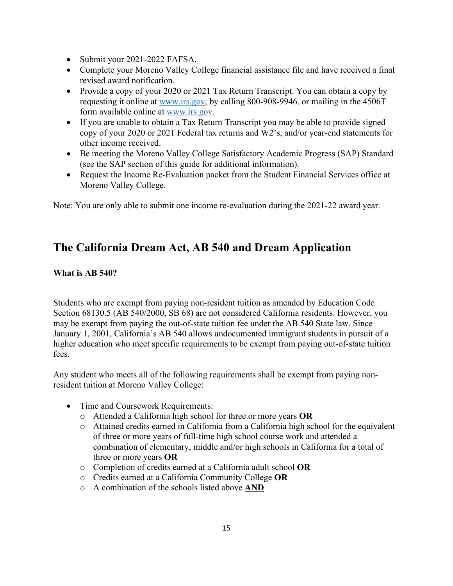- Submit your 2021-2022 FAFSA.
- Complete your Moreno Valley College financial assistance file and have received a final revised award notification.
- Provide a copy of your 2020 or 2021 Tax Return Transcript. You can obtain a copy by requesting it online at [www.irs.gov,](http://www.irs.gov/) by calling 800-908-9946, or mailing in the 4506T form available online at [www.irs.gov.](http://www.irs.gov/)
- If you are unable to obtain a Tax Return Transcript you may be able to provide signed copy of your 2020 or 2021 Federal tax returns and W2's, and/or year-end statements for other income received.
- Be meeting the Moreno Valley College Satisfactory Academic Progress (SAP) Standard (see the SAP section of this guide for additional information).
- Request the Income Re-Evaluation packet from the Student Financial Services office at Moreno Valley College.

Note: You are only able to submit one income re-evaluation during the 2021-22 award year.

# **The California Dream Act, AB 540 and Dream Application**

### **What is AB 540?**

Students who are exempt from paying non-resident tuition as amended by Education Code Section 68130.5 (AB 540/2000, SB 68) are not considered California residents. However, you may be exempt from paying the out-of-state tuition fee under the AB 540 State law. Since January 1, 2001, California's AB 540 allows undocumented immigrant students in pursuit of a higher education who meet specific requirements to be exempt from paying out-of-state tuition fees.

Any student who meets all of the following requirements shall be exempt from paying nonresident tuition at Moreno Valley College:

- Time and Coursework Requirements:
	- o Attended a California high school for three or more years **OR**
	- o Attained credits earned in California from a California high school for the equivalent of three or more years of full-time high school course work and attended a combination of elementary, middle and/or high schools in California for a total of three or more years **OR**
	- o Completion of credits earned at a California adult school **OR**
	- o Credits earned at a California Community College **OR**
	- o A combination of the schools listed above **AND**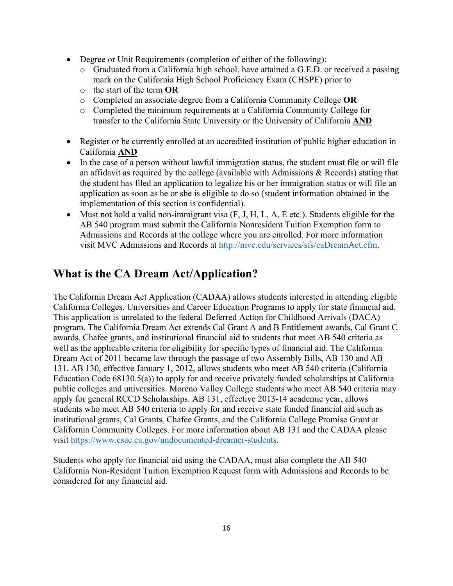- Degree or Unit Requirements (completion of either of the following):
	- o Graduated from a California high school, have attained a G.E.D. or received a passing mark on the California High School Proficiency Exam (CHSPE) prior to
	- o the start of the term **OR**
	- o Completed an associate degree from a California Community College **OR**
	- o Completed the minimum requirements at a California Community College for transfer to the California State University or the University of California **AND**
- Register or be currently enrolled at an accredited institution of public higher education in California **AND**
- In the case of a person without lawful immigration status, the student must file or will file an affidavit as required by the college (available with Admissions & Records) stating that the student has filed an application to legalize his or her immigration status or will file an application as soon as he or she is eligible to do so (student information obtained in the implementation of this section is confidential).
- Must not hold a valid non-immigrant visa  $(F, J, H, L, A, E$  etc.). Students eligible for the AB 540 program must submit the California Nonresident Tuition Exemption form to Admissions and Records at the college where you are enrolled. For more information visit MVC Admissions and Records at [http://mvc.edu/services/sfs/caDreamAct.cfm.](http://mvc.edu/services/sfs/caDreamAct.cfm)

# **What is the CA Dream Act/Application?**

The California Dream Act Application (CADAA) allows students interested in attending eligible California Colleges, Universities and Career Education Programs to apply for state financial aid. This application is unrelated to the federal Deferred Action for Childhood Arrivals (DACA) program. The California Dream Act extends Cal Grant A and B Entitlement awards, Cal Grant C awards, Chafee grants, and institutional financial aid to students that meet AB 540 criteria as well as the applicable criteria for eligibility for specific types of financial aid. The California Dream Act of 2011 became law through the passage of two Assembly Bills, AB 130 and AB 131. AB 130, effective January 1, 2012, allows students who meet AB 540 criteria (California Education Code 68130.5(a)) to apply for and receive privately funded scholarships at California public colleges and universities. Moreno Valley College students who meet AB 540 criteria may apply for general RCCD Scholarships. AB 131, effective 2013-14 academic year, allows students who meet AB 540 criteria to apply for and receive state funded financial aid such as institutional grants, Cal Grants, Chafee Grants, and the California College Promise Grant at California Community Colleges. For more information about AB 131 and the CADAA please visit [https://www.csac.ca.gov/undocumented-dreamer-students.](https://www.csac.ca.gov/undocumented-dreamer-students)

Students who apply for financial aid using the CADAA, must also complete the AB 540 California Non-Resident Tuition Exemption Request form with Admissions and Records to be considered for any financial aid.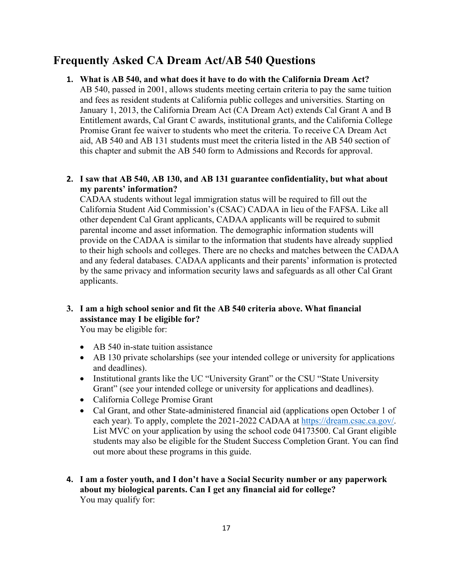# **Frequently Asked CA Dream Act/AB 540 Questions**

### **1. What is AB 540, and what does it have to do with the California Dream Act?**

AB 540, passed in 2001, allows students meeting certain criteria to pay the same tuition and fees as resident students at California public colleges and universities. Starting on January 1, 2013, the California Dream Act (CA Dream Act) extends Cal Grant A and B Entitlement awards, Cal Grant C awards, institutional grants, and the California College Promise Grant fee waiver to students who meet the criteria. To receive CA Dream Act aid, AB 540 and AB 131 students must meet the criteria listed in the AB 540 section of this chapter and submit the AB 540 form to Admissions and Records for approval.

### **2. I saw that AB 540, AB 130, and AB 131 guarantee confidentiality, but what about my parents' information?**

CADAA students without legal immigration status will be required to fill out the California Student Aid Commission's (CSAC) CADAA in lieu of the FAFSA. Like all other dependent Cal Grant applicants, CADAA applicants will be required to submit parental income and asset information. The demographic information students will provide on the CADAA is similar to the information that students have already supplied to their high schools and colleges. There are no checks and matches between the CADAA and any federal databases. CADAA applicants and their parents' information is protected by the same privacy and information security laws and safeguards as all other Cal Grant applicants.

### **3. I am a high school senior and fit the AB 540 criteria above. What financial assistance may I be eligible for?**

You may be eligible for:

- AB 540 in-state tuition assistance
- AB 130 private scholarships (see your intended college or university for applications and deadlines).
- Institutional grants like the UC "University Grant" or the CSU "State University Grant" (see your intended college or university for applications and deadlines).
- California College Promise Grant
- Cal Grant, and other State-administered financial aid (applications open October 1 of each year). To apply, complete the 2021-2022 CADAA at [https://dream.csac.ca.gov/.](https://dream.csac.ca.gov/) List MVC on your application by using the school code 04173500. Cal Grant eligible students may also be eligible for the Student Success Completion Grant. You can find out more about these programs in this guide.
- **4. I am a foster youth, and I don't have a Social Security number or any paperwork about my biological parents. Can I get any financial aid for college?** You may qualify for: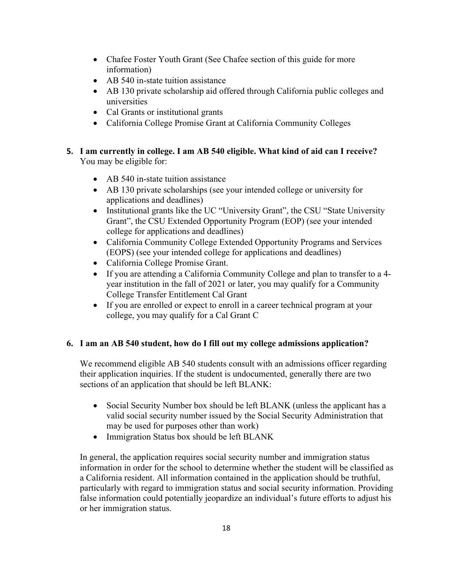- Chafee Foster Youth Grant (See Chafee section of this guide for more information)
- AB 540 in-state tuition assistance
- AB 130 private scholarship aid offered through California public colleges and universities
- Cal Grants or institutional grants
- California College Promise Grant at California Community Colleges
- **5. I am currently in college. I am AB 540 eligible. What kind of aid can I receive?** You may be eligible for:
	- AB 540 in-state tuition assistance
	- AB 130 private scholarships (see your intended college or university for applications and deadlines)
	- Institutional grants like the UC "University Grant", the CSU "State University Grant", the CSU Extended Opportunity Program (EOP) (see your intended college for applications and deadlines)
	- California Community College Extended Opportunity Programs and Services (EOPS) (see your intended college for applications and deadlines)
	- California College Promise Grant.
	- If you are attending a California Community College and plan to transfer to a 4 year institution in the fall of 2021 or later, you may qualify for a Community College Transfer Entitlement Cal Grant
	- If you are enrolled or expect to enroll in a career technical program at your college, you may qualify for a Cal Grant C

### **6. I am an AB 540 student, how do I fill out my college admissions application?**

We recommend eligible AB 540 students consult with an admissions officer regarding their application inquiries. If the student is undocumented, generally there are two sections of an application that should be left BLANK:

- Social Security Number box should be left BLANK (unless the applicant has a valid social security number issued by the Social Security Administration that may be used for purposes other than work)
- Immigration Status box should be left BLANK

In general, the application requires social security number and immigration status information in order for the school to determine whether the student will be classified as a California resident. All information contained in the application should be truthful, particularly with regard to immigration status and social security information. Providing false information could potentially jeopardize an individual's future efforts to adjust his or her immigration status.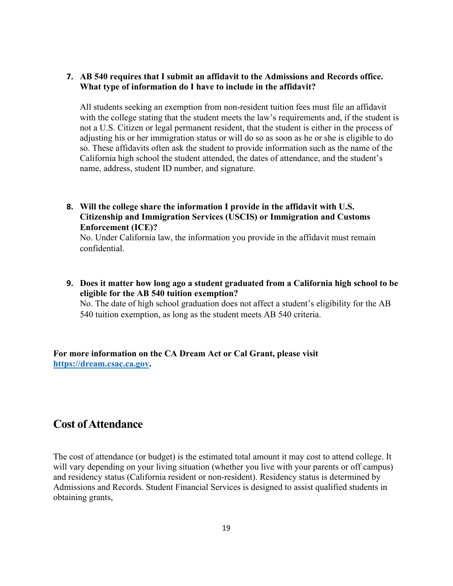### **7. AB 540 requires that I submit an affidavit to the Admissions and Records office. What type of information do I have to include in the affidavit?**

All students seeking an exemption from non-resident tuition fees must file an affidavit with the college stating that the student meets the law's requirements and, if the student is not a U.S. Citizen or legal permanent resident, that the student is either in the process of adjusting his or her immigration status or will do so as soon as he or she is eligible to do so. These affidavits often ask the student to provide information such as the name of the California high school the student attended, the dates of attendance, and the student's name, address, student ID number, and signature.

**8. Will the college share the information I provide in the affidavit with U.S. Citizenship and Immigration Services (USCIS) or Immigration and Customs Enforcement (ICE)?**

No. Under California law, the information you provide in the affidavit must remain confidential.

**9. Does it matter how long ago a student graduated from a California high school to be eligible for the AB 540 tuition exemption?**

No. The date of high school graduation does not affect a student's eligibility for the AB 540 tuition exemption, as long as the student meets AB 540 criteria.

**For more information on the CA Dream Act or Cal Grant, please visit [https://dream.csac.ca.gov.](https://dream.csac.ca.gov/)** 

# **Cost of Attendance**

The cost of attendance (or budget) is the estimated total amount it may cost to attend college. It will vary depending on your living situation (whether you live with your parents or off campus) and residency status (California resident or non-resident). Residency status is determined by Admissions and Records. Student Financial Services is designed to assist qualified students in obtaining grants,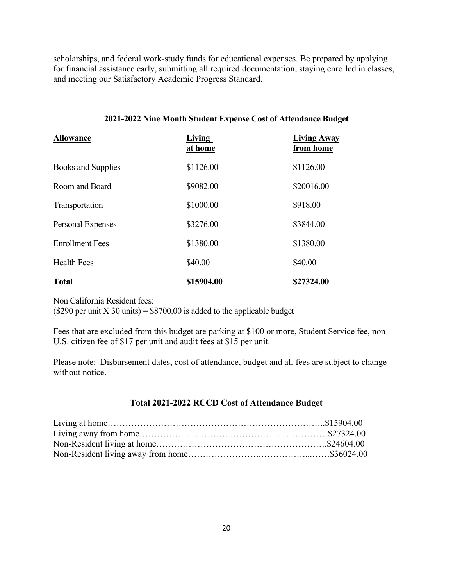scholarships, and federal work-study funds for educational expenses. Be prepared by applying for financial assistance early, submitting all required documentation, staying enrolled in classes, and meeting our Satisfactory Academic Progress Standard.

| 2021-2022 Nine Month Student Expense Cost of Attendance Budget |                   |                                 |  |
|----------------------------------------------------------------|-------------------|---------------------------------|--|
| <b>Allowance</b>                                               | Living<br>at home | <b>Living Away</b><br>from home |  |
| Books and Supplies                                             | \$1126.00         | \$1126.00                       |  |
| Room and Board                                                 | \$9082.00         | \$20016.00                      |  |
| Transportation                                                 | \$1000.00         | \$918.00                        |  |
| Personal Expenses                                              | \$3276.00         | \$3844.00                       |  |
| <b>Enrollment Fees</b>                                         | \$1380.00         | \$1380.00                       |  |
| <b>Health Fees</b>                                             | \$40.00           | \$40.00                         |  |
| <b>Total</b>                                                   | \$15904.00        | \$27324.00                      |  |

Non California Resident fees:

( $$290$  per unit X 30 units) =  $$8700.00$  is added to the applicable budget

Fees that are excluded from this budget are parking at \$100 or more, Student Service fee, non-U.S. citizen fee of \$17 per unit and audit fees at \$15 per unit.

Please note: Disbursement dates, cost of attendance, budget and all fees are subject to change without notice.

### **Total 2021-2022 RCCD Cost of Attendance Budget**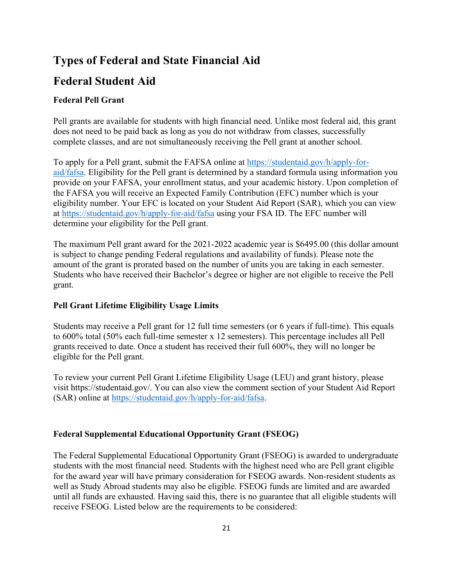# **Types of Federal and State Financial Aid**

# **Federal Student Aid**

### **Federal Pell Grant**

Pell grants are available for students with high financial need. Unlike most federal aid, this grant does not need to be paid back as long as you do not withdraw from classes, successfully complete classes, and are not simultaneously receiving the Pell grant at another school.

To apply for a Pell grant, submit the FAFSA online at [https://studentaid.gov/h/apply-for](https://studentaid.gov/h/apply-for-aid/fafsa)[aid/fafsa.](https://studentaid.gov/h/apply-for-aid/fafsa) Eligibility for the Pell grant is determined by a standard formula using information you provide on your FAFSA, your enrollment status, and your academic history. Upon completion of the FAFSA you will receive an Expected Family Contribution (EFC) number which is your eligibility number. Your EFC is located on your Student Aid Report (SAR), which you can view at<https://studentaid.gov/h/apply-for-aid/fafsa> using your FSA ID. The EFC number will determine your eligibility for the Pell grant.

The maximum Pell grant award for the 2021-2022 academic year is \$6495.00 (this dollar amount is subject to change pending Federal regulations and availability of funds). Please note the amount of the grant is prorated based on the number of units you are taking in each semester. Students who have received their Bachelor's degree or higher are not eligible to receive the Pell grant.

### **Pell Grant Lifetime Eligibility Usage Limits**

Students may receive a Pell grant for 12 full time semesters (or 6 years if full-time). This equals to 600% total (50% each full-time semester x 12 semesters). This percentage includes all Pell grants received to date. Once a student has received their full 600%, they will no longer be eligible for the Pell grant.

To review your current Pell Grant Lifetime Eligibility Usage (LEU) and grant history, please visit https://studentaid.gov/. You can also view the comment section of your Student Aid Report (SAR) online at [https://studentaid.gov/h/apply-for-aid/fafsa.](https://studentaid.gov/h/apply-for-aid/fafsa)

### **Federal Supplemental Educational Opportunity Grant (FSEOG)**

The Federal Supplemental Educational Opportunity Grant (FSEOG) is awarded to undergraduate students with the most financial need. Students with the highest need who are Pell grant eligible for the award year will have primary consideration for FSEOG awards. Non-resident students as well as Study Abroad students may also be eligible. FSEOG funds are limited and are awarded until all funds are exhausted. Having said this, there is no guarantee that all eligible students will receive FSEOG. Listed below are the requirements to be considered: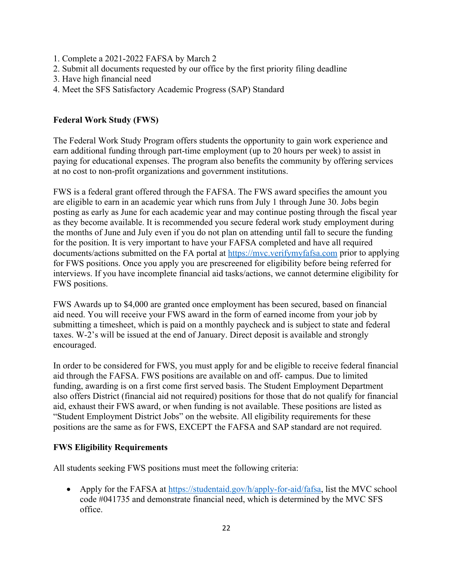- 1. Complete a 2021-2022 FAFSA by March 2
- 2. Submit all documents requested by our office by the first priority filing deadline
- 3. Have high financial need
- 4. Meet the SFS Satisfactory Academic Progress (SAP) Standard

### **Federal Work Study (FWS)**

The Federal Work Study Program offers students the opportunity to gain work experience and earn additional funding through part-time employment (up to 20 hours per week) to assist in paying for educational expenses. The program also benefits the community by offering services at no cost to non-profit organizations and government institutions.

FWS is a federal grant offered through the FAFSA. The FWS award specifies the amount you are eligible to earn in an academic year which runs from July 1 through June 30. Jobs begin posting as early as June for each academic year and may continue posting through the fiscal year as they become available. It is recommended you secure federal work study employment during the months of June and July even if you do not plan on attending until fall to secure the funding for the position. It is very important to have your FAFSA completed and have all required documents/actions submitted on the FA portal at [https://mvc.verifymyfafsa.com](https://mvc.verifymyfafsa.com/) prior to applying for FWS positions. Once you apply you are prescreened for eligibility before being referred for interviews. If you have incomplete financial aid tasks/actions, we cannot determine eligibility for FWS positions.

FWS Awards up to \$4,000 are granted once employment has been secured, based on financial aid need. You will receive your FWS award in the form of earned income from your job by submitting a timesheet, which is paid on a monthly paycheck and is subject to state and federal taxes. W-2's will be issued at the end of January. Direct deposit is available and strongly encouraged.

In order to be considered for FWS, you must apply for and be eligible to receive federal financial aid through the FAFSA. FWS positions are available on and off- campus. Due to limited funding, awarding is on a first come first served basis. The Student Employment Department also offers District (financial aid not required) positions for those that do not qualify for financial aid, exhaust their FWS award, or when funding is not available. These positions are listed as "Student Employment District Jobs" on the website. All eligibility requirements for these positions are the same as for FWS, EXCEPT the FAFSA and SAP standard are not required.

### **FWS Eligibility Requirements**

All students seeking FWS positions must meet the following criteria:

• Apply for the FAFSA at [https://studentaid.gov/h/apply-for-aid/fafsa,](https://studentaid.gov/h/apply-for-aid/fafsa) list the MVC school code #041735 and demonstrate financial need, which is determined by the MVC SFS office.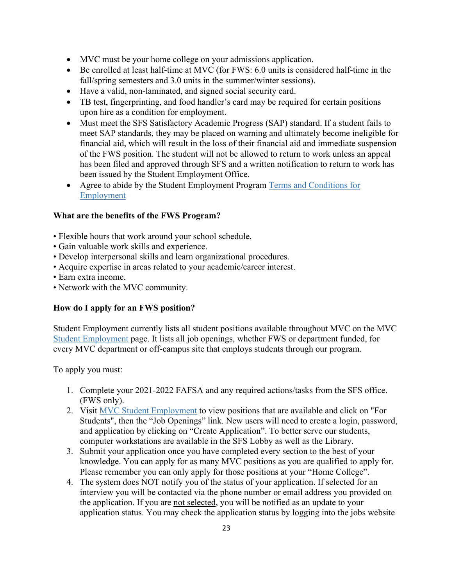- MVC must be your home college on your admissions application.
- Be enrolled at least half-time at MVC (for FWS: 6.0 units is considered half-time in the fall/spring semesters and 3.0 units in the summer/winter sessions).
- Have a valid, non-laminated, and signed social security card.
- TB test, fingerprinting, and food handler's card may be required for certain positions upon hire as a condition for employment.
- Must meet the SFS Satisfactory Academic Progress (SAP) standard. If a student fails to meet SAP standards, they may be placed on warning and ultimately become ineligible for financial aid, which will result in the loss of their financial aid and immediate suspension of the FWS position. The student will not be allowed to return to work unless an appeal has been filed and approved through SFS and a written notification to return to work has been issued by the Student Employment Office.
- Agree to abide by the Student Employment Program Terms and Conditions for Employment

### **What are the benefits of the FWS Program?**

- Flexible hours that work around your school schedule.
- Gain valuable work skills and experience.
- Develop interpersonal skills and learn organizational procedures.
- Acquire expertise in areas related to your academic/career interest.
- Earn extra income.
- Network with the MVC community.

### **How do I apply for an FWS position?**

Student Employment currently lists all student positions available throughout MVC on the MVC Student Employment page. It lists all job openings, whether FWS or department funded, for every MVC department or off-campus site that employs students through our program.

To apply you must:

- 1. Complete your 2021-2022 FAFSA and any required actions/tasks from the SFS office. (FWS only).
- 2. Visit MVC Student Employment to view positions that are available and click on "For Students", then the "Job Openings" link. New users will need to create a login, password, and application by clicking on "Create Application". To better serve our students, computer workstations are available in the SFS Lobby as well as the Library.
- 3. Submit your application once you have completed every section to the best of your knowledge. You can apply for as many MVC positions as you are qualified to apply for. Please remember you can only apply for those positions at your "Home College".
- 4. The system does NOT notify you of the status of your application. If selected for an interview you will be contacted via the phone number or email address you provided on the application. If you are not selected, you will be notified as an update to your application status. You may check the application status by logging into the jobs website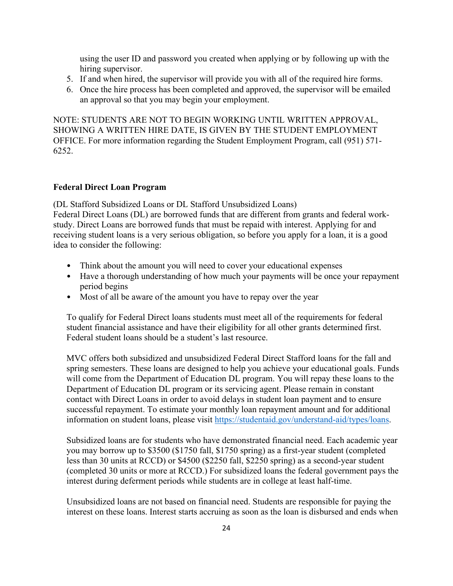using the user ID and password you created when applying or by following up with the hiring supervisor.

- 5. If and when hired, the supervisor will provide you with all of the required hire forms.
- 6. Once the hire process has been completed and approved, the supervisor will be emailed an approval so that you may begin your employment.

NOTE: STUDENTS ARE NOT TO BEGIN WORKING UNTIL WRITTEN APPROVAL, SHOWING A WRITTEN HIRE DATE, IS GIVEN BY THE STUDENT EMPLOYMENT OFFICE. For more information regarding the Student Employment Program, call (951) 571- 6252.

### **Federal Direct Loan Program**

(DL Stafford Subsidized Loans or DL Stafford Unsubsidized Loans)

Federal Direct Loans (DL) are borrowed funds that are different from grants and federal workstudy. Direct Loans are borrowed funds that must be repaid with interest. Applying for and receiving student loans is a very serious obligation, so before you apply for a loan, it is a good idea to consider the following:

- Think about the amount you will need to cover your educational expenses
- Have a thorough understanding of how much your payments will be once your repayment period begins
- Most of all be aware of the amount you have to repay over the year

To qualify for Federal Direct loans students must meet all of the requirements for federal student financial assistance and have their eligibility for all other grants determined first. Federal student loans should be a student's last resource.

MVC offers both subsidized and unsubsidized Federal Direct Stafford loans for the fall and spring semesters. These loans are designed to help you achieve your educational goals. Funds will come from the Department of Education DL program. You will repay these loans to the Department of Education DL program or its servicing agent. Please remain in constant contact with Direct Loans in order to avoid delays in student loan payment and to ensure successful repayment. To estimate your monthly loan repayment amount and for additional information on student loans, please visit [https://studentaid.gov/understand-aid/types/loans.](https://studentaid.gov/understand-aid/types/loans)

Subsidized loans are for students who have demonstrated financial need. Each academic year you may borrow up to \$3500 (\$1750 fall, \$1750 spring) as a first-year student (completed less than 30 units at RCCD) or \$4500 (\$2250 fall, \$2250 spring) as a second-year student (completed 30 units or more at RCCD.) For subsidized loans the federal government pays the interest during deferment periods while students are in college at least half-time.

Unsubsidized loans are not based on financial need. Students are responsible for paying the interest on these loans. Interest starts accruing as soon as the loan is disbursed and ends when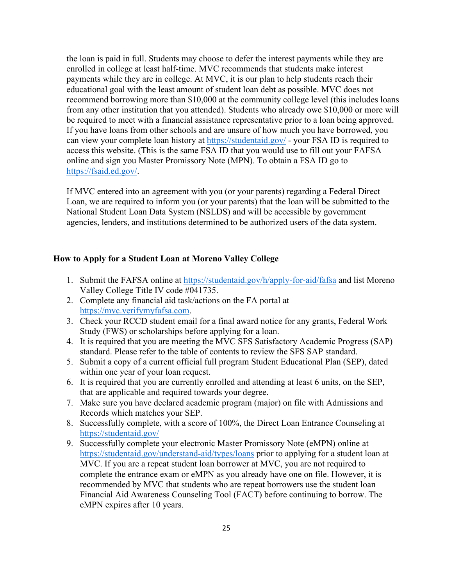the loan is paid in full. Students may choose to defer the interest payments while they are enrolled in college at least half-time. MVC recommends that students make interest payments while they are in college. At MVC, it is our plan to help students reach their educational goal with the least amount of student loan debt as possible. MVC does not recommend borrowing more than \$10,000 at the community college level (this includes loans from any other institution that you attended). Students who already owe \$10,000 or more will be required to meet with a financial assistance representative prior to a loan being approved. If you have loans from other schools and are unsure of how much you have borrowed, you can view your complete loan history at<https://studentaid.gov/> - your FSA ID is required to access this website. (This is the same FSA ID that you would use to fill out your FAFSA online and sign you Master Promissory Note (MPN). To obtain a FSA ID go to [https://fsaid.ed.gov/.](https://fsaid.ed.gov/)

If MVC entered into an agreement with you (or your parents) regarding a Federal Direct Loan, we are required to inform you (or your parents) that the loan will be submitted to the National Student Loan Data System (NSLDS) and will be accessible by government agencies, lenders, and institutions determined to be authorized users of the data system.

### **How to Apply for a Student Loan at Moreno Valley College**

- 1. Submit the FAFSA online at<https://studentaid.gov/h/apply-for-aid/fafsa> and list Moreno Valley College Title IV code #041735.
- 2. Complete any financial aid task/actions on the FA portal at [https://mvc.verifymyfafsa.com.](https://mvc.verifymyfafsa.com/)
- 3. Check your RCCD student email for a final award notice for any grants, Federal Work Study (FWS) or scholarships before applying for a loan.
- 4. It is required that you are meeting the MVC SFS Satisfactory Academic Progress (SAP) standard. Please refer to the table of contents to review the SFS SAP standard.
- 5. Submit a copy of a current official full program Student Educational Plan (SEP), dated within one year of your loan request.
- 6. It is required that you are currently enrolled and attending at least 6 units, on the SEP, that are applicable and required towards your degree.
- 7. Make sure you have declared academic program (major) on file with Admissions and Records which matches your SEP.
- 8. Successfully complete, with a score of 100%, the Direct Loan Entrance Counseling at <https://studentaid.gov/>
- 9. Successfully complete your electronic Master Promissory Note (eMPN) online at <https://studentaid.gov/understand-aid/types/loans> prior to applying for a student loan at MVC. If you are a repeat student loan borrower at MVC, you are not required to complete the entrance exam or eMPN as you already have one on file. However, it is recommended by MVC that students who are repeat borrowers use the student loan Financial Aid Awareness Counseling Tool (FACT) before continuing to borrow. The eMPN expires after 10 years.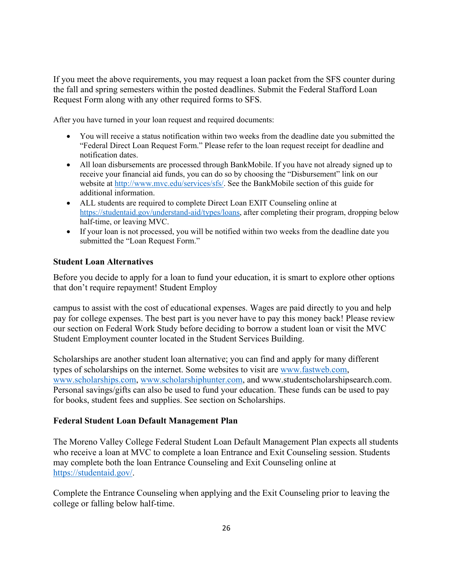If you meet the above requirements, you may request a loan packet from the SFS counter during the fall and spring semesters within the posted deadlines. Submit the Federal Stafford Loan Request Form along with any other required forms to SFS.

After you have turned in your loan request and required documents:

- You will receive a status notification within two weeks from the deadline date you submitted the "Federal Direct Loan Request Form." Please refer to the loan request receipt for deadline and notification dates.
- All loan disbursements are processed through BankMobile. If you have not already signed up to receive your financial aid funds, you can do so by choosing the "Disbursement" link on our website at [http://www.mvc.edu/services/sfs/.](http://www.mvc.edu/services/sfs/) See the BankMobile section of this guide for additional information.
- ALL students are required to complete Direct Loan EXIT Counseling online at [https://studentaid.gov/understand-aid/types/loans,](https://studentaid.gov/understand-aid/types/loans) after completing their program, dropping below half-time, or leaving MVC.
- If your loan is not processed, you will be notified within two weeks from the deadline date you submitted the "Loan Request Form."

### **Student Loan Alternatives**

Before you decide to apply for a loan to fund your education, it is smart to explore other options that don't require repayment! Student Employ

campus to assist with the cost of educational expenses. Wages are paid directly to you and help pay for college expenses. The best part is you never have to pay this money back! Please review our section on Federal Work Study before deciding to borrow a student loan or visit the MVC Student Employment counter located in the Student Services Building.

Scholarships are another student loan alternative; you can find and apply for many different types of scholarships on the internet. Some websites to visit are [www.fastweb.com,](http://www.fastweb.com/) [www.scholarships.com,](http://www.scholarships.com/) [www.scholarshiphunter.com,](http://www.scholarshiphunter.com/) and www.studentscholarshipsearch.com. Personal savings/gifts can also be used to fund your education. These funds can be used to pay for books, student fees and supplies. See section on Scholarships.

### **Federal Student Loan Default Management Plan**

The Moreno Valley College Federal Student Loan Default Management Plan expects all students who receive a loan at MVC to complete a loan Entrance and Exit Counseling session. Students may complete both the loan Entrance Counseling and Exit Counseling online at [https://studentaid.gov/.](https://studentaid.gov/)

Complete the Entrance Counseling when applying and the Exit Counseling prior to leaving the college or falling below half-time.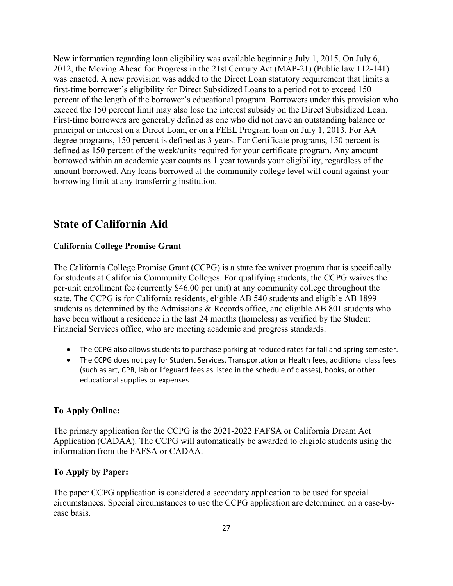New information regarding loan eligibility was available beginning July 1, 2015. On July 6, 2012, the Moving Ahead for Progress in the 21st Century Act (MAP-21) (Public law 112-141) was enacted. A new provision was added to the Direct Loan statutory requirement that limits a first-time borrower's eligibility for Direct Subsidized Loans to a period not to exceed 150 percent of the length of the borrower's educational program. Borrowers under this provision who exceed the 150 percent limit may also lose the interest subsidy on the Direct Subsidized Loan. First-time borrowers are generally defined as one who did not have an outstanding balance or principal or interest on a Direct Loan, or on a FEEL Program loan on July 1, 2013. For AA degree programs, 150 percent is defined as 3 years. For Certificate programs, 150 percent is defined as 150 percent of the week/units required for your certificate program. Any amount borrowed within an academic year counts as 1 year towards your eligibility, regardless of the amount borrowed. Any loans borrowed at the community college level will count against your borrowing limit at any transferring institution.

# **State of California Aid**

### **California College Promise Grant**

The California College Promise Grant (CCPG) is a state fee waiver program that is specifically for students at California Community Colleges. For qualifying students, the CCPG waives the per-unit enrollment fee (currently \$46.00 per unit) at any community college throughout the state. The CCPG is for California residents, eligible AB 540 students and eligible AB 1899 students as determined by the Admissions & Records office, and eligible AB 801 students who have been without a residence in the last 24 months (homeless) as verified by the Student Financial Services office, who are meeting academic and progress standards.

- The CCPG also allows students to purchase parking at reduced rates for fall and spring semester.
- The CCPG does not pay for Student Services, Transportation or Health fees, additional class fees (such as art, CPR, lab or lifeguard fees as listed in the schedule of classes), books, or other educational supplies or expenses

### **To Apply Online:**

The primary application for the CCPG is the 2021-2022 FAFSA or California Dream Act Application (CADAA). The CCPG will automatically be awarded to eligible students using the information from the FAFSA or CADAA.

### **To Apply by Paper:**

The paper CCPG application is considered a secondary application to be used for special circumstances. Special circumstances to use the CCPG application are determined on a case-bycase basis.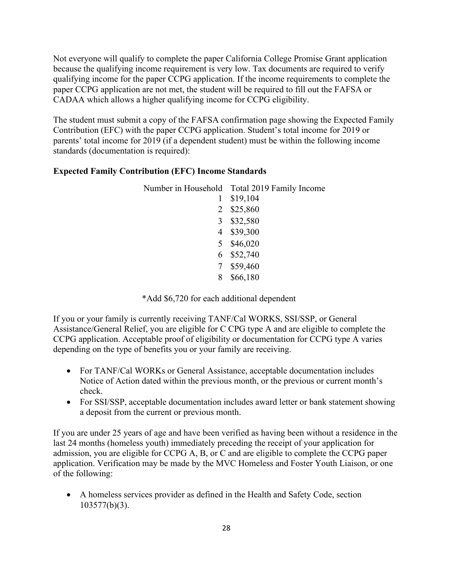Not everyone will qualify to complete the paper California College Promise Grant application because the qualifying income requirement is very low. Tax documents are required to verify qualifying income for the paper CCPG application. If the income requirements to complete the paper CCPG application are not met, the student will be required to fill out the FAFSA or CADAA which allows a higher qualifying income for CCPG eligibility.

The student must submit a copy of the FAFSA confirmation page showing the Expected Family Contribution (EFC) with the paper CCPG application. Student's total income for 2019 or parents' total income for 2019 (if a dependent student) must be within the following income standards (documentation is required):

### **Expected Family Contribution (EFC) Income Standards**

|   | Number in Household Total 2019 Family Income |
|---|----------------------------------------------|
|   | \$19,104                                     |
|   | 2 \$25,860                                   |
|   | 3 \$32,580                                   |
|   | 4 \$39,300                                   |
|   | 5 \$46,020                                   |
|   | 6 \$52,740                                   |
|   | 7 \$59,460                                   |
| 8 | \$66,180                                     |

\*Add \$6,720 for each additional dependent

If you or your family is currently receiving TANF/Cal WORKS, SSI/SSP, or General Assistance/General Relief, you are eligible for C CPG type A and are eligible to complete the CCPG application. Acceptable proof of eligibility or documentation for CCPG type A varies depending on the type of benefits you or your family are receiving.

- For TANF/Cal WORKs or General Assistance, acceptable documentation includes Notice of Action dated within the previous month, or the previous or current month's check.
- For SSI/SSP, acceptable documentation includes award letter or bank statement showing a deposit from the current or previous month.

If you are under 25 years of age and have been verified as having been without a residence in the last 24 months (homeless youth) immediately preceding the receipt of your application for admission, you are eligible for CCPG A, B, or C and are eligible to complete the CCPG paper application. Verification may be made by the MVC Homeless and Foster Youth Liaison, or one of the following:

• A homeless services provider as defined in the Health and Safety Code, section 103577(b)(3).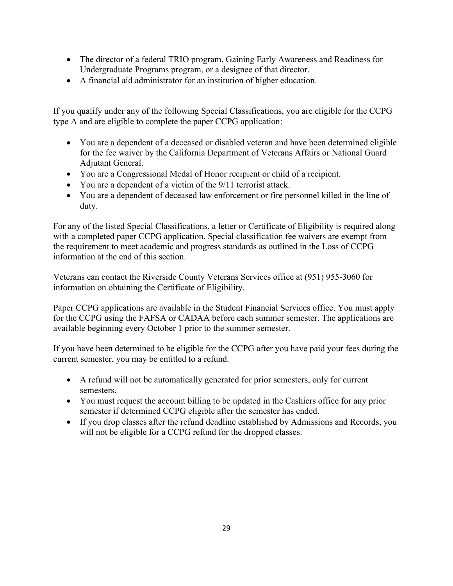- The director of a federal TRIO program, Gaining Early Awareness and Readiness for Undergraduate Programs program, or a designee of that director.
- A financial aid administrator for an institution of higher education.

If you qualify under any of the following Special Classifications, you are eligible for the CCPG type A and are eligible to complete the paper CCPG application:

- You are a dependent of a deceased or disabled veteran and have been determined eligible for the fee waiver by the California Department of Veterans Affairs or National Guard Adjutant General.
- You are a Congressional Medal of Honor recipient or child of a recipient.
- You are a dependent of a victim of the 9/11 terrorist attack.
- You are a dependent of deceased law enforcement or fire personnel killed in the line of duty.

For any of the listed Special Classifications, a letter or Certificate of Eligibility is required along with a completed paper CCPG application. Special classification fee waivers are exempt from the requirement to meet academic and progress standards as outlined in the Loss of CCPG information at the end of this section.

Veterans can contact the Riverside County Veterans Services office at (951) 955-3060 for information on obtaining the Certificate of Eligibility.

Paper CCPG applications are available in the Student Financial Services office. You must apply for the CCPG using the FAFSA or CADAA before each summer semester. The applications are available beginning every October 1 prior to the summer semester.

If you have been determined to be eligible for the CCPG after you have paid your fees during the current semester, you may be entitled to a refund.

- A refund will not be automatically generated for prior semesters, only for current semesters.
- You must request the account billing to be updated in the Cashiers office for any prior semester if determined CCPG eligible after the semester has ended.
- If you drop classes after the refund deadline established by Admissions and Records, you will not be eligible for a CCPG refund for the dropped classes.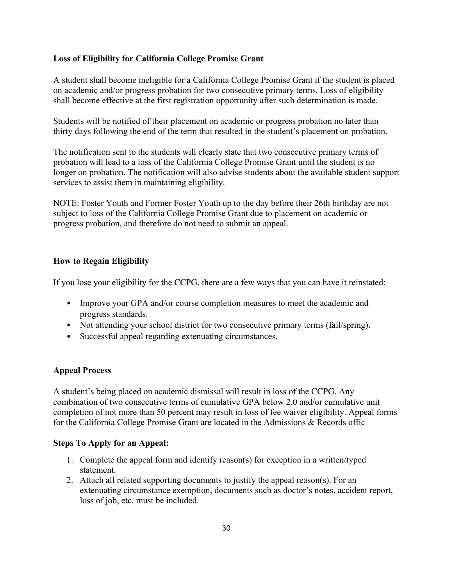### **Loss of Eligibility for California College Promise Grant**

A student shall become ineligible for a California College Promise Grant if the student is placed on academic and/or progress probation for two consecutive primary terms. Loss of eligibility shall become effective at the first registration opportunity after such determination is made.

Students will be notified of their placement on academic or progress probation no later than thirty days following the end of the term that resulted in the student's placement on probation.

The notification sent to the students will clearly state that two consecutive primary terms of probation will lead to a loss of the California College Promise Grant until the student is no longer on probation. The notification will also advise students about the available student support services to assist them in maintaining eligibility.

NOTE: Foster Youth and Former Foster Youth up to the day before their 26th birthday are not subject to loss of the California College Promise Grant due to placement on academic or progress probation, and therefore do not need to submit an appeal.

### **How to Regain Eligibility**

If you lose your eligibility for the CCPG, there are a few ways that you can have it reinstated:

- Improve your GPA and/or course completion measures to meet the academic and progress standards.
- Not attending your school district for two consecutive primary terms (fall/spring).
- Successful appeal regarding extenuating circumstances.

### **Appeal Process**

A student's being placed on academic dismissal will result in loss of the CCPG. Any combination of two consecutive terms of cumulative GPA below 2.0 and/or cumulative unit completion of not more than 50 percent may result in loss of fee waiver eligibility. Appeal forms for the California College Promise Grant are located in the Admissions & Records offic

### **Steps To Apply for an Appeal:**

- 1. Complete the appeal form and identify reason(s) for exception in a written/typed statement.
- 2. Attach all related supporting documents to justify the appeal reason(s). For an extenuating circumstance exemption, documents such as doctor's notes, accident report, loss of job, etc. must be included.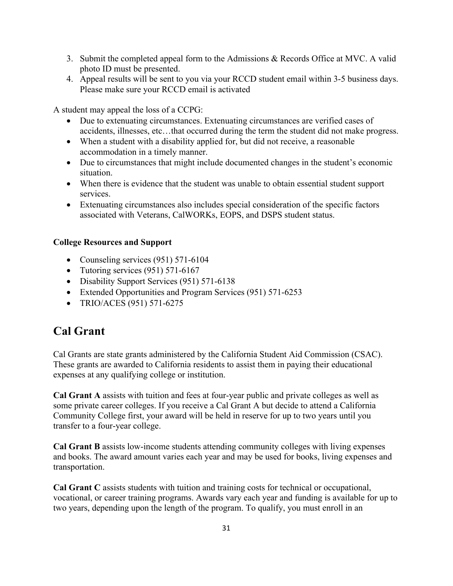- 3. Submit the completed appeal form to the Admissions & Records Office at MVC. A valid photo ID must be presented.
- 4. Appeal results will be sent to you via your RCCD student email within 3-5 business days. Please make sure your RCCD email is activated

A student may appeal the loss of a CCPG:

- Due to extenuating circumstances. Extenuating circumstances are verified cases of accidents, illnesses, etc…that occurred during the term the student did not make progress.
- When a student with a disability applied for, but did not receive, a reasonable accommodation in a timely manner.
- Due to circumstances that might include documented changes in the student's economic situation.
- When there is evidence that the student was unable to obtain essential student support services.
- Extenuating circumstances also includes special consideration of the specific factors associated with Veterans, CalWORKs, EOPS, and DSPS student status.

### **College Resources and Support**

- Counseling services (951) 571-6104
- Tutoring services (951) 571-6167
- Disability Support Services (951) 571-6138
- Extended Opportunities and Program Services (951) 571-6253
- TRIO/ACES (951) 571-6275

# **Cal Grant**

Cal Grants are state grants administered by the California Student Aid Commission (CSAC). These grants are awarded to California residents to assist them in paying their educational expenses at any qualifying college or institution.

**Cal Grant A** assists with tuition and fees at four-year public and private colleges as well as some private career colleges. If you receive a Cal Grant A but decide to attend a California Community College first, your award will be held in reserve for up to two years until you transfer to a four-year college.

**Cal Grant B** assists low-income students attending community colleges with living expenses and books. The award amount varies each year and may be used for books, living expenses and transportation.

**Cal Grant C** assists students with tuition and training costs for technical or occupational, vocational, or career training programs. Awards vary each year and funding is available for up to two years, depending upon the length of the program. To qualify, you must enroll in an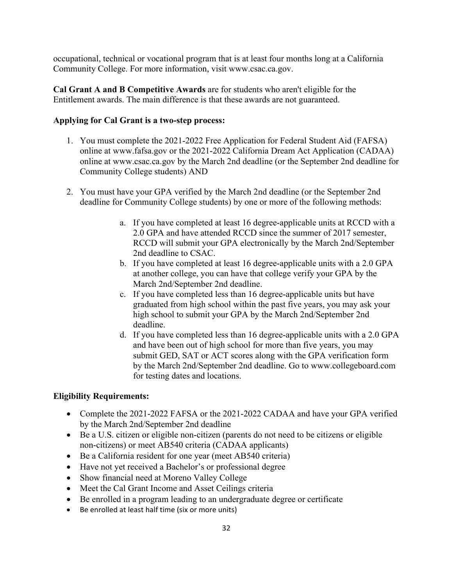occupational, technical or vocational program that is at least four months long at a California Community College. For more information, visit www.csac.ca.gov.

**Cal Grant A and B Competitive Awards** are for students who aren't eligible for the Entitlement awards. The main difference is that these awards are not guaranteed.

### **Applying for Cal Grant is a two-step process:**

- 1. You must complete the 2021-2022 Free Application for Federal Student Aid (FAFSA) online at www.fafsa.gov or the 2021-2022 California Dream Act Application (CADAA) online at www.csac.ca.gov by the March 2nd deadline (or the September 2nd deadline for Community College students) AND
- 2. You must have your GPA verified by the March 2nd deadline (or the September 2nd deadline for Community College students) by one or more of the following methods:
	- a. If you have completed at least 16 degree-applicable units at RCCD with a 2.0 GPA and have attended RCCD since the summer of 2017 semester, RCCD will submit your GPA electronically by the March 2nd/September 2nd deadline to CSAC.
	- b. If you have completed at least 16 degree-applicable units with a 2.0 GPA at another college, you can have that college verify your GPA by the March 2nd/September 2nd deadline.
	- c. If you have completed less than 16 degree-applicable units but have graduated from high school within the past five years, you may ask your high school to submit your GPA by the March 2nd/September 2nd deadline.
	- d. If you have completed less than 16 degree-applicable units with a 2.0 GPA and have been out of high school for more than five years, you may submit GED, SAT or ACT scores along with the GPA verification form by the March 2nd/September 2nd deadline. Go to www.collegeboard.com for testing dates and locations.

### **Eligibility Requirements:**

- Complete the 2021-2022 FAFSA or the 2021-2022 CADAA and have your GPA verified by the March 2nd/September 2nd deadline
- Be a U.S. citizen or eligible non-citizen (parents do not need to be citizens or eligible non-citizens) or meet AB540 criteria (CADAA applicants)
- Be a California resident for one year (meet AB540 criteria)
- Have not yet received a Bachelor's or professional degree
- Show financial need at Moreno Valley College
- Meet the Cal Grant Income and Asset Ceilings criteria
- Be enrolled in a program leading to an undergraduate degree or certificate
- Be enrolled at least half time (six or more units)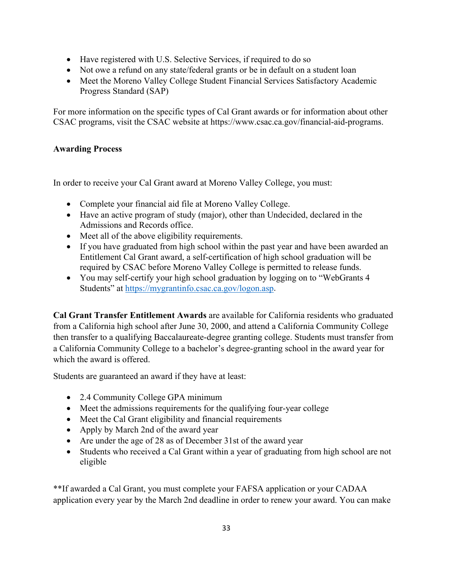- Have registered with U.S. Selective Services, if required to do so
- Not owe a refund on any state/federal grants or be in default on a student loan
- Meet the Moreno Valley College Student Financial Services Satisfactory Academic Progress Standard (SAP)

For more information on the specific types of Cal Grant awards or for information about other CSAC programs, visit the CSAC website at https://www.csac.ca.gov/financial-aid-programs.

### **Awarding Process**

In order to receive your Cal Grant award at Moreno Valley College, you must:

- Complete your financial aid file at Moreno Valley College.
- Have an active program of study (major), other than Undecided, declared in the Admissions and Records office.
- Meet all of the above eligibility requirements.
- If you have graduated from high school within the past year and have been awarded an Entitlement Cal Grant award, a self-certification of high school graduation will be required by CSAC before Moreno Valley College is permitted to release funds.
- You may self-certify your high school graduation by logging on to "WebGrants 4" Students" at [https://mygrantinfo.csac.ca.gov/logon.asp.](https://mygrantinfo.csac.ca.gov/logon.asp)

**Cal Grant Transfer Entitlement Awards** are available for California residents who graduated from a California high school after June 30, 2000, and attend a California Community College then transfer to a qualifying Baccalaureate-degree granting college. Students must transfer from a California Community College to a bachelor's degree-granting school in the award year for which the award is offered.

Students are guaranteed an award if they have at least:

- 2.4 Community College GPA minimum
- Meet the admissions requirements for the qualifying four-year college
- Meet the Cal Grant eligibility and financial requirements
- Apply by March 2nd of the award year
- Are under the age of 28 as of December 31st of the award year
- Students who received a Cal Grant within a year of graduating from high school are not eligible

\*\*If awarded a Cal Grant, you must complete your FAFSA application or your CADAA application every year by the March 2nd deadline in order to renew your award. You can make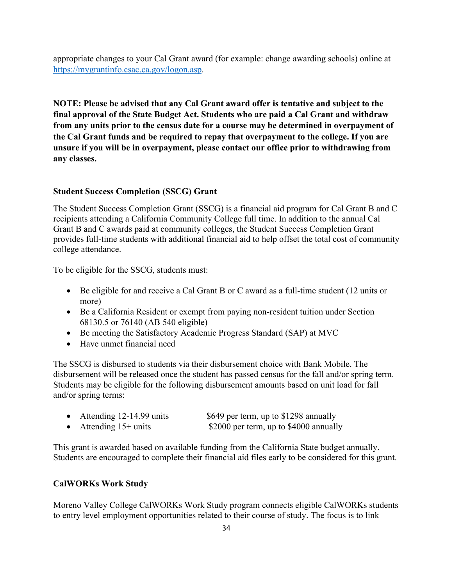appropriate changes to your Cal Grant award (for example: change awarding schools) online at [https://mygrantinfo.csac.ca.gov/logon.asp.](https://mygrantinfo.csac.ca.gov/logon.asp)

**NOTE: Please be advised that any Cal Grant award offer is tentative and subject to the final approval of the State Budget Act. Students who are paid a Cal Grant and withdraw from any units prior to the census date for a course may be determined in overpayment of the Cal Grant funds and be required to repay that overpayment to the college. If you are unsure if you will be in overpayment, please contact our office prior to withdrawing from any classes.**

### **Student Success Completion (SSCG) Grant**

The Student Success Completion Grant (SSCG) is a financial aid program for Cal Grant B and C recipients attending a California Community College full time. In addition to the annual Cal Grant B and C awards paid at community colleges, the Student Success Completion Grant provides full-time students with additional financial aid to help offset the total cost of community college attendance.

To be eligible for the SSCG, students must:

- Be eligible for and receive a Cal Grant B or C award as a full-time student (12 units or more)
- Be a California Resident or exempt from paying non-resident tuition under Section 68130.5 or 76140 (AB 540 eligible)
- Be meeting the Satisfactory Academic Progress Standard (SAP) at MVC
- Have unmet financial need

The SSCG is disbursed to students via their disbursement choice with Bank Mobile. The disbursement will be released once the student has passed census for the fall and/or spring term. Students may be eligible for the following disbursement amounts based on unit load for fall and/or spring terms:

| Attending 12-14.99 units | \$649 per term, up to \$1298 annually  |
|--------------------------|----------------------------------------|
| Attending $15+$ units    | \$2000 per term, up to \$4000 annually |

This grant is awarded based on available funding from the California State budget annually. Students are encouraged to complete their financial aid files early to be considered for this grant.

### **CalWORKs Work Study**

Moreno Valley College CalWORKs Work Study program connects eligible CalWORKs students to entry level employment opportunities related to their course of study. The focus is to link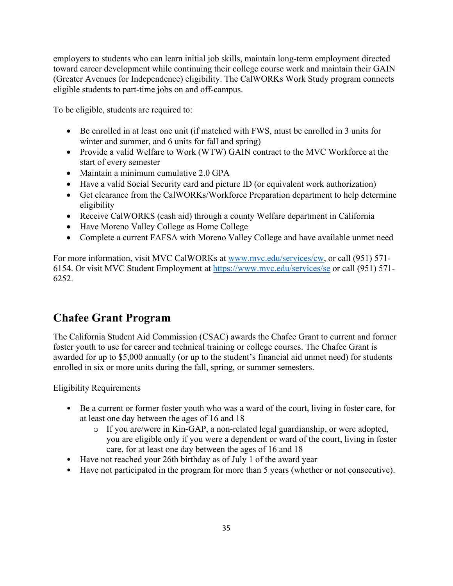employers to students who can learn initial job skills, maintain long-term employment directed toward career development while continuing their college course work and maintain their GAIN (Greater Avenues for Independence) eligibility. The CalWORKs Work Study program connects eligible students to part-time jobs on and off-campus.

To be eligible, students are required to:

- Be enrolled in at least one unit (if matched with FWS, must be enrolled in 3 units for winter and summer, and 6 units for fall and spring)
- Provide a valid Welfare to Work (WTW) GAIN contract to the MVC Workforce at the start of every semester
- Maintain a minimum cumulative 2.0 GPA
- Have a valid Social Security card and picture ID (or equivalent work authorization)
- Get clearance from the CalWORKs/Workforce Preparation department to help determine eligibility
- Receive CalWORKS (cash aid) through a county Welfare department in California
- Have Moreno Valley College as Home College
- Complete a current FAFSA with Moreno Valley College and have available unmet need

For more information, visit MVC CalWORKs at [www.mvc.edu/services/cw,](http://www.mvc.edu/services/cw) or call (951) 571- 6154. Or visit MVC Student Employment at<https://www.mvc.edu/services/se> or call (951) 571- 6252.

# **Chafee Grant Program**

The California Student Aid Commission (CSAC) awards the Chafee Grant to current and former foster youth to use for career and technical training or college courses. The Chafee Grant is awarded for up to \$5,000 annually (or up to the student's financial aid unmet need) for students enrolled in six or more units during the fall, spring, or summer semesters.

Eligibility Requirements

- Be a current or former foster youth who was a ward of the court, living in foster care, for at least one day between the ages of 16 and 18
	- o If you are/were in Kin-GAP, a non-related legal guardianship, or were adopted, you are eligible only if you were a dependent or ward of the court, living in foster care, for at least one day between the ages of 16 and 18
- Have not reached your 26th birthday as of July 1 of the award year
- Have not participated in the program for more than 5 years (whether or not consecutive).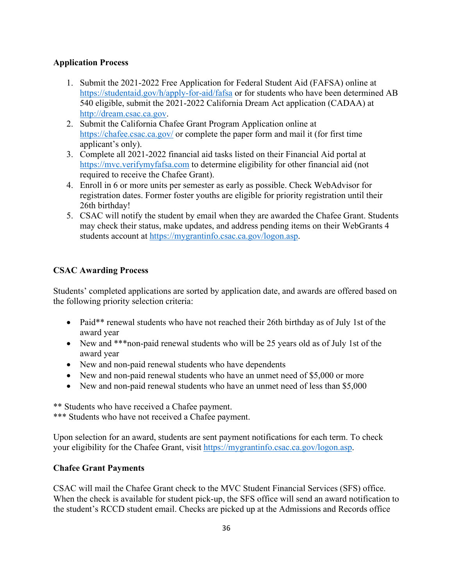### **Application Process**

- 1. Submit the 2021-2022 Free Application for Federal Student Aid (FAFSA) online at <https://studentaid.gov/h/apply-for-aid/fafsa> or for students who have been determined AB 540 eligible, submit the 2021-2022 California Dream Act application (CADAA) at [http://dream.csac.ca.gov.](http://dream.csac.ca.gov/)
- 2. Submit the California Chafee Grant Program Application online at <https://chafee.csac.ca.gov/> or complete the paper form and mail it (for first time applicant's only).
- 3. Complete all 2021-2022 financial aid tasks listed on their Financial Aid portal at [https://mvc.verifymyfafsa.com](https://mvc.verifymyfafsa.com/) to determine eligibility for other financial aid (not required to receive the Chafee Grant).
- 4. Enroll in 6 or more units per semester as early as possible. Check WebAdvisor for registration dates. Former foster youths are eligible for priority registration until their 26th birthday!
- 5. CSAC will notify the student by email when they are awarded the Chafee Grant. Students may check their status, make updates, and address pending items on their WebGrants 4 students account at [https://mygrantinfo.csac.ca.gov/logon.asp.](https://mygrantinfo.csac.ca.gov/logon.asp)

## **CSAC Awarding Process**

Students' completed applications are sorted by application date, and awards are offered based on the following priority selection criteria:

- Paid\*\* renewal students who have not reached their 26th birthday as of July 1st of the award year
- New and \*\*\* non-paid renewal students who will be 25 years old as of July 1st of the award year
- New and non-paid renewal students who have dependents
- New and non-paid renewal students who have an unmet need of \$5,000 or more
- New and non-paid renewal students who have an unmet need of less than \$5,000

\*\* Students who have received a Chafee payment. \*\*\* Students who have not received a Chafee payment.

Upon selection for an award, students are sent payment notifications for each term. To check your eligibility for the Chafee Grant, visit [https://mygrantinfo.csac.ca.gov/logon.asp.](https://mygrantinfo.csac.ca.gov/logon.asp)

### **Chafee Grant Payments**

CSAC will mail the Chafee Grant check to the MVC Student Financial Services (SFS) office. When the check is available for student pick-up, the SFS office will send an award notification to the student's RCCD student email. Checks are picked up at the Admissions and Records office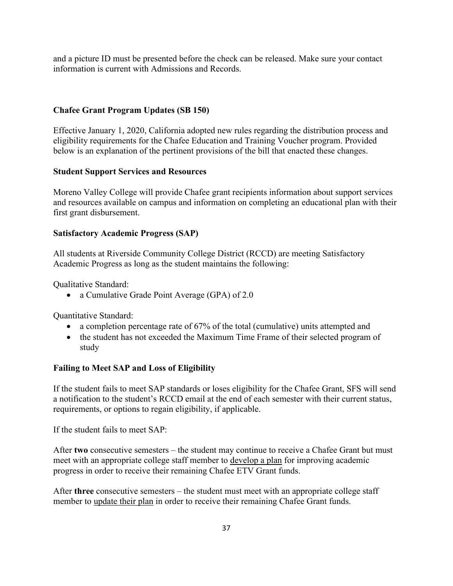and a picture ID must be presented before the check can be released. Make sure your contact information is current with Admissions and Records.

### **Chafee Grant Program Updates (SB 150)**

Effective January 1, 2020, California adopted new rules regarding the distribution process and eligibility requirements for the Chafee Education and Training Voucher program. Provided below is an explanation of the pertinent provisions of the bill that enacted these changes.

### **Student Support Services and Resources**

Moreno Valley College will provide Chafee grant recipients information about support services and resources available on campus and information on completing an educational plan with their first grant disbursement.

### **Satisfactory Academic Progress (SAP)**

All students at Riverside Community College District (RCCD) are meeting Satisfactory Academic Progress as long as the student maintains the following:

Qualitative Standard:

• a Cumulative Grade Point Average (GPA) of 2.0

Quantitative Standard:

- a completion percentage rate of 67% of the total (cumulative) units attempted and
- the student has not exceeded the Maximum Time Frame of their selected program of study

### **Failing to Meet SAP and Loss of Eligibility**

If the student fails to meet SAP standards or loses eligibility for the Chafee Grant, SFS will send a notification to the student's RCCD email at the end of each semester with their current status, requirements, or options to regain eligibility, if applicable.

If the student fails to meet SAP:

After **two** consecutive semesters – the student may continue to receive a Chafee Grant but must meet with an appropriate college staff member to develop a plan for improving academic progress in order to receive their remaining Chafee ETV Grant funds.

After **three** consecutive semesters – the student must meet with an appropriate college staff member to update their plan in order to receive their remaining Chafee Grant funds.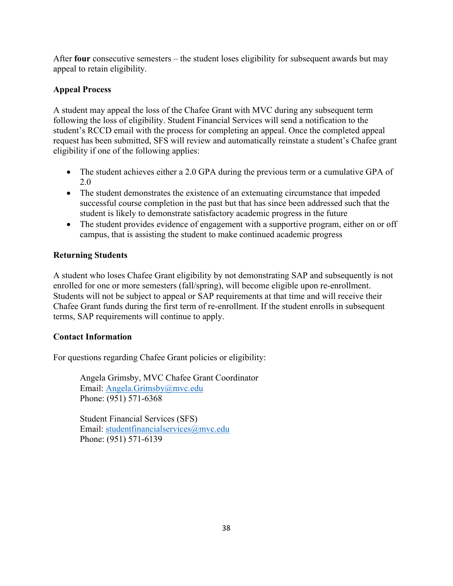After **four** consecutive semesters – the student loses eligibility for subsequent awards but may appeal to retain eligibility.

## **Appeal Process**

A student may appeal the loss of the Chafee Grant with MVC during any subsequent term following the loss of eligibility. Student Financial Services will send a notification to the student's RCCD email with the process for completing an appeal. Once the completed appeal request has been submitted, SFS will review and automatically reinstate a student's Chafee grant eligibility if one of the following applies:

- The student achieves either a 2.0 GPA during the previous term or a cumulative GPA of 2.0
- The student demonstrates the existence of an extenuating circumstance that impeded successful course completion in the past but that has since been addressed such that the student is likely to demonstrate satisfactory academic progress in the future
- The student provides evidence of engagement with a supportive program, either on or off campus, that is assisting the student to make continued academic progress

## **Returning Students**

A student who loses Chafee Grant eligibility by not demonstrating SAP and subsequently is not enrolled for one or more semesters (fall/spring), will become eligible upon re-enrollment. Students will not be subject to appeal or SAP requirements at that time and will receive their Chafee Grant funds during the first term of re-enrollment. If the student enrolls in subsequent terms, SAP requirements will continue to apply.

## **Contact Information**

For questions regarding Chafee Grant policies or eligibility:

Angela Grimsby, MVC Chafee Grant Coordinator Email: [Angela.Grimsby@mvc.edu](mailto:Angela.Grimsby@mvc.edu) Phone: (951) 571-6368

Student Financial Services (SFS) Email: [studentfinancialservices@mvc.edu](mailto:studentfinancialservices@mvc.edu) Phone: (951) 571-6139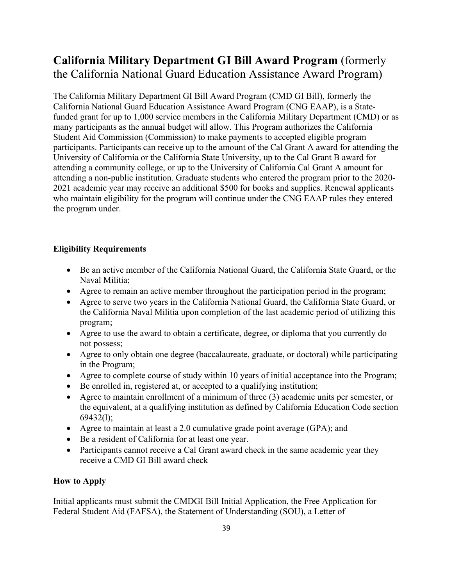# **California Military Department GI Bill Award Program** (formerly the California National Guard Education Assistance Award Program)

The California Military Department GI Bill Award Program (CMD GI Bill), formerly the California National Guard Education Assistance Award Program (CNG EAAP), is a Statefunded grant for up to 1,000 service members in the California Military Department (CMD) or as many participants as the annual budget will allow. This Program authorizes the California Student Aid Commission (Commission) to make payments to accepted eligible program participants. Participants can receive up to the amount of the Cal Grant A award for attending the University of California or the California State University, up to the Cal Grant B award for attending a community college, or up to the University of California Cal Grant A amount for attending a non-public institution. Graduate students who entered the program prior to the 2020- 2021 academic year may receive an additional \$500 for books and supplies. Renewal applicants who maintain eligibility for the program will continue under the CNG EAAP rules they entered the program under.

### **Eligibility Requirements**

- Be an active member of the California National Guard, the California State Guard, or the Naval Militia;
- Agree to remain an active member throughout the participation period in the program;
- Agree to serve two years in the California National Guard, the California State Guard, or the California Naval Militia upon completion of the last academic period of utilizing this program;
- Agree to use the award to obtain a certificate, degree, or diploma that you currently do not possess;
- Agree to only obtain one degree (baccalaureate, graduate, or doctoral) while participating in the Program;
- Agree to complete course of study within 10 years of initial acceptance into the Program;
- Be enrolled in, registered at, or accepted to a qualifying institution;
- Agree to maintain enrollment of a minimum of three (3) academic units per semester, or the equivalent, at a qualifying institution as defined by California Education Code section 69432(l);
- Agree to maintain at least a 2.0 cumulative grade point average (GPA); and
- Be a resident of California for at least one year.
- Participants cannot receive a Cal Grant award check in the same academic year they receive a CMD GI Bill award check

### **How to Apply**

Initial applicants must submit the CMDGI Bill Initial Application, the Free Application for Federal Student Aid (FAFSA), the Statement of Understanding (SOU), a Letter of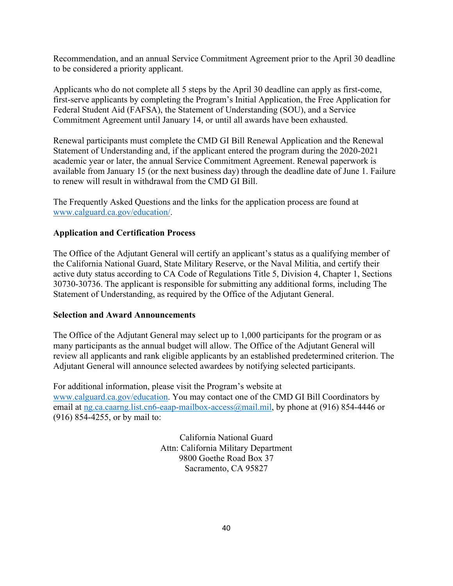Recommendation, and an annual Service Commitment Agreement prior to the April 30 deadline to be considered a priority applicant.

Applicants who do not complete all 5 steps by the April 30 deadline can apply as first-come, first-serve applicants by completing the Program's Initial Application, the Free Application for Federal Student Aid (FAFSA), the Statement of Understanding (SOU), and a Service Commitment Agreement until January 14, or until all awards have been exhausted.

Renewal participants must complete the CMD GI Bill Renewal Application and the Renewal Statement of Understanding and, if the applicant entered the program during the 2020-2021 academic year or later, the annual Service Commitment Agreement. Renewal paperwork is available from January 15 (or the next business day) through the deadline date of June 1. Failure to renew will result in withdrawal from the CMD GI Bill.

The Frequently Asked Questions and the links for the application process are found at [www.calguard.ca.gov/education/.](http://www.calguard.ca.gov/education/)

### **Application and Certification Process**

The Office of the Adjutant General will certify an applicant's status as a qualifying member of the California National Guard, State Military Reserve, or the Naval Militia, and certify their active duty status according to CA Code of Regulations Title 5, Division 4, Chapter 1, Sections 30730-30736. The applicant is responsible for submitting any additional forms, including The Statement of Understanding, as required by the Office of the Adjutant General.

### **Selection and Award Announcements**

The Office of the Adjutant General may select up to 1,000 participants for the program or as many participants as the annual budget will allow. The Office of the Adjutant General will review all applicants and rank eligible applicants by an established predetermined criterion. The Adjutant General will announce selected awardees by notifying selected participants.

For additional information, please visit the Program's website at [www.calguard.ca.gov/education.](http://www.calguard.ca.gov/education) You may contact one of the CMD GI Bill Coordinators by email at [ng.ca.caarng.list.cn6-eaap-mailbox-access@mail.mil,](mailto:ng.ca.caarng.list.cn6-eaap-mailbox-access@mail.mil) by phone at (916) 854-4446 or (916) 854-4255, or by mail to:

> California National Guard Attn: California Military Department 9800 Goethe Road Box 37 Sacramento, CA 95827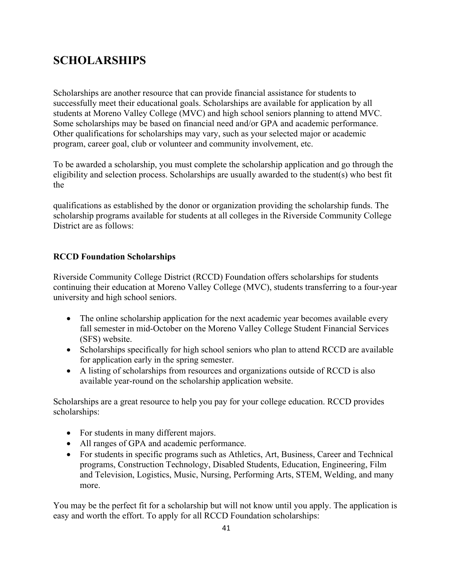# **SCHOLARSHIPS**

Scholarships are another resource that can provide financial assistance for students to successfully meet their educational goals. Scholarships are available for application by all students at Moreno Valley College (MVC) and high school seniors planning to attend MVC. Some scholarships may be based on financial need and/or GPA and academic performance. Other qualifications for scholarships may vary, such as your selected major or academic program, career goal, club or volunteer and community involvement, etc.

To be awarded a scholarship, you must complete the scholarship application and go through the eligibility and selection process. Scholarships are usually awarded to the student(s) who best fit the

qualifications as established by the donor or organization providing the scholarship funds. The scholarship programs available for students at all colleges in the Riverside Community College District are as follows:

### **RCCD Foundation Scholarships**

Riverside Community College District (RCCD) Foundation offers scholarships for students continuing their education at Moreno Valley College (MVC), students transferring to a four-year university and high school seniors.

- The online scholarship application for the next academic year becomes available every fall semester in mid-October on the Moreno Valley College Student Financial Services (SFS) website.
- Scholarships specifically for high school seniors who plan to attend RCCD are available for application early in the spring semester.
- A listing of scholarships from resources and organizations outside of RCCD is also available year-round on the scholarship application website.

Scholarships are a great resource to help you pay for your college education. RCCD provides scholarships:

- For students in many different majors.
- All ranges of GPA and academic performance.
- For students in specific programs such as Athletics, Art, Business, Career and Technical programs, Construction Technology, Disabled Students, Education, Engineering, Film and Television, Logistics, Music, Nursing, Performing Arts, STEM, Welding, and many more.

You may be the perfect fit for a scholarship but will not know until you apply. The application is easy and worth the effort. To apply for all RCCD Foundation scholarships: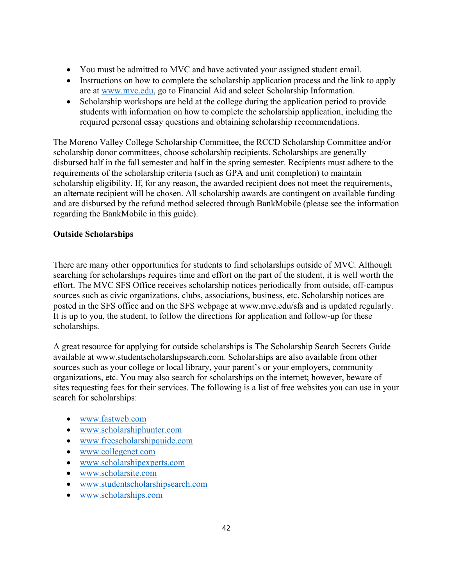- You must be admitted to MVC and have activated your assigned student email.
- Instructions on how to complete the scholarship application process and the link to apply are at [www.mvc.edu,](http://www.mvc.edu/) go to Financial Aid and select Scholarship Information.
- Scholarship workshops are held at the college during the application period to provide students with information on how to complete the scholarship application, including the required personal essay questions and obtaining scholarship recommendations.

The Moreno Valley College Scholarship Committee, the RCCD Scholarship Committee and/or scholarship donor committees, choose scholarship recipients. Scholarships are generally disbursed half in the fall semester and half in the spring semester. Recipients must adhere to the requirements of the scholarship criteria (such as GPA and unit completion) to maintain scholarship eligibility. If, for any reason, the awarded recipient does not meet the requirements, an alternate recipient will be chosen. All scholarship awards are contingent on available funding and are disbursed by the refund method selected through BankMobile (please see the information regarding the BankMobile in this guide).

## **Outside Scholarships**

There are many other opportunities for students to find scholarships outside of MVC. Although searching for scholarships requires time and effort on the part of the student, it is well worth the effort. The MVC SFS Office receives scholarship notices periodically from outside, off-campus sources such as civic organizations, clubs, associations, business, etc. Scholarship notices are posted in the SFS office and on the SFS webpage at www.mvc.edu/sfs and is updated regularly. It is up to you, the student, to follow the directions for application and follow-up for these scholarships.

A great resource for applying for outside scholarships is The Scholarship Search Secrets Guide available at www.studentscholarshipsearch.com. Scholarships are also available from other sources such as your college or local library, your parent's or your employers, community organizations, etc. You may also search for scholarships on the internet; however, beware of sites requesting fees for their services. The following is a list of free websites you can use in your search for scholarships:

- [www.fastweb.com](http://www.fastweb.com/)
- [www.scholarshiphunter.com](http://www.scholarshiphunter.com/)
- [www.freescholarshipquide.com](http://www.freescholarshipquide.com/)
- [www.collegenet.com](http://www.collegenet.com/)
- [www.scholarshipexperts.com](http://www.scholarshipexperts.com/)
- [www.scholarsite.com](http://www.scholarsite.com/)
- [www.studentscholarshipsearch.com](http://www.studentscholarshipsearch.com/)
- [www.scholarships.com](http://www.scholarships.com/)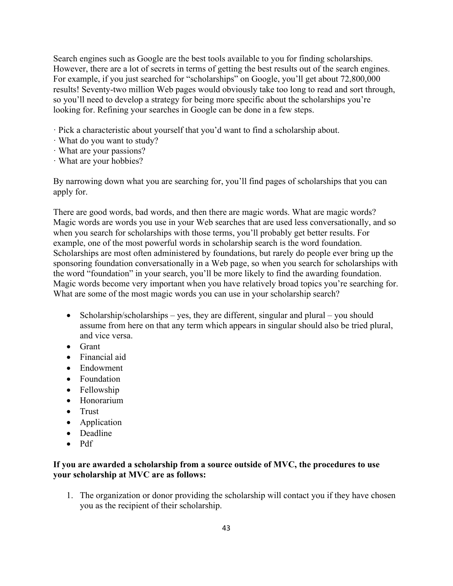Search engines such as Google are the best tools available to you for finding scholarships. However, there are a lot of secrets in terms of getting the best results out of the search engines. For example, if you just searched for "scholarships" on Google, you'll get about 72,800,000 results! Seventy-two million Web pages would obviously take too long to read and sort through, so you'll need to develop a strategy for being more specific about the scholarships you're looking for. Refining your searches in Google can be done in a few steps.

- · Pick a characteristic about yourself that you'd want to find a scholarship about.
- · What do you want to study?
- · What are your passions?
- · What are your hobbies?

By narrowing down what you are searching for, you'll find pages of scholarships that you can apply for.

There are good words, bad words, and then there are magic words. What are magic words? Magic words are words you use in your Web searches that are used less conversationally, and so when you search for scholarships with those terms, you'll probably get better results. For example, one of the most powerful words in scholarship search is the word foundation. Scholarships are most often administered by foundations, but rarely do people ever bring up the sponsoring foundation conversationally in a Web page, so when you search for scholarships with the word "foundation" in your search, you'll be more likely to find the awarding foundation. Magic words become very important when you have relatively broad topics you're searching for. What are some of the most magic words you can use in your scholarship search?

- Scholarship/scholarships yes, they are different, singular and plural you should assume from here on that any term which appears in singular should also be tried plural, and vice versa.
- Grant
- Financial aid
- Endowment
- Foundation
- Fellowship
- Honorarium
- Trust
- Application
- Deadline
- Pdf

### **If you are awarded a scholarship from a source outside of MVC, the procedures to use your scholarship at MVC are as follows:**

1. The organization or donor providing the scholarship will contact you if they have chosen you as the recipient of their scholarship.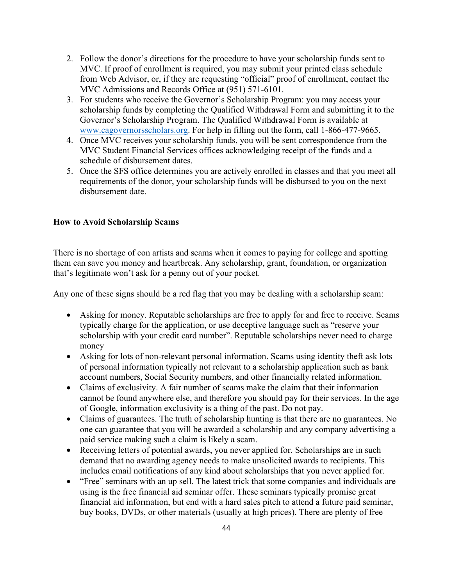- 2. Follow the donor's directions for the procedure to have your scholarship funds sent to MVC. If proof of enrollment is required, you may submit your printed class schedule from Web Advisor, or, if they are requesting "official" proof of enrollment, contact the MVC Admissions and Records Office at (951) 571-6101.
- 3. For students who receive the Governor's Scholarship Program: you may access your scholarship funds by completing the Qualified Withdrawal Form and submitting it to the Governor's Scholarship Program. The Qualified Withdrawal Form is available at [www.cagovernorsscholars.org.](http://www.cagovernorsscholars.org/) For help in filling out the form, call 1-866-477-9665.
- 4. Once MVC receives your scholarship funds, you will be sent correspondence from the MVC Student Financial Services offices acknowledging receipt of the funds and a schedule of disbursement dates.
- 5. Once the SFS office determines you are actively enrolled in classes and that you meet all requirements of the donor, your scholarship funds will be disbursed to you on the next disbursement date.

#### **How to Avoid Scholarship Scams**

There is no shortage of con artists and scams when it comes to paying for college and spotting them can save you money and heartbreak. Any scholarship, grant, foundation, or organization that's legitimate won't ask for a penny out of your pocket.

Any one of these signs should be a red flag that you may be dealing with a scholarship scam:

- Asking for money. Reputable scholarships are free to apply for and free to receive. Scams typically charge for the application, or use deceptive language such as "reserve your scholarship with your credit card number". Reputable scholarships never need to charge money
- Asking for lots of non-relevant personal information. Scams using identity theft ask lots of personal information typically not relevant to a scholarship application such as bank account numbers, Social Security numbers, and other financially related information.
- Claims of exclusivity. A fair number of scams make the claim that their information cannot be found anywhere else, and therefore you should pay for their services. In the age of Google, information exclusivity is a thing of the past. Do not pay.
- Claims of guarantees. The truth of scholarship hunting is that there are no guarantees. No one can guarantee that you will be awarded a scholarship and any company advertising a paid service making such a claim is likely a scam.
- Receiving letters of potential awards, you never applied for. Scholarships are in such demand that no awarding agency needs to make unsolicited awards to recipients. This includes email notifications of any kind about scholarships that you never applied for.
- "Free" seminars with an up sell. The latest trick that some companies and individuals are using is the free financial aid seminar offer. These seminars typically promise great financial aid information, but end with a hard sales pitch to attend a future paid seminar, buy books, DVDs, or other materials (usually at high prices). There are plenty of free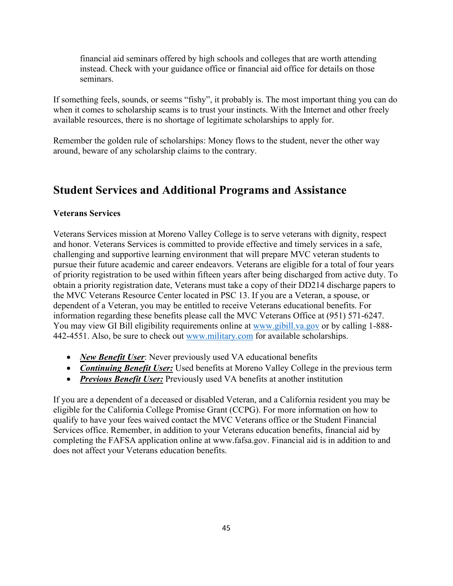financial aid seminars offered by high schools and colleges that are worth attending instead. Check with your guidance office or financial aid office for details on those seminars.

If something feels, sounds, or seems "fishy", it probably is. The most important thing you can do when it comes to scholarship scams is to trust your instincts. With the Internet and other freely available resources, there is no shortage of legitimate scholarships to apply for.

Remember the golden rule of scholarships: Money flows to the student, never the other way around, beware of any scholarship claims to the contrary.

## **Student Services and Additional Programs and Assistance**

#### **Veterans Services**

Veterans Services mission at Moreno Valley College is to serve veterans with dignity, respect and honor. Veterans Services is committed to provide effective and timely services in a safe, challenging and supportive learning environment that will prepare MVC veteran students to pursue their future academic and career endeavors. Veterans are eligible for a total of four years of priority registration to be used within fifteen years after being discharged from active duty. To obtain a priority registration date, Veterans must take a copy of their DD214 discharge papers to the MVC Veterans Resource Center located in PSC 13. If you are a Veteran, a spouse, or dependent of a Veteran, you may be entitled to receive Veterans educational benefits. For information regarding these benefits please call the MVC Veterans Office at (951) 571-6247. You may view GI Bill eligibility requirements online at [www.gibill.va.gov](http://www.gibill.va.gov/) or by calling 1-888-442-4551. Also, be sure to check out [www.military.com](http://www.military.com/) for available scholarships.

- *New Benefit User*: Never previously used VA educational benefits
- *Continuing Benefit User:* Used benefits at Moreno Valley College in the previous term
- *Previous Benefit User:* Previously used VA benefits at another institution

If you are a dependent of a deceased or disabled Veteran, and a California resident you may be eligible for the California College Promise Grant (CCPG). For more information on how to qualify to have your fees waived contact the MVC Veterans office or the Student Financial Services office. Remember, in addition to your Veterans education benefits, financial aid by completing the FAFSA application online at www.fafsa.gov. Financial aid is in addition to and does not affect your Veterans education benefits.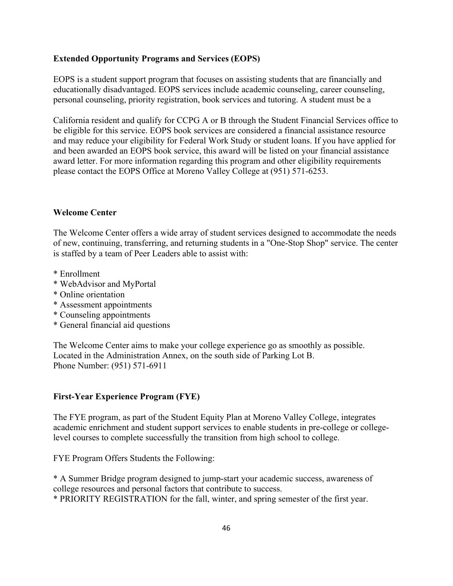### **Extended Opportunity Programs and Services (EOPS)**

EOPS is a student support program that focuses on assisting students that are financially and educationally disadvantaged. EOPS services include academic counseling, career counseling, personal counseling, priority registration, book services and tutoring. A student must be a

California resident and qualify for CCPG A or B through the Student Financial Services office to be eligible for this service. EOPS book services are considered a financial assistance resource and may reduce your eligibility for Federal Work Study or student loans. If you have applied for and been awarded an EOPS book service, this award will be listed on your financial assistance award letter. For more information regarding this program and other eligibility requirements please contact the EOPS Office at Moreno Valley College at (951) 571-6253.

#### **Welcome Center**

The Welcome Center offers a wide array of student services designed to accommodate the needs of new, continuing, transferring, and returning students in a "One-Stop Shop" service. The center is staffed by a team of Peer Leaders able to assist with:

- \* Enrollment
- \* WebAdvisor and MyPortal
- \* Online orientation
- \* Assessment appointments
- \* Counseling appointments
- \* General financial aid questions

The Welcome Center aims to make your college experience go as smoothly as possible. Located in the Administration Annex, on the south side of Parking Lot B. Phone Number: (951) 571-6911

### **First-Year Experience Program (FYE)**

The FYE program, as part of the Student Equity Plan at Moreno Valley College, integrates academic enrichment and student support services to enable students in pre-college or collegelevel courses to complete successfully the transition from high school to college.

FYE Program Offers Students the Following:

\* A Summer Bridge program designed to jump-start your academic success, awareness of college resources and personal factors that contribute to success.

\* PRIORITY REGISTRATION for the fall, winter, and spring semester of the first year.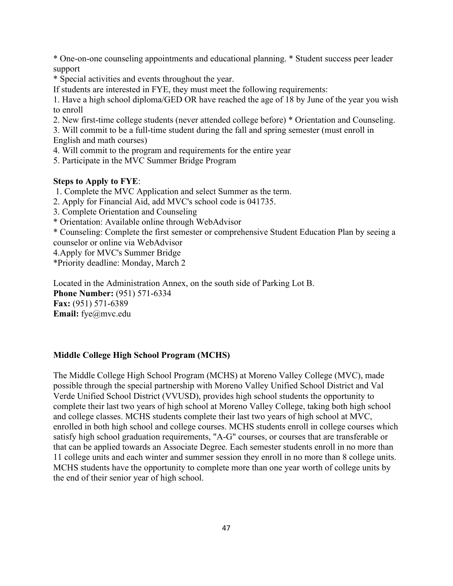\* One-on-one counseling appointments and educational planning. \* Student success peer leader support

\* Special activities and events throughout the year.

If students are interested in FYE, they must meet the following requirements:

1. Have a high school diploma/GED OR have reached the age of 18 by June of the year you wish to enroll

2. New first-time college students (never attended college before) \* Orientation and Counseling.

3. Will commit to be a full-time student during the fall and spring semester (must enroll in English and math courses)

4. Will commit to the program and requirements for the entire year

5. Participate in the MVC Summer Bridge Program

#### **Steps to Apply to FYE**:

- 1. Complete the MVC Application and select Summer as the term.
- 2. Apply for Financial Aid, add MVC's school code is 041735.

3. Complete Orientation and Counseling

\* Orientation: Available online through WebAdvisor

\* Counseling: Complete the first semester or comprehensive Student Education Plan by seeing a counselor or online via WebAdvisor

4.Apply for MVC's Summer Bridge

\*Priority deadline: Monday, March 2

Located in the Administration Annex, on the south side of Parking Lot B. **Phone Number:** (951) 571-6334 **Fax:** (951) 571-6389 **Email:** fye@mvc.edu

### **Middle College High School Program (MCHS)**

The Middle College High School Program (MCHS) at Moreno Valley College (MVC), made possible through the special partnership with Moreno Valley Unified School District and Val Verde Unified School District (VVUSD), provides high school students the opportunity to complete their last two years of high school at Moreno Valley College, taking both high school and college classes. MCHS students complete their last two years of high school at MVC, enrolled in both high school and college courses. MCHS students enroll in college courses which satisfy high school graduation requirements, "A-G" courses, or courses that are transferable or that can be applied towards an Associate Degree. Each semester students enroll in no more than 11 college units and each winter and summer session they enroll in no more than 8 college units. MCHS students have the opportunity to complete more than one year worth of college units by the end of their senior year of high school.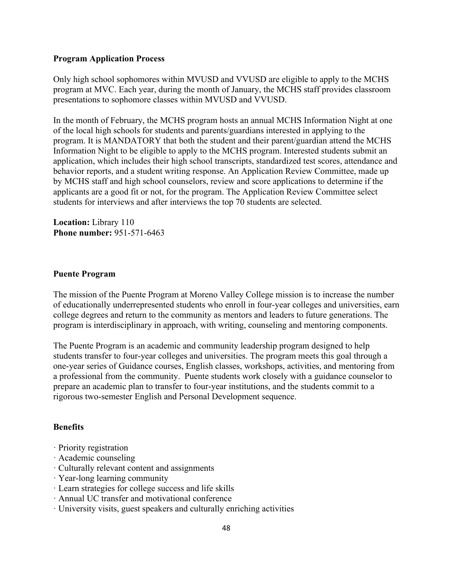#### **Program Application Process**

Only high school sophomores within MVUSD and VVUSD are eligible to apply to the MCHS program at MVC. Each year, during the month of January, the MCHS staff provides classroom presentations to sophomore classes within MVUSD and VVUSD.

In the month of February, the MCHS program hosts an annual MCHS Information Night at one of the local high schools for students and parents/guardians interested in applying to the program. It is MANDATORY that both the student and their parent/guardian attend the MCHS Information Night to be eligible to apply to the MCHS program. Interested students submit an application, which includes their high school transcripts, standardized test scores, attendance and behavior reports, and a student writing response. An Application Review Committee, made up by MCHS staff and high school counselors, review and score applications to determine if the applicants are a good fit or not, for the program. The Application Review Committee select students for interviews and after interviews the top 70 students are selected.

**Location:** Library 110 **Phone number:** 951-571-6463

#### **Puente Program**

The mission of the Puente Program at Moreno Valley College mission is to increase the number of educationally underrepresented students who enroll in four-year colleges and universities, earn college degrees and return to the community as mentors and leaders to future generations. The program is interdisciplinary in approach, with writing, counseling and mentoring components.

The Puente Program is an academic and community leadership program designed to help students transfer to four-year colleges and universities. The program meets this goal through a one-year series of Guidance courses, English classes, workshops, activities, and mentoring from a professional from the community. Puente students work closely with a guidance counselor to prepare an academic plan to transfer to four-year institutions, and the students commit to a rigorous two-semester English and Personal Development sequence.

### **Benefits**

- · Priority registration
- · Academic counseling
- · Culturally relevant content and assignments
- · Year-long learning community
- · Learn strategies for college success and life skills
- · Annual UC transfer and motivational conference
- · University visits, guest speakers and culturally enriching activities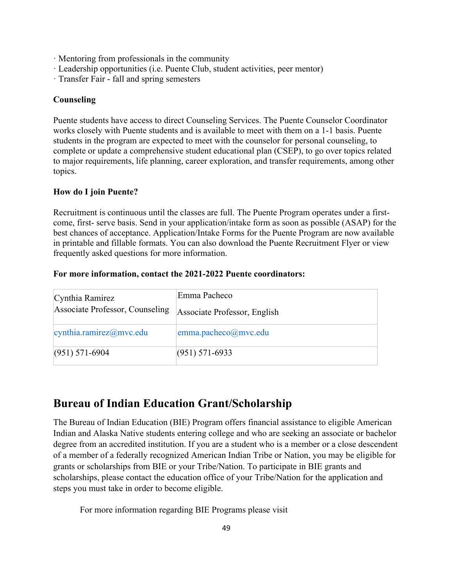- · Mentoring from professionals in the community
- · Leadership opportunities (i.e. Puente Club, student activities, peer mentor)
- · Transfer Fair fall and spring semesters

#### **Counseling**

Puente students have access to direct Counseling Services. The Puente Counselor Coordinator works closely with Puente students and is available to meet with them on a 1-1 basis. Puente students in the program are expected to meet with the counselor for personal counseling, to complete or update a comprehensive student educational plan (CSEP), to go over topics related to major requirements, life planning, career exploration, and transfer requirements, among other topics.

#### **How do I join Puente?**

Recruitment is continuous until the classes are full. The Puente Program operates under a firstcome, first- serve basis. Send in your application/intake form as soon as possible (ASAP) for the best chances of acceptance. Application/Intake Forms for the Puente Program are now available in printable and fillable formats. You can also download the Puente Recruitment Flyer or view frequently asked questions for more information.

#### **For more information, contact the 2021-2022 Puente coordinators:**

| Cynthia Ramirez<br>Associate Professor, Counseling | Emma Pacheco<br>Associate Professor, English |
|----------------------------------------------------|----------------------------------------------|
| cyntha.ramirez@mvc.edu                             | emma.pacheco@mvc.edu                         |
| $(951)$ 571-6904                                   | $(951) 571-6933$                             |

## **Bureau of Indian Education Grant/Scholarship**

The Bureau of Indian Education (BIE) Program offers financial assistance to eligible American Indian and Alaska Native students entering college and who are seeking an associate or bachelor degree from an accredited institution. If you are a student who is a member or a close descendent of a member of a federally recognized American Indian Tribe or Nation, you may be eligible for grants or scholarships from BIE or your Tribe/Nation. To participate in BIE grants and scholarships, please contact the education office of your Tribe/Nation for the application and steps you must take in order to become eligible.

For more information regarding BIE Programs please visit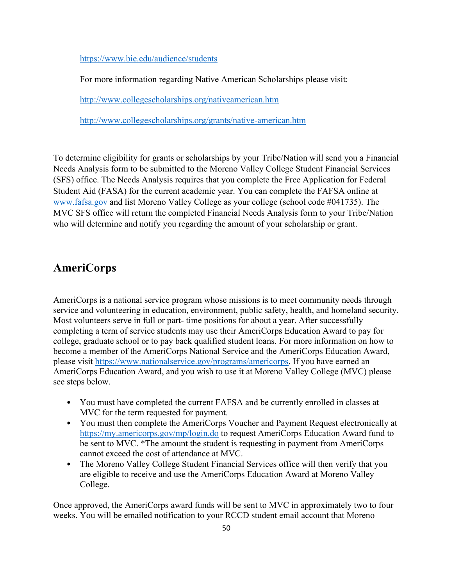<https://www.bie.edu/audience/students>

For more information regarding Native American Scholarships please visit:

<http://www.collegescholarships.org/nativeamerican.htm>

<http://www.collegescholarships.org/grants/native-american.htm>

To determine eligibility for grants or scholarships by your Tribe/Nation will send you a Financial Needs Analysis form to be submitted to the Moreno Valley College Student Financial Services (SFS) office. The Needs Analysis requires that you complete the Free Application for Federal Student Aid (FASA) for the current academic year. You can complete the FAFSA online at [www.fafsa.gov](http://www.fafsa.gov/) and list Moreno Valley College as your college (school code #041735). The MVC SFS office will return the completed Financial Needs Analysis form to your Tribe/Nation who will determine and notify you regarding the amount of your scholarship or grant.

## **AmeriCorps**

AmeriCorps is a national service program whose missions is to meet community needs through service and volunteering in education, environment, public safety, health, and homeland security. Most volunteers serve in full or part- time positions for about a year. After successfully completing a term of service students may use their AmeriCorps Education Award to pay for college, graduate school or to pay back qualified student loans. For more information on how to become a member of the AmeriCorps National Service and the AmeriCorps Education Award, please visit [https://www.nationalservice.gov/programs/americorps.](https://www.nationalservice.gov/programs/americorps) If you have earned an AmeriCorps Education Award, and you wish to use it at Moreno Valley College (MVC) please see steps below.

- You must have completed the current FAFSA and be currently enrolled in classes at MVC for the term requested for payment.
- You must then complete the AmeriCorps Voucher and Payment Request electronically at <https://my.americorps.gov/mp/login.do> to request AmeriCorps Education Award fund to be sent to MVC. \*The amount the student is requesting in payment from AmeriCorps cannot exceed the cost of attendance at MVC.
- The Moreno Valley College Student Financial Services office will then verify that you are eligible to receive and use the AmeriCorps Education Award at Moreno Valley College.

Once approved, the AmeriCorps award funds will be sent to MVC in approximately two to four weeks. You will be emailed notification to your RCCD student email account that Moreno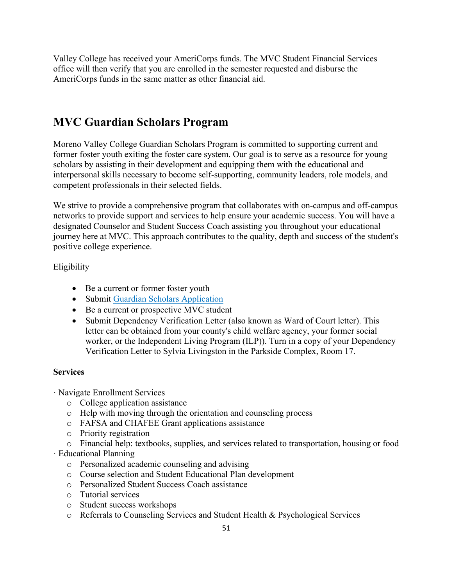Valley College has received your AmeriCorps funds. The MVC Student Financial Services office will then verify that you are enrolled in the semester requested and disburse the AmeriCorps funds in the same matter as other financial aid.

# **MVC Guardian Scholars Program**

Moreno Valley College Guardian Scholars Program is committed to supporting current and former foster youth exiting the foster care system. Our goal is to serve as a resource for young scholars by assisting in their development and equipping them with the educational and interpersonal skills necessary to become self-supporting, community leaders, role models, and competent professionals in their selected fields.

We strive to provide a comprehensive program that collaborates with on-campus and off-campus networks to provide support and services to help ensure your academic success. You will have a designated Counselor and Student Success Coach assisting you throughout your educational journey here at MVC. This approach contributes to the quality, depth and success of the student's positive college experience.

Eligibility

- Be a current or former foster youth
- Submit Guardian Scholars Application
- Be a current or prospective MVC student
- Submit Dependency Verification Letter (also known as Ward of Court letter). This letter can be obtained from your county's child welfare agency, your former social worker, or the Independent Living Program (ILP)). Turn in a copy of your Dependency Verification Letter to Sylvia Livingston in the Parkside Complex, Room 17.

## **Services**

- · Navigate Enrollment Services
	- o College application assistance
	- o Help with moving through the orientation and counseling process
	- o FAFSA and CHAFEE Grant applications assistance
	- o Priority registration
	- o Financial help: textbooks, supplies, and services related to transportation, housing or food
- · Educational Planning
	- o Personalized academic counseling and advising
	- o Course selection and Student Educational Plan development
	- o Personalized Student Success Coach assistance
	- o Tutorial services
	- o Student success workshops
	- o Referrals to Counseling Services and Student Health & Psychological Services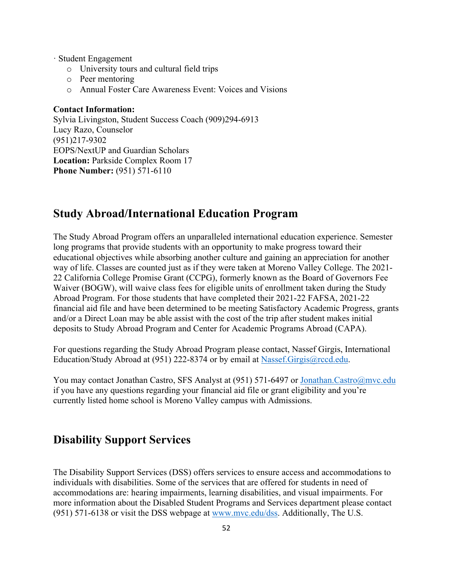- · Student Engagement
	- o University tours and cultural field trips
	- o Peer mentoring
	- o Annual Foster Care Awareness Event: Voices and Visions

#### **Contact Information:**

Sylvia Livingston, Student Success Coach (909)294-6913 Lucy Razo, Counselor (951)217-9302 EOPS/NextUP and Guardian Scholars **Location:** Parkside Complex Room 17 **Phone Number:** (951) 571-6110

## **Study Abroad/International Education Program**

The Study Abroad Program offers an unparalleled international education experience. Semester long programs that provide students with an opportunity to make progress toward their educational objectives while absorbing another culture and gaining an appreciation for another way of life. Classes are counted just as if they were taken at Moreno Valley College. The 2021- 22 California College Promise Grant (CCPG), formerly known as the Board of Governors Fee Waiver (BOGW), will waive class fees for eligible units of enrollment taken during the Study Abroad Program. For those students that have completed their 2021-22 FAFSA, 2021-22 financial aid file and have been determined to be meeting Satisfactory Academic Progress, grants and/or a Direct Loan may be able assist with the cost of the trip after student makes initial deposits to Study Abroad Program and Center for Academic Programs Abroad (CAPA).

For questions regarding the Study Abroad Program please contact, Nassef Girgis, International Education/Study Abroad at (951) 222-8374 or by email at [Nassef.Girgis@rccd.edu.](mailto:Nassef.Girgis@rccd.edu)

You may contact Jonathan Castro, SFS Analyst at (951) 571-6497 or [Jonathan.Castro@mvc.edu](mailto:Jonathan.Castro@mvc.edu) if you have any questions regarding your financial aid file or grant eligibility and you're currently listed home school is Moreno Valley campus with Admissions.

## **Disability Support Services**

The Disability Support Services (DSS) offers services to ensure access and accommodations to individuals with disabilities. Some of the services that are offered for students in need of accommodations are: hearing impairments, learning disabilities, and visual impairments. For more information about the Disabled Student Programs and Services department please contact (951) 571-6138 or visit the DSS webpage at [www.mvc.edu/dss.](http://www.mvc.edu/dss) Additionally, The U.S.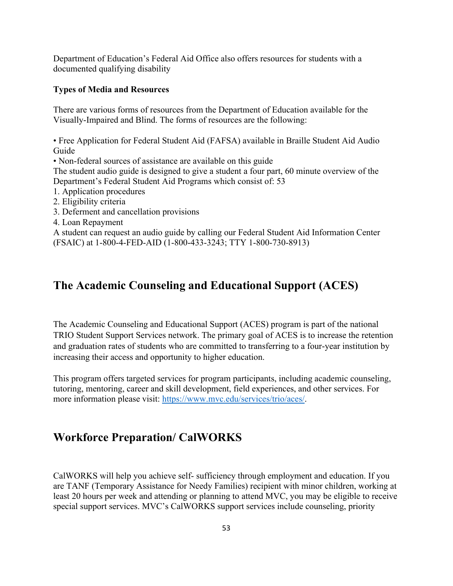Department of Education's Federal Aid Office also offers resources for students with a documented qualifying disability

#### **Types of Media and Resources**

There are various forms of resources from the Department of Education available for the Visually-Impaired and Blind. The forms of resources are the following:

• Free Application for Federal Student Aid (FAFSA) available in Braille Student Aid Audio Guide

• Non-federal sources of assistance are available on this guide

The student audio guide is designed to give a student a four part, 60 minute overview of the Department's Federal Student Aid Programs which consist of: 53

1. Application procedures

- 2. Eligibility criteria
- 3. Deferment and cancellation provisions
- 4. Loan Repayment

A student can request an audio guide by calling our Federal Student Aid Information Center (FSAIC) at 1-800-4-FED-AID (1-800-433-3243; TTY 1-800-730-8913)

## **The Academic Counseling and Educational Support (ACES)**

The Academic Counseling and Educational Support (ACES) program is part of the national TRIO Student Support Services network. The primary goal of ACES is to increase the retention and graduation rates of students who are committed to transferring to a four-year institution by increasing their access and opportunity to higher education.

This program offers targeted services for program participants, including academic counseling, tutoring, mentoring, career and skill development, field experiences, and other services. For more information please visit: [https://www.mvc.edu/services/trio/aces/.](https://www.mvc.edu/services/trio/aces/)

## **Workforce Preparation/ CalWORKS**

CalWORKS will help you achieve self- sufficiency through employment and education. If you are TANF (Temporary Assistance for Needy Families) recipient with minor children, working at least 20 hours per week and attending or planning to attend MVC, you may be eligible to receive special support services. MVC's CalWORKS support services include counseling, priority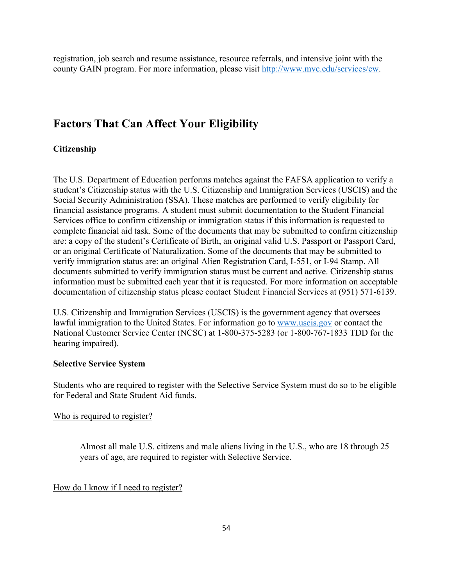registration, job search and resume assistance, resource referrals, and intensive joint with the county GAIN program. For more information, please visit [http://www.mvc.edu/services/cw.](http://www.mvc.edu/services/cw)

## **Factors That Can Affect Your Eligibility**

#### **Citizenship**

The U.S. Department of Education performs matches against the FAFSA application to verify a student's Citizenship status with the U.S. Citizenship and Immigration Services (USCIS) and the Social Security Administration (SSA). These matches are performed to verify eligibility for financial assistance programs. A student must submit documentation to the Student Financial Services office to confirm citizenship or immigration status if this information is requested to complete financial aid task. Some of the documents that may be submitted to confirm citizenship are: a copy of the student's Certificate of Birth, an original valid U.S. Passport or Passport Card, or an original Certificate of Naturalization. Some of the documents that may be submitted to verify immigration status are: an original Alien Registration Card, I-551, or I-94 Stamp. All documents submitted to verify immigration status must be current and active. Citizenship status information must be submitted each year that it is requested. For more information on acceptable documentation of citizenship status please contact Student Financial Services at (951) 571-6139.

U.S. Citizenship and Immigration Services (USCIS) is the government agency that oversees lawful immigration to the United States. For information go to [www.uscis.gov](http://www.uscis.gov/) or contact the National Customer Service Center (NCSC) at 1-800-375-5283 (or 1-800-767-1833 TDD for the hearing impaired).

### **Selective Service System**

Students who are required to register with the Selective Service System must do so to be eligible for Federal and State Student Aid funds.

#### Who is required to register?

Almost all male U.S. citizens and male aliens living in the U.S., who are 18 through 25 years of age, are required to register with Selective Service.

#### How do I know if I need to register?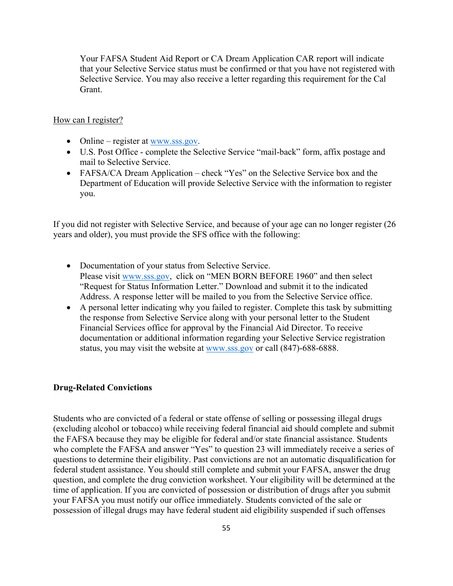Your FAFSA Student Aid Report or CA Dream Application CAR report will indicate that your Selective Service status must be confirmed or that you have not registered with Selective Service. You may also receive a letter regarding this requirement for the Cal Grant.

#### How can I register?

- Online register at  $\frac{www.sss.gov}{.}$
- U.S. Post Office complete the Selective Service "mail-back" form, affix postage and mail to Selective Service.
- FAFSA/CA Dream Application check "Yes" on the Selective Service box and the Department of Education will provide Selective Service with the information to register you.

If you did not register with Selective Service, and because of your age can no longer register (26 years and older), you must provide the SFS office with the following:

- Documentation of your status from Selective Service. Please visit [www.sss.gov,](http://www.sss.gov/) click on "MEN BORN BEFORE 1960" and then select "Request for Status Information Letter." Download and submit it to the indicated Address. A response letter will be mailed to you from the Selective Service office.
- A personal letter indicating why you failed to register. Complete this task by submitting the response from Selective Service along with your personal letter to the Student Financial Services office for approval by the Financial Aid Director. To receive documentation or additional information regarding your Selective Service registration status, you may visit the website at [www.sss.gov](http://www.sss.gov/) or call (847)-688-6888.

#### **Drug-Related Convictions**

Students who are convicted of a federal or state offense of selling or possessing illegal drugs (excluding alcohol or tobacco) while receiving federal financial aid should complete and submit the FAFSA because they may be eligible for federal and/or state financial assistance. Students who complete the FAFSA and answer "Yes" to question 23 will immediately receive a series of questions to determine their eligibility. Past convictions are not an automatic disqualification for federal student assistance. You should still complete and submit your FAFSA, answer the drug question, and complete the drug conviction worksheet. Your eligibility will be determined at the time of application. If you are convicted of possession or distribution of drugs after you submit your FAFSA you must notify our office immediately. Students convicted of the sale or possession of illegal drugs may have federal student aid eligibility suspended if such offenses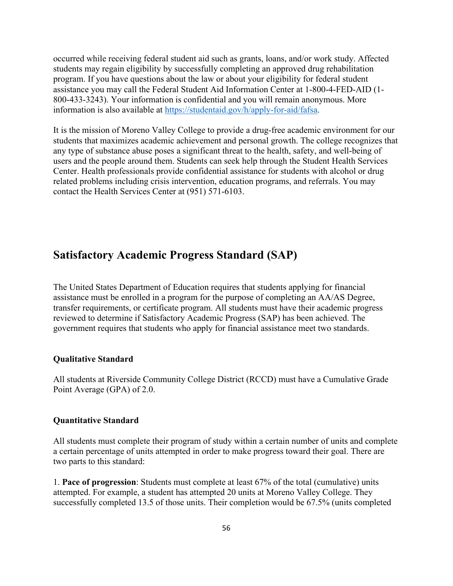occurred while receiving federal student aid such as grants, loans, and/or work study. Affected students may regain eligibility by successfully completing an approved drug rehabilitation program. If you have questions about the law or about your eligibility for federal student assistance you may call the Federal Student Aid Information Center at 1-800-4-FED-AID (1- 800-433-3243). Your information is confidential and you will remain anonymous. More information is also available at [https://studentaid.gov/h/apply-for-aid/fafsa.](https://studentaid.gov/h/apply-for-aid/fafsa)

It is the mission of Moreno Valley College to provide a drug-free academic environment for our students that maximizes academic achievement and personal growth. The college recognizes that any type of substance abuse poses a significant threat to the health, safety, and well-being of users and the people around them. Students can seek help through the Student Health Services Center. Health professionals provide confidential assistance for students with alcohol or drug related problems including crisis intervention, education programs, and referrals. You may contact the Health Services Center at (951) 571-6103.

## **Satisfactory Academic Progress Standard (SAP)**

The United States Department of Education requires that students applying for financial assistance must be enrolled in a program for the purpose of completing an AA/AS Degree, transfer requirements, or certificate program. All students must have their academic progress reviewed to determine if Satisfactory Academic Progress (SAP) has been achieved. The government requires that students who apply for financial assistance meet two standards.

#### **Qualitative Standard**

All students at Riverside Community College District (RCCD) must have a Cumulative Grade Point Average (GPA) of 2.0.

#### **Quantitative Standard**

All students must complete their program of study within a certain number of units and complete a certain percentage of units attempted in order to make progress toward their goal. There are two parts to this standard:

1. **Pace of progression**: Students must complete at least 67% of the total (cumulative) units attempted. For example, a student has attempted 20 units at Moreno Valley College. They successfully completed 13.5 of those units. Their completion would be 67.5% (units completed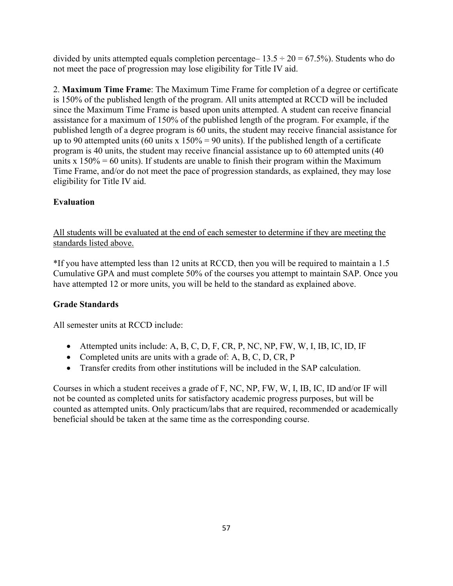divided by units attempted equals completion percentage –  $13.5 \div 20 = 67.5\%$ ). Students who do not meet the pace of progression may lose eligibility for Title IV aid.

2. **Maximum Time Frame**: The Maximum Time Frame for completion of a degree or certificate is 150% of the published length of the program. All units attempted at RCCD will be included since the Maximum Time Frame is based upon units attempted. A student can receive financial assistance for a maximum of 150% of the published length of the program. For example, if the published length of a degree program is 60 units, the student may receive financial assistance for up to 90 attempted units (60 units x  $150\% = 90$  units). If the published length of a certificate program is 40 units, the student may receive financial assistance up to 60 attempted units (40 units x  $150\% = 60$  units). If students are unable to finish their program within the Maximum Time Frame, and/or do not meet the pace of progression standards, as explained, they may lose eligibility for Title IV aid.

## **Evaluation**

All students will be evaluated at the end of each semester to determine if they are meeting the standards listed above.

\*If you have attempted less than 12 units at RCCD, then you will be required to maintain a 1.5 Cumulative GPA and must complete 50% of the courses you attempt to maintain SAP. Once you have attempted 12 or more units, you will be held to the standard as explained above.

## **Grade Standards**

All semester units at RCCD include:

- Attempted units include: A, B, C, D, F, CR, P, NC, NP, FW, W, I, IB, IC, ID, IF
- Completed units are units with a grade of: A, B, C, D, CR, P
- Transfer credits from other institutions will be included in the SAP calculation.

Courses in which a student receives a grade of F, NC, NP, FW, W, I, IB, IC, ID and/or IF will not be counted as completed units for satisfactory academic progress purposes, but will be counted as attempted units. Only practicum/labs that are required, recommended or academically beneficial should be taken at the same time as the corresponding course.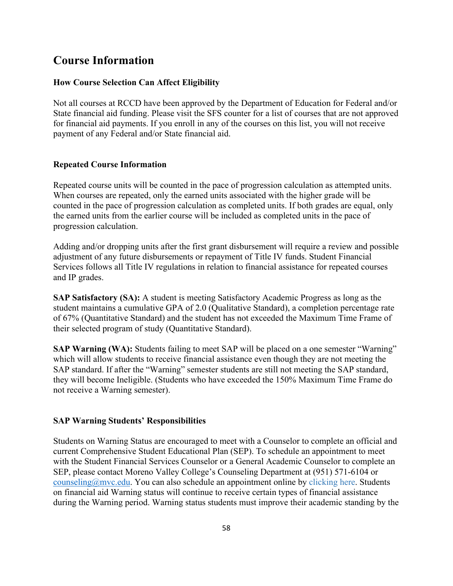## **Course Information**

#### **How Course Selection Can Affect Eligibility**

Not all courses at RCCD have been approved by the Department of Education for Federal and/or State financial aid funding. Please visit the SFS counter for a list of courses that are not approved for financial aid payments. If you enroll in any of the courses on this list, you will not receive payment of any Federal and/or State financial aid.

#### **Repeated Course Information**

Repeated course units will be counted in the pace of progression calculation as attempted units. When courses are repeated, only the earned units associated with the higher grade will be counted in the pace of progression calculation as completed units. If both grades are equal, only the earned units from the earlier course will be included as completed units in the pace of progression calculation.

Adding and/or dropping units after the first grant disbursement will require a review and possible adjustment of any future disbursements or repayment of Title IV funds. Student Financial Services follows all Title IV regulations in relation to financial assistance for repeated courses and IP grades.

**SAP Satisfactory (SA):** A student is meeting Satisfactory Academic Progress as long as the student maintains a cumulative GPA of 2.0 (Qualitative Standard), a completion percentage rate of 67% (Quantitative Standard) and the student has not exceeded the Maximum Time Frame of their selected program of study (Quantitative Standard).

**SAP Warning (WA):** Students failing to meet SAP will be placed on a one semester "Warning" which will allow students to receive financial assistance even though they are not meeting the SAP standard. If after the "Warning" semester students are still not meeting the SAP standard, they will become Ineligible. (Students who have exceeded the 150% Maximum Time Frame do not receive a Warning semester).

#### **SAP Warning Students' Responsibilities**

Students on Warning Status are encouraged to meet with a Counselor to complete an official and current Comprehensive Student Educational Plan (SEP). To schedule an appointment to meet with the Student Financial Services Counselor or a General Academic Counselor to complete an SEP, please contact Moreno Valley College's Counseling Department at (951) 571-6104 or [counseling@mvc.edu.](mailto:counseling@mvc.edu) You can also schedule an appointment online by clicking here. Students on financial aid Warning status will continue to receive certain types of financial assistance during the Warning period. Warning status students must improve their academic standing by the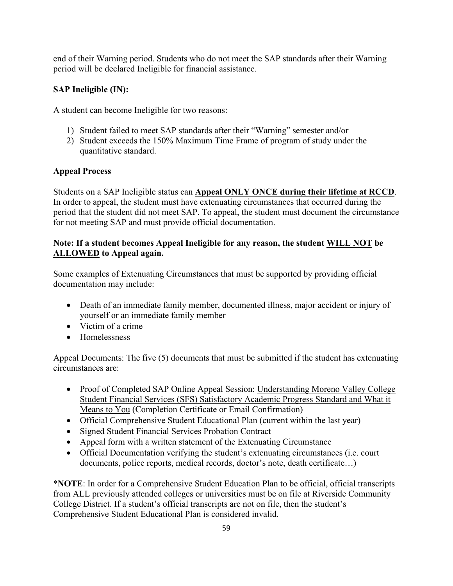end of their Warning period. Students who do not meet the SAP standards after their Warning period will be declared Ineligible for financial assistance.

## **SAP Ineligible (IN):**

A student can become Ineligible for two reasons:

- 1) Student failed to meet SAP standards after their "Warning" semester and/or
- 2) Student exceeds the 150% Maximum Time Frame of program of study under the quantitative standard.

## **Appeal Process**

Students on a SAP Ineligible status can **Appeal ONLY ONCE during their lifetime at RCCD**. In order to appeal, the student must have extenuating circumstances that occurred during the period that the student did not meet SAP. To appeal, the student must document the circumstance for not meeting SAP and must provide official documentation.

## **Note: If a student becomes Appeal Ineligible for any reason, the student WILL NOT be ALLOWED to Appeal again.**

Some examples of Extenuating Circumstances that must be supported by providing official documentation may include:

- Death of an immediate family member, documented illness, major accident or injury of yourself or an immediate family member
- Victim of a crime
- Homelessness

Appeal Documents: The five (5) documents that must be submitted if the student has extenuating circumstances are:

- Proof of Completed SAP Online Appeal Session: Understanding Moreno Valley College Student Financial Services (SFS) Satisfactory Academic Progress Standard and What it Means to You (Completion Certificate or Email Confirmation)
- Official Comprehensive Student Educational Plan (current within the last year)
- Signed Student Financial Services Probation Contract
- Appeal form with a written statement of the Extenuating Circumstance
- Official Documentation verifying the student's extenuating circumstances (i.e. court documents, police reports, medical records, doctor's note, death certificate…)

\***NOTE**: In order for a Comprehensive Student Education Plan to be official, official transcripts from ALL previously attended colleges or universities must be on file at Riverside Community College District. If a student's official transcripts are not on file, then the student's Comprehensive Student Educational Plan is considered invalid.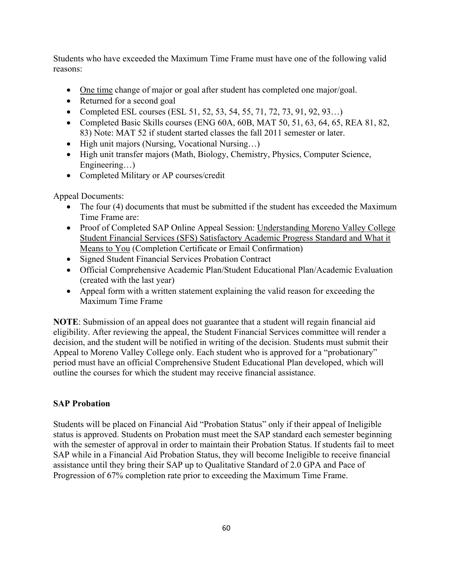Students who have exceeded the Maximum Time Frame must have one of the following valid reasons:

- One time change of major or goal after student has completed one major/goal.
- Returned for a second goal
- Completed ESL courses (ESL 51, 52, 53, 54, 55, 71, 72, 73, 91, 92, 93...)
- Completed Basic Skills courses (ENG 60A, 60B, MAT 50, 51, 63, 64, 65, REA 81, 82, 83) Note: MAT 52 if student started classes the fall 2011 semester or later.
- High unit majors (Nursing, Vocational Nursing...)
- High unit transfer majors (Math, Biology, Chemistry, Physics, Computer Science, Engineering...)
- Completed Military or AP courses/credit

Appeal Documents:

- The four (4) documents that must be submitted if the student has exceeded the Maximum Time Frame are:
- Proof of Completed SAP Online Appeal Session: Understanding Moreno Valley College Student Financial Services (SFS) Satisfactory Academic Progress Standard and What it Means to You (Completion Certificate or Email Confirmation)
- Signed Student Financial Services Probation Contract
- Official Comprehensive Academic Plan/Student Educational Plan/Academic Evaluation (created with the last year)
- Appeal form with a written statement explaining the valid reason for exceeding the Maximum Time Frame

**NOTE**: Submission of an appeal does not guarantee that a student will regain financial aid eligibility. After reviewing the appeal, the Student Financial Services committee will render a decision, and the student will be notified in writing of the decision. Students must submit their Appeal to Moreno Valley College only. Each student who is approved for a "probationary" period must have an official Comprehensive Student Educational Plan developed, which will outline the courses for which the student may receive financial assistance.

## **SAP Probation**

Students will be placed on Financial Aid "Probation Status" only if their appeal of Ineligible status is approved. Students on Probation must meet the SAP standard each semester beginning with the semester of approval in order to maintain their Probation Status. If students fail to meet SAP while in a Financial Aid Probation Status, they will become Ineligible to receive financial assistance until they bring their SAP up to Qualitative Standard of 2.0 GPA and Pace of Progression of 67% completion rate prior to exceeding the Maximum Time Frame.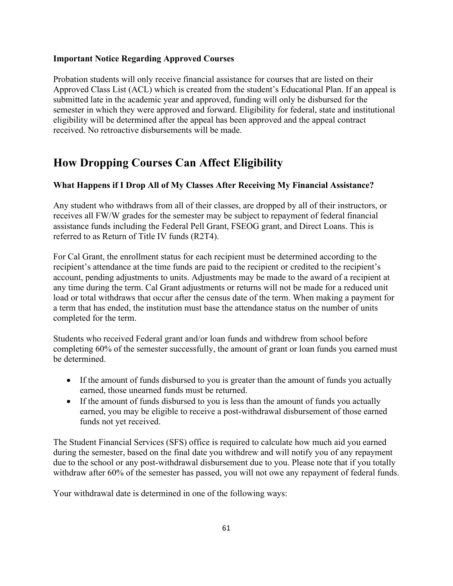#### **Important Notice Regarding Approved Courses**

Probation students will only receive financial assistance for courses that are listed on their Approved Class List (ACL) which is created from the student's Educational Plan. If an appeal is submitted late in the academic year and approved, funding will only be disbursed for the semester in which they were approved and forward. Eligibility for federal, state and institutional eligibility will be determined after the appeal has been approved and the appeal contract received. No retroactive disbursements will be made.

# **How Dropping Courses Can Affect Eligibility**

## **What Happens if I Drop All of My Classes After Receiving My Financial Assistance?**

Any student who withdraws from all of their classes, are dropped by all of their instructors, or receives all FW/W grades for the semester may be subject to repayment of federal financial assistance funds including the Federal Pell Grant, FSEOG grant, and Direct Loans. This is referred to as Return of Title IV funds (R2T4).

For Cal Grant, the enrollment status for each recipient must be determined according to the recipient's attendance at the time funds are paid to the recipient or credited to the recipient's account, pending adjustments to units. Adjustments may be made to the award of a recipient at any time during the term. Cal Grant adjustments or returns will not be made for a reduced unit load or total withdraws that occur after the census date of the term. When making a payment for a term that has ended, the institution must base the attendance status on the number of units completed for the term.

Students who received Federal grant and/or loan funds and withdrew from school before completing 60% of the semester successfully, the amount of grant or loan funds you earned must be determined.

- If the amount of funds disbursed to you is greater than the amount of funds you actually earned, those unearned funds must be returned.
- If the amount of funds disbursed to you is less than the amount of funds you actually earned, you may be eligible to receive a post-withdrawal disbursement of those earned funds not yet received.

The Student Financial Services (SFS) office is required to calculate how much aid you earned during the semester, based on the final date you withdrew and will notify you of any repayment due to the school or any post-withdrawal disbursement due to you. Please note that if you totally withdraw after 60% of the semester has passed, you will not owe any repayment of federal funds.

Your withdrawal date is determined in one of the following ways: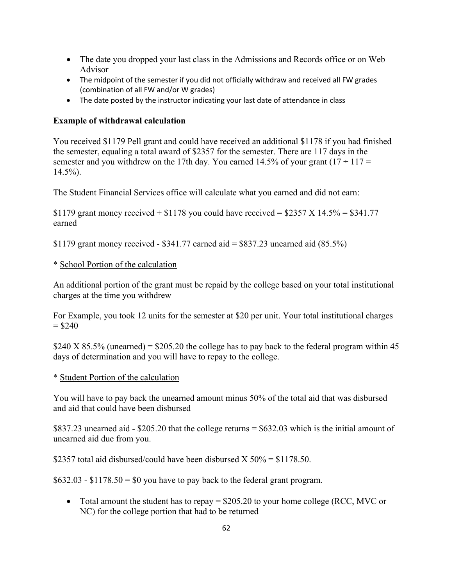- The date you dropped your last class in the Admissions and Records office or on Web Advisor
- The midpoint of the semester if you did not officially withdraw and received all FW grades (combination of all FW and/or W grades)
- The date posted by the instructor indicating your last date of attendance in class

### **Example of withdrawal calculation**

You received \$1179 Pell grant and could have received an additional \$1178 if you had finished the semester, equaling a total award of \$2357 for the semester. There are 117 days in the semester and you withdrew on the 17th day. You earned 14.5% of your grant  $(17 \div 117 =$ 14.5%).

The Student Financial Services office will calculate what you earned and did not earn:

\$1179 grant money received  $+$  \$1178 you could have received  $=$  \$2357 X 14.5%  $=$  \$341.77 earned

\$1179 grant money received - \$341.77 earned aid  $=$  \$837.23 unearned aid (85.5%)

### \* School Portion of the calculation

An additional portion of the grant must be repaid by the college based on your total institutional charges at the time you withdrew

For Example, you took 12 units for the semester at \$20 per unit. Your total institutional charges  $= $240$ 

\$240 X 85.5% (unearned) =  $$205.20$  the college has to pay back to the federal program within 45 days of determination and you will have to repay to the college.

### \* Student Portion of the calculation

You will have to pay back the unearned amount minus 50% of the total aid that was disbursed and aid that could have been disbursed

\$837.23 unearned aid - \$205.20 that the college returns = \$632.03 which is the initial amount of unearned aid due from you.

\$2357 total aid disbursed/could have been disbursed  $X$  50% = \$1178.50.

 $$632.03 - $1178.50 = $0$  you have to pay back to the federal grant program.

• Total amount the student has to repay = \$205.20 to your home college (RCC, MVC or NC) for the college portion that had to be returned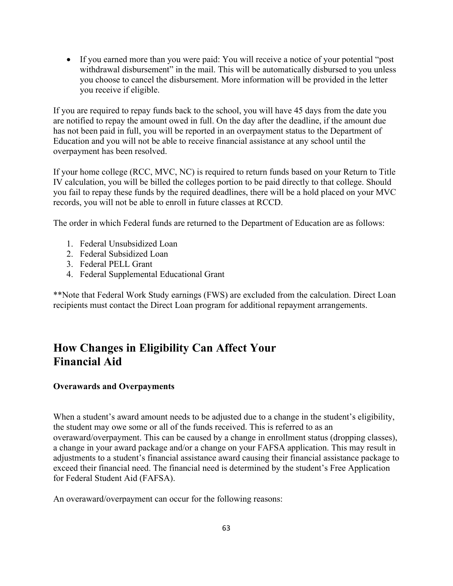• If you earned more than you were paid: You will receive a notice of your potential "post" withdrawal disbursement" in the mail. This will be automatically disbursed to you unless you choose to cancel the disbursement. More information will be provided in the letter you receive if eligible.

If you are required to repay funds back to the school, you will have 45 days from the date you are notified to repay the amount owed in full. On the day after the deadline, if the amount due has not been paid in full, you will be reported in an overpayment status to the Department of Education and you will not be able to receive financial assistance at any school until the overpayment has been resolved.

If your home college (RCC, MVC, NC) is required to return funds based on your Return to Title IV calculation, you will be billed the colleges portion to be paid directly to that college. Should you fail to repay these funds by the required deadlines, there will be a hold placed on your MVC records, you will not be able to enroll in future classes at RCCD.

The order in which Federal funds are returned to the Department of Education are as follows:

- 1. Federal Unsubsidized Loan
- 2. Federal Subsidized Loan
- 3. Federal PELL Grant
- 4. Federal Supplemental Educational Grant

\*\*Note that Federal Work Study earnings (FWS) are excluded from the calculation. Direct Loan recipients must contact the Direct Loan program for additional repayment arrangements.

# **How Changes in Eligibility Can Affect Your Financial Aid**

#### **Overawards and Overpayments**

When a student's award amount needs to be adjusted due to a change in the student's eligibility, the student may owe some or all of the funds received. This is referred to as an overaward/overpayment. This can be caused by a change in enrollment status (dropping classes), a change in your award package and/or a change on your FAFSA application. This may result in adjustments to a student's financial assistance award causing their financial assistance package to exceed their financial need. The financial need is determined by the student's Free Application for Federal Student Aid (FAFSA).

An overaward/overpayment can occur for the following reasons: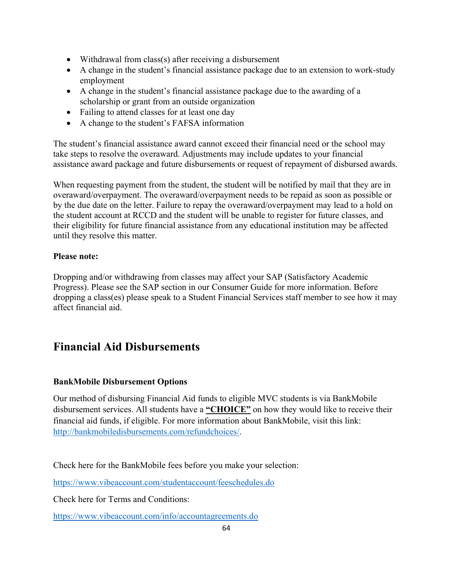- Withdrawal from class(s) after receiving a disbursement
- A change in the student's financial assistance package due to an extension to work-study employment
- A change in the student's financial assistance package due to the awarding of a scholarship or grant from an outside organization
- Failing to attend classes for at least one day
- A change to the student's FAFSA information

The student's financial assistance award cannot exceed their financial need or the school may take steps to resolve the overaward. Adjustments may include updates to your financial assistance award package and future disbursements or request of repayment of disbursed awards.

When requesting payment from the student, the student will be notified by mail that they are in overaward/overpayment. The overaward/overpayment needs to be repaid as soon as possible or by the due date on the letter. Failure to repay the overaward/overpayment may lead to a hold on the student account at RCCD and the student will be unable to register for future classes, and their eligibility for future financial assistance from any educational institution may be affected until they resolve this matter.

### **Please note:**

Dropping and/or withdrawing from classes may affect your SAP (Satisfactory Academic Progress). Please see the SAP section in our Consumer Guide for more information. Before dropping a class(es) please speak to a Student Financial Services staff member to see how it may affect financial aid.

# **Financial Aid Disbursements**

### **BankMobile Disbursement Options**

Our method of disbursing Financial Aid funds to eligible MVC students is via BankMobile disbursement services. All students have a **"CHOICE"** on how they would like to receive their financial aid funds, if eligible. For more information about BankMobile, visit this link: [http://bankmobiledisbursements.com/refundchoices/.](http://bankmobiledisbursements.com/refundchoices/)

Check here for the BankMobile fees before you make your selection:

<https://www.vibeaccount.com/studentaccount/feeschedules.do>

Check here for Terms and Conditions:

<https://www.vibeaccount.com/info/accountagreements.do>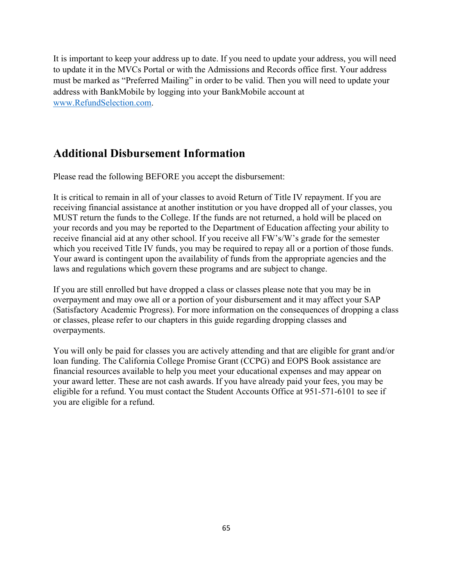It is important to keep your address up to date. If you need to update your address, you will need to update it in the MVCs Portal or with the Admissions and Records office first. Your address must be marked as "Preferred Mailing" in order to be valid. Then you will need to update your address with BankMobile by logging into your BankMobile account at [www.RefundSelection.com.](http://www.refundselection.com/)

## **Additional Disbursement Information**

Please read the following BEFORE you accept the disbursement:

It is critical to remain in all of your classes to avoid Return of Title IV repayment. If you are receiving financial assistance at another institution or you have dropped all of your classes, you MUST return the funds to the College. If the funds are not returned, a hold will be placed on your records and you may be reported to the Department of Education affecting your ability to receive financial aid at any other school. If you receive all FW's/W's grade for the semester which you received Title IV funds, you may be required to repay all or a portion of those funds. Your award is contingent upon the availability of funds from the appropriate agencies and the laws and regulations which govern these programs and are subject to change.

If you are still enrolled but have dropped a class or classes please note that you may be in overpayment and may owe all or a portion of your disbursement and it may affect your SAP (Satisfactory Academic Progress). For more information on the consequences of dropping a class or classes, please refer to our chapters in this guide regarding dropping classes and overpayments.

You will only be paid for classes you are actively attending and that are eligible for grant and/or loan funding. The California College Promise Grant (CCPG) and EOPS Book assistance are financial resources available to help you meet your educational expenses and may appear on your award letter. These are not cash awards. If you have already paid your fees, you may be eligible for a refund. You must contact the Student Accounts Office at 951-571-6101 to see if you are eligible for a refund.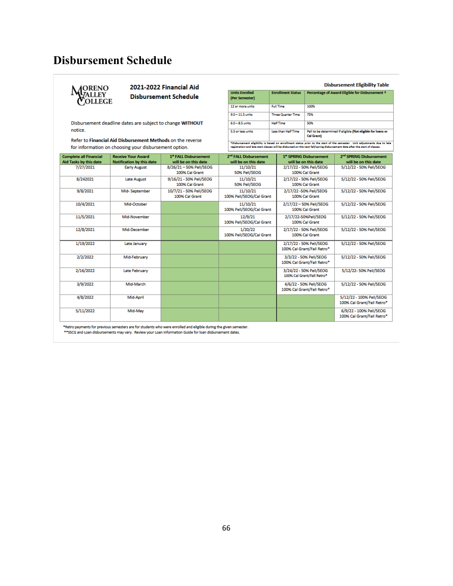# **Disbursement Schedule**



#### 2021-2022 Financial Aid **Disbursement Schedule**

Disbursement deadline dates are subject to change WITHOUT notice.

Refer to Financial Aid Disbursement Methods on the reverse for information on choosing your disbursement option.

|                                         |                           | <b>Disbursement Eligibility Table</b>                                             |  |  |
|-----------------------------------------|---------------------------|-----------------------------------------------------------------------------------|--|--|
| <b>Units Enrolled</b><br>(Per Semester) | <b>Enrollment Status</b>  | Percentage of Award Eligible for Disbursement +                                   |  |  |
| 12 or more units                        | <b>Full Time</b>          | 100%                                                                              |  |  |
| $9.0 - 11.5$ units                      | <b>Three Quarter Time</b> | 75%                                                                               |  |  |
| $6.0 - 8.5$ units                       | <b>Half Time</b>          | 50%                                                                               |  |  |
| 5.5 or less units                       | Less than Half Time       | Pell to be determined if eligible (Not eligible for loans or<br><b>Cal Grant)</b> |  |  |

fOisbursement eligibility is besed on enrollment status prior to the start of the semester. Unit edjustments due to lete<br>registration and lete start classes will be disbursed on the next fall/spring disbursement date efter

| 7/27/2021<br>8/26/21-50% Pell/SEOG<br>11/10/21<br>2/17/22 - 50% Pell/SEOG<br>5/12/22 - 50% Pell/SEOG<br><b>Early August</b><br>50% Pell/SEOG<br>100% Cal Grant<br>100% Cal Grant<br>5/12/22 - 50% Pell/SEOG<br>9/16/21 - 50% Pell/SEOG<br>8/242021<br>11/10/21<br>2/17/22 - 50% Pell/SEOG<br><b>Late August</b><br>50% Pell/SEOG<br>100% Cal Grant<br>100% Cal Grant<br>9/8/2021<br>5/12/22 - 50% Pell/SEOG<br>Mid-September<br>10/7/21 - 50% Pell/SEOG<br>11/10/21<br>2/17/22 -50% Pell/SEOG<br>100% Pell/SEOG/Cal Grant<br>100% Cal Grant<br>100% Cal Grant | <b>Complete all Financial</b> | <b>Receive Your Award</b>        | <sup>1st</sup> FALL Disbursement | 2 <sup>nd</sup> FALL Disbursement | 1 <sup>st</sup> SPRING Disbursement | 2 <sup>nd</sup> SPRING Disbursement |
|---------------------------------------------------------------------------------------------------------------------------------------------------------------------------------------------------------------------------------------------------------------------------------------------------------------------------------------------------------------------------------------------------------------------------------------------------------------------------------------------------------------------------------------------------------------|-------------------------------|----------------------------------|----------------------------------|-----------------------------------|-------------------------------------|-------------------------------------|
|                                                                                                                                                                                                                                                                                                                                                                                                                                                                                                                                                               | Aid Tasks by this date        | <b>Notification by this date</b> | will be on this date             | will be on this date              | will be on this date                | will be on this date                |
|                                                                                                                                                                                                                                                                                                                                                                                                                                                                                                                                                               |                               |                                  |                                  |                                   |                                     |                                     |
|                                                                                                                                                                                                                                                                                                                                                                                                                                                                                                                                                               |                               |                                  |                                  |                                   |                                     |                                     |
|                                                                                                                                                                                                                                                                                                                                                                                                                                                                                                                                                               |                               |                                  |                                  |                                   |                                     |                                     |
|                                                                                                                                                                                                                                                                                                                                                                                                                                                                                                                                                               |                               |                                  |                                  |                                   |                                     |                                     |
|                                                                                                                                                                                                                                                                                                                                                                                                                                                                                                                                                               |                               |                                  |                                  |                                   |                                     |                                     |
|                                                                                                                                                                                                                                                                                                                                                                                                                                                                                                                                                               |                               |                                  |                                  |                                   |                                     |                                     |
| 10/4/2021<br>11/10/21<br>2/17/22 - 50% Pell/SEOG<br>5/12/22 - 50% Pell/SEOG<br>Mid-October                                                                                                                                                                                                                                                                                                                                                                                                                                                                    |                               |                                  |                                  |                                   |                                     |                                     |
| 100% Pell/SEOG/Cal Grant<br>100% Cal Grant                                                                                                                                                                                                                                                                                                                                                                                                                                                                                                                    |                               |                                  |                                  |                                   |                                     |                                     |
| 11/5/2021<br>12/9/21<br>5/12/22 - 50% Pell/SEOG<br>Mid-November<br>2/17/22-50%Pell/SEOG                                                                                                                                                                                                                                                                                                                                                                                                                                                                       |                               |                                  |                                  |                                   |                                     |                                     |
| 100% Pell/SEOG/Cal Grant<br>100% Cal Grant                                                                                                                                                                                                                                                                                                                                                                                                                                                                                                                    |                               |                                  |                                  |                                   |                                     |                                     |
| 12/8/2021<br>5/12/22 - 50% Pell/SEOG<br>Mid-December<br>1/20/22<br>2/17/22 - 50% Pell/SEOG                                                                                                                                                                                                                                                                                                                                                                                                                                                                    |                               |                                  |                                  |                                   |                                     |                                     |
| 100% Pell/SEOG/Cal Grant<br>100% Cal Grant                                                                                                                                                                                                                                                                                                                                                                                                                                                                                                                    |                               |                                  |                                  |                                   |                                     |                                     |
| 1/19/2022<br>2/17/22 - 50% Pell/SEOG<br>5/12/22 - 50% Pell/SEOG<br>Late January                                                                                                                                                                                                                                                                                                                                                                                                                                                                               |                               |                                  |                                  |                                   |                                     |                                     |
| 100% Cal Grant/Fall Retro*                                                                                                                                                                                                                                                                                                                                                                                                                                                                                                                                    |                               |                                  |                                  |                                   |                                     |                                     |
| 2/2/2022<br>3/3/22 - 50% Pell/SEOG<br>5/12/22 - 50% Pell/SEOG<br>Mid-February                                                                                                                                                                                                                                                                                                                                                                                                                                                                                 |                               |                                  |                                  |                                   |                                     |                                     |
| 100% Cal Grant/Fall Retro*                                                                                                                                                                                                                                                                                                                                                                                                                                                                                                                                    |                               |                                  |                                  |                                   |                                     |                                     |
| 2/16/2022<br>3/24/22 - 50% Pell/SEOG<br>5/12/22-50% Pell/SEOG<br>Late February                                                                                                                                                                                                                                                                                                                                                                                                                                                                                |                               |                                  |                                  |                                   |                                     |                                     |
| 100% Cal Grant/Fall Retro*                                                                                                                                                                                                                                                                                                                                                                                                                                                                                                                                    |                               |                                  |                                  |                                   |                                     |                                     |
| 3/9/2022<br>4/6/22 - 50% Pell/SEOG<br>5/12/22 - 50% Pell/SEOG<br>Mid-March                                                                                                                                                                                                                                                                                                                                                                                                                                                                                    |                               |                                  |                                  |                                   |                                     |                                     |
| 100% Cal Grant/Fall Retro*                                                                                                                                                                                                                                                                                                                                                                                                                                                                                                                                    |                               |                                  |                                  |                                   |                                     |                                     |
| 4/8/2022<br>5/12/22 - 100% Pell/SEOG<br>Mid-April                                                                                                                                                                                                                                                                                                                                                                                                                                                                                                             |                               |                                  |                                  |                                   |                                     |                                     |
| 100% Cal Grant/Fall Retro*                                                                                                                                                                                                                                                                                                                                                                                                                                                                                                                                    |                               |                                  |                                  |                                   |                                     |                                     |
| 5/11/2022<br>6/9/22 - 100% Pell/SEOG<br>Mid-May                                                                                                                                                                                                                                                                                                                                                                                                                                                                                                               |                               |                                  |                                  |                                   |                                     |                                     |
| 100% Cal Grant/Fall Retro*                                                                                                                                                                                                                                                                                                                                                                                                                                                                                                                                    |                               |                                  |                                  |                                   |                                     |                                     |

\*Retro payments for previous semesters are for students who were enrolled and eligible during the given semester.

\*\* SSCG and Loan disbursements may vary. Review your Loan Information Guide for loan disbursement dates.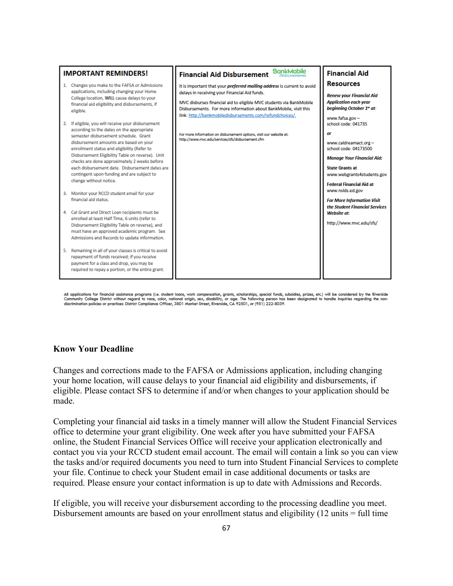

All applications for financial assistance programs (i.e. student loans, work compensation, grants, scholarships, special funds, subsidies, prizes, etc.) will be considered by the Riverside<br>Community College District withou discrimination policies or practices. District Compliance Officer, 3801 Market Street, Riverside, CA 92501, or (951) 222-8039.

#### **Know Your Deadline**

Changes and corrections made to the FAFSA or Admissions application, including changing your home location, will cause delays to your financial aid eligibility and disbursements, if eligible. Please contact SFS to determine if and/or when changes to your application should be made.

Completing your financial aid tasks in a timely manner will allow the Student Financial Services office to determine your grant eligibility. One week after you have submitted your FAFSA online, the Student Financial Services Office will receive your application electronically and contact you via your RCCD student email account. The email will contain a link so you can view the tasks and/or required documents you need to turn into Student Financial Services to complete your file. Continue to check your Student email in case additional documents or tasks are required. Please ensure your contact information is up to date with Admissions and Records.

If eligible, you will receive your disbursement according to the processing deadline you meet. Disbursement amounts are based on your enrollment status and eligibility (12 units = full time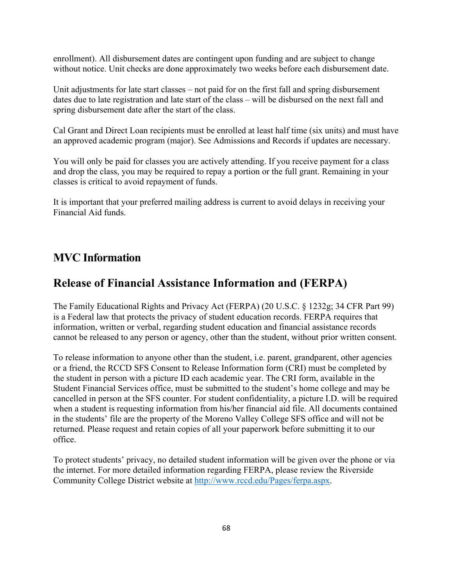enrollment). All disbursement dates are contingent upon funding and are subject to change without notice. Unit checks are done approximately two weeks before each disbursement date.

Unit adjustments for late start classes – not paid for on the first fall and spring disbursement dates due to late registration and late start of the class – will be disbursed on the next fall and spring disbursement date after the start of the class.

Cal Grant and Direct Loan recipients must be enrolled at least half time (six units) and must have an approved academic program (major). See Admissions and Records if updates are necessary.

You will only be paid for classes you are actively attending. If you receive payment for a class and drop the class, you may be required to repay a portion or the full grant. Remaining in your classes is critical to avoid repayment of funds.

It is important that your preferred mailing address is current to avoid delays in receiving your Financial Aid funds.

## **MVC Information**

## **Release of Financial Assistance Information and (FERPA)**

The Family Educational Rights and Privacy Act (FERPA) (20 U.S.C. § 1232g; 34 CFR Part 99) is a Federal law that protects the privacy of student education records. FERPA requires that information, written or verbal, regarding student education and financial assistance records cannot be released to any person or agency, other than the student, without prior written consent.

To release information to anyone other than the student, i.e. parent, grandparent, other agencies or a friend, the RCCD SFS Consent to Release Information form (CRI) must be completed by the student in person with a picture ID each academic year. The CRI form, available in the Student Financial Services office, must be submitted to the student's home college and may be cancelled in person at the SFS counter. For student confidentiality, a picture I.D. will be required when a student is requesting information from his/her financial aid file. All documents contained in the students' file are the property of the Moreno Valley College SFS office and will not be returned. Please request and retain copies of all your paperwork before submitting it to our office.

To protect students' privacy, no detailed student information will be given over the phone or via the internet. For more detailed information regarding FERPA, please review the Riverside Community College District website at [http://www.rccd.edu/Pages/ferpa.aspx.](http://www.rccd.edu/Pages/ferpa.aspx)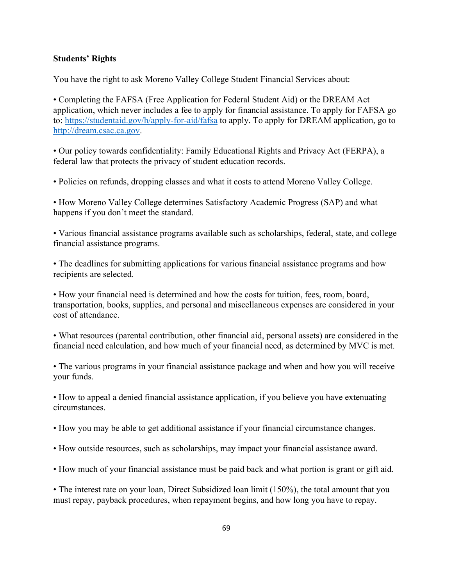#### **Students' Rights**

You have the right to ask Moreno Valley College Student Financial Services about:

• Completing the FAFSA (Free Application for Federal Student Aid) or the DREAM Act application, which never includes a fee to apply for financial assistance. To apply for FAFSA go to:<https://studentaid.gov/h/apply-for-aid/fafsa> to apply. To apply for DREAM application, go to [http://dream.csac.ca.gov.](http://dream.csac.ca.gov/)

• Our policy towards confidentiality: Family Educational Rights and Privacy Act (FERPA), a federal law that protects the privacy of student education records.

• Policies on refunds, dropping classes and what it costs to attend Moreno Valley College.

• How Moreno Valley College determines Satisfactory Academic Progress (SAP) and what happens if you don't meet the standard.

• Various financial assistance programs available such as scholarships, federal, state, and college financial assistance programs.

• The deadlines for submitting applications for various financial assistance programs and how recipients are selected.

• How your financial need is determined and how the costs for tuition, fees, room, board, transportation, books, supplies, and personal and miscellaneous expenses are considered in your cost of attendance.

• What resources (parental contribution, other financial aid, personal assets) are considered in the financial need calculation, and how much of your financial need, as determined by MVC is met.

• The various programs in your financial assistance package and when and how you will receive your funds.

• How to appeal a denied financial assistance application, if you believe you have extenuating circumstances.

• How you may be able to get additional assistance if your financial circumstance changes.

• How outside resources, such as scholarships, may impact your financial assistance award.

• How much of your financial assistance must be paid back and what portion is grant or gift aid.

• The interest rate on your loan, Direct Subsidized loan limit (150%), the total amount that you must repay, payback procedures, when repayment begins, and how long you have to repay.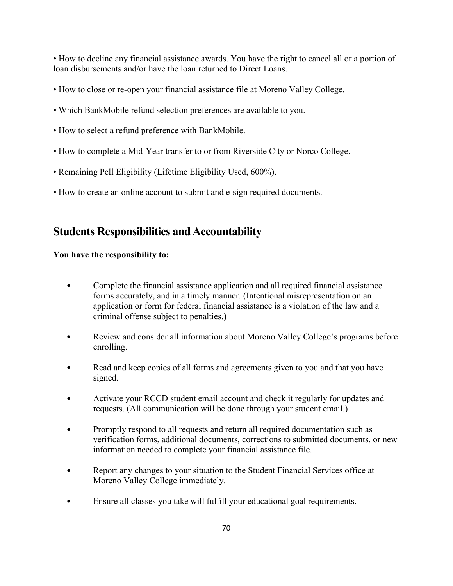• How to decline any financial assistance awards. You have the right to cancel all or a portion of loan disbursements and/or have the loan returned to Direct Loans.

- How to close or re-open your financial assistance file at Moreno Valley College.
- Which BankMobile refund selection preferences are available to you.
- How to select a refund preference with BankMobile.
- How to complete a Mid-Year transfer to or from Riverside City or Norco College.
- Remaining Pell Eligibility (Lifetime Eligibility Used, 600%).
- How to create an online account to submit and e-sign required documents.

## **Students Responsibilities and Accountability**

### **You have the responsibility to:**

- Complete the financial assistance application and all required financial assistance forms accurately, and in a timely manner. (Intentional misrepresentation on an application or form for federal financial assistance is a violation of the law and a criminal offense subject to penalties.)
- Review and consider all information about Moreno Valley College's programs before enrolling.
- Read and keep copies of all forms and agreements given to you and that you have signed.
- Activate your RCCD student email account and check it regularly for updates and requests. (All communication will be done through your student email.)
- Promptly respond to all requests and return all required documentation such as verification forms, additional documents, corrections to submitted documents, or new information needed to complete your financial assistance file.
- Report any changes to your situation to the Student Financial Services office at Moreno Valley College immediately.
- Ensure all classes you take will fulfill your educational goal requirements.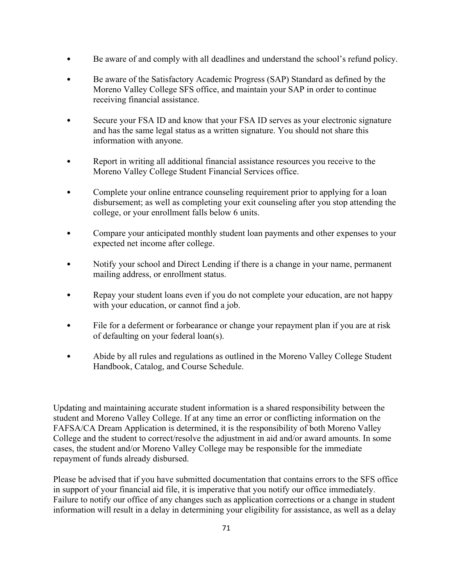- Be aware of and comply with all deadlines and understand the school's refund policy.
- Be aware of the Satisfactory Academic Progress (SAP) Standard as defined by the Moreno Valley College SFS office, and maintain your SAP in order to continue receiving financial assistance.
- Secure your FSA ID and know that your FSA ID serves as your electronic signature and has the same legal status as a written signature. You should not share this information with anyone.
- Report in writing all additional financial assistance resources you receive to the Moreno Valley College Student Financial Services office.
- Complete your online entrance counseling requirement prior to applying for a loan disbursement; as well as completing your exit counseling after you stop attending the college, or your enrollment falls below 6 units.
- Compare your anticipated monthly student loan payments and other expenses to your expected net income after college.
- Notify your school and Direct Lending if there is a change in your name, permanent mailing address, or enrollment status.
- Repay your student loans even if you do not complete your education, are not happy with your education, or cannot find a job.
- File for a deferment or forbearance or change your repayment plan if you are at risk of defaulting on your federal loan(s).
- Abide by all rules and regulations as outlined in the Moreno Valley College Student Handbook, Catalog, and Course Schedule.

Updating and maintaining accurate student information is a shared responsibility between the student and Moreno Valley College. If at any time an error or conflicting information on the FAFSA/CA Dream Application is determined, it is the responsibility of both Moreno Valley College and the student to correct/resolve the adjustment in aid and/or award amounts. In some cases, the student and/or Moreno Valley College may be responsible for the immediate repayment of funds already disbursed.

Please be advised that if you have submitted documentation that contains errors to the SFS office in support of your financial aid file, it is imperative that you notify our office immediately. Failure to notify our office of any changes such as application corrections or a change in student information will result in a delay in determining your eligibility for assistance, as well as a delay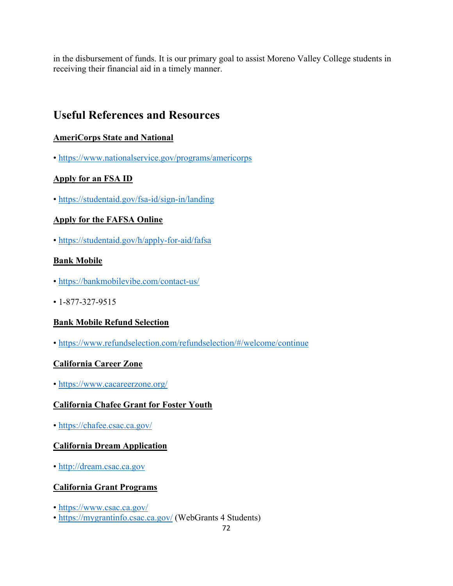in the disbursement of funds. It is our primary goal to assist Moreno Valley College students in receiving their financial aid in a timely manner.

## **Useful References and Resources**

#### **AmeriCorps State and National**

•<https://www.nationalservice.gov/programs/americorps>

#### **Apply for an FSA ID**

•<https://studentaid.gov/fsa-id/sign-in/landing>

#### **Apply for the FAFSA Online**

•<https://studentaid.gov/h/apply-for-aid/fafsa>

#### **Bank Mobile**

- •<https://bankmobilevibe.com/contact-us/>
- 1-877-327-9515

#### **Bank Mobile Refund Selection**

•<https://www.refundselection.com/refundselection/#/welcome/continue>

#### **California Career Zone**

•<https://www.cacareerzone.org/>

#### **California Chafee Grant for Foster Youth**

•<https://chafee.csac.ca.gov/>

#### **California Dream Application**

• [http://dream.csac.ca.gov](http://dream.csac.ca.gov/)

#### **California Grant Programs**

- •<https://www.csac.ca.gov/>
- •<https://mygrantinfo.csac.ca.gov/> (WebGrants 4 Students)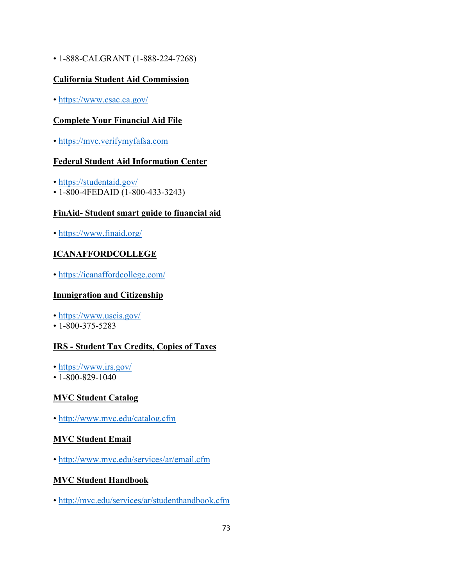• 1-888-CALGRANT (1-888-224-7268)

#### **California Student Aid Commission**

•<https://www.csac.ca.gov/>

#### **Complete Your Financial Aid File**

• [https://mvc.verifymyfafsa.com](https://mvc.verifymyfafsa.com/)

#### **Federal Student Aid Information Center**

- •<https://studentaid.gov/>
- 1-800-4FEDAID (1-800-433-3243)

#### **FinAid- Student smart guide to financial aid**

•<https://www.finaid.org/>

#### **ICANAFFORDCOLLEGE**

•<https://icanaffordcollege.com/>

#### **Immigration and Citizenship**

- •<https://www.uscis.gov/>
- 1-800-375-5283

### **IRS - Student Tax Credits, Copies of Taxes**

- •<https://www.irs.gov/>
- 1-800-829-1040

#### **MVC Student Catalog**

•<http://www.mvc.edu/catalog.cfm>

#### **MVC Student Email**

•<http://www.mvc.edu/services/ar/email.cfm>

#### **MVC Student Handbook**

•<http://mvc.edu/services/ar/studenthandbook.cfm>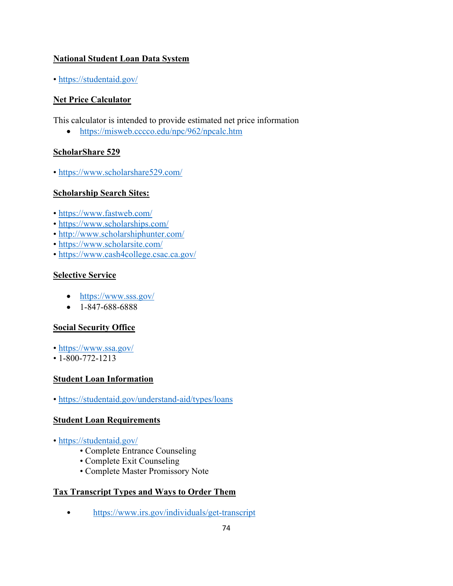#### **National Student Loan Data System**

•<https://studentaid.gov/>

### **Net Price Calculator**

This calculator is intended to provide estimated net price information

• <https://misweb.cccco.edu/npc/962/npcalc.htm>

#### **ScholarShare 529**

•<https://www.scholarshare529.com/>

### **Scholarship Search Sites:**

- •<https://www.fastweb.com/>
- •<https://www.scholarships.com/>
- •<http://www.scholarshiphunter.com/>
- •<https://www.scholarsite.com/>
- •<https://www.cash4college.csac.ca.gov/>

#### **Selective Service**

- https://www.sss.gov/
- $1 847 688 6888$

#### **Social Security Office**

- •<https://www.ssa.gov/>
- 1-800-772-1213

#### **Student Loan Information**

•<https://studentaid.gov/understand-aid/types/loans>

#### **Student Loan Requirements**

- •<https://studentaid.gov/>
	- Complete Entrance Counseling
	- Complete Exit Counseling
	- Complete Master Promissory Note

#### **Tax Transcript Types and Ways to Order Them**

• https://www.irs.gov/individuals/get-transcript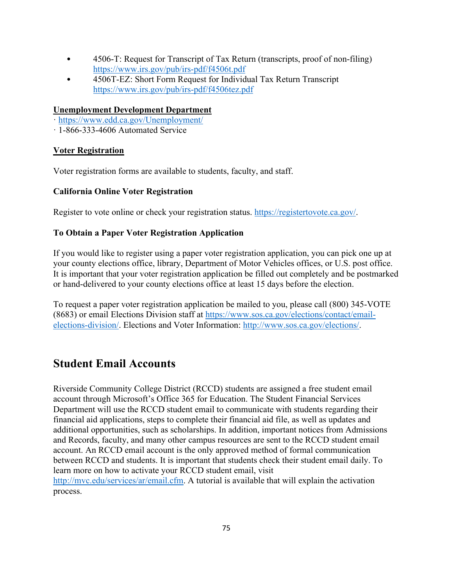- 4506-T: Request for Transcript of Tax Return (transcripts, proof of non-filing) <https://www.irs.gov/pub/irs-pdf/f4506t.pdf>
- 4506T-EZ: Short Form Request for Individual Tax Return Transcript <https://www.irs.gov/pub/irs-pdf/f4506tez.pdf>

#### **Unemployment Development Department**

- ·<https://www.edd.ca.gov/Unemployment/>
- · 1-866-333-4606 Automated Service

#### **[Voter Registration](http://registertovote.ca.gov/)**

Voter registration forms are available to students, faculty, and staff.

#### **California Online Voter Registration**

Register to vote online or check your registration status. [https://registertovote.ca.gov/.](https://registertovote.ca.gov/)

#### **To Obtain a Paper Voter Registration Application**

If you would like to register using a paper voter registration application, you can pick one up at your county elections office, library, Department of Motor Vehicles offices, or U.S. post office. It is important that your voter registration application be filled out completely and be postmarked or hand-delivered to your county elections office at least 15 days before the election.

To request a paper voter registration application be mailed to you, please call (800) 345-VOTE (8683) or email Elections Division staff at [https://www.sos.ca.gov/elections/contact/email](https://www.sos.ca.gov/elections/contact/email-elections-division/)[elections-division/.](https://www.sos.ca.gov/elections/contact/email-elections-division/) Elections and Voter Information: [http://www.sos.ca.gov/elections/.](http://www.sos.ca.gov/elections/)

### **Student Email Accounts**

Riverside Community College District (RCCD) students are assigned a free student email account through Microsoft's Office 365 for Education. The Student Financial Services Department will use the RCCD student email to communicate with students regarding their financial aid applications, steps to complete their financial aid file, as well as updates and additional opportunities, such as scholarships. In addition, important notices from Admissions and Records, faculty, and many other campus resources are sent to the RCCD student email account. An RCCD email account is the only approved method of formal communication between RCCD and students. It is important that students check their student email daily. To learn more on how to activate your RCCD student email, visit

[http://mvc.edu/services/ar/email.cfm.](http://mvc.edu/services/ar/email.cfm) A tutorial is available that will explain the activation process.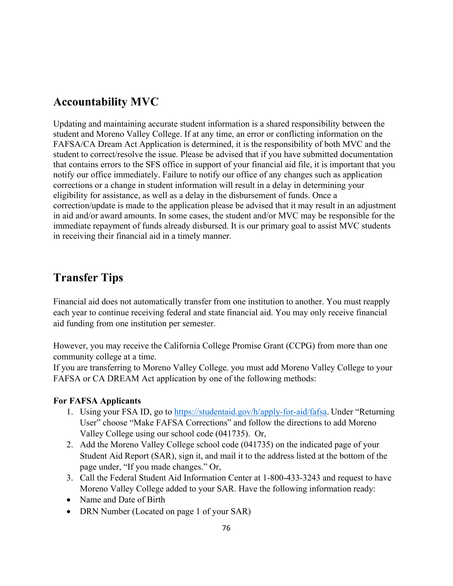### **Accountability MVC**

Updating and maintaining accurate student information is a shared responsibility between the student and Moreno Valley College. If at any time, an error or conflicting information on the FAFSA/CA Dream Act Application is determined, it is the responsibility of both MVC and the student to correct/resolve the issue. Please be advised that if you have submitted documentation that contains errors to the SFS office in support of your financial aid file, it is important that you notify our office immediately. Failure to notify our office of any changes such as application corrections or a change in student information will result in a delay in determining your eligibility for assistance, as well as a delay in the disbursement of funds. Once a correction/update is made to the application please be advised that it may result in an adjustment in aid and/or award amounts. In some cases, the student and/or MVC may be responsible for the immediate repayment of funds already disbursed. It is our primary goal to assist MVC students in receiving their financial aid in a timely manner.

### **Transfer Tips**

Financial aid does not automatically transfer from one institution to another. You must reapply each year to continue receiving federal and state financial aid. You may only receive financial aid funding from one institution per semester.

However, you may receive the California College Promise Grant (CCPG) from more than one community college at a time.

If you are transferring to Moreno Valley College*,* you must add Moreno Valley College to your FAFSA or CA DREAM Act application by one of the following methods:

#### **For FAFSA Applicants**

- 1. Using your FSA ID, go to [https://studentaid.gov/h/apply-for-aid/fafsa.](https://studentaid.gov/h/apply-for-aid/fafsa) Under "Returning User" choose "Make FAFSA Corrections" and follow the directions to add Moreno Valley College using our school code (041735). Or,
- 2. Add the Moreno Valley College school code (041735) on the indicated page of your Student Aid Report (SAR), sign it, and mail it to the address listed at the bottom of the page under, "If you made changes." Or,
- 3. Call the Federal Student Aid Information Center at 1-800-433-3243 and request to have Moreno Valley College added to your SAR. Have the following information ready:
- Name and Date of Birth
- DRN Number (Located on page 1 of your SAR)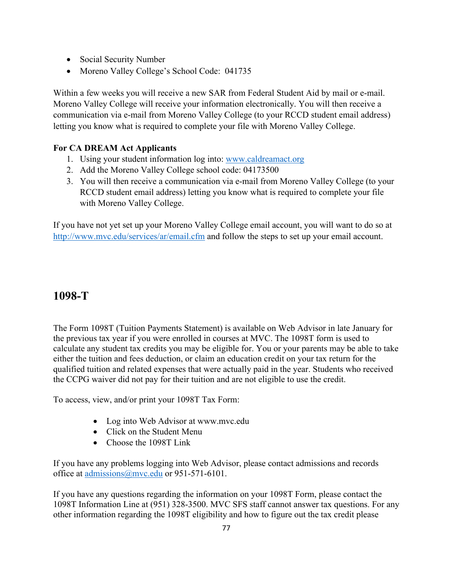- Social Security Number
- Moreno Valley College's School Code: 041735

Within a few weeks you will receive a new SAR from Federal Student Aid by mail or e-mail. Moreno Valley College will receive your information electronically. You will then receive a communication via e-mail from Moreno Valley College (to your RCCD student email address) letting you know what is required to complete your file with Moreno Valley College.

#### **For CA DREAM Act Applicants**

- 1. Using your student information log into: [www.caldreamact.org](http://www.caldreamact.org/)
- 2. Add the Moreno Valley College school code: 04173500
- 3. You will then receive a communication via e-mail from Moreno Valley College (to your RCCD student email address) letting you know what is required to complete your file with Moreno Valley College.

If you have not yet set up your Moreno Valley College email account, you will want to do so at <http://www.mvc.edu/services/ar/email.cfm> and follow the steps to set up your email account.

### **1098-T**

The Form 1098T (Tuition Payments Statement) is available on Web Advisor in late January for the previous tax year if you were enrolled in courses at MVC. The 1098T form is used to calculate any student tax credits you may be eligible for. You or your parents may be able to take either the tuition and fees deduction, or claim an education credit on your tax return for the qualified tuition and related expenses that were actually paid in the year. Students who received the CCPG waiver did not pay for their tuition and are not eligible to use the credit.

To access, view, and/or print your 1098T Tax Form:

- Log into Web Advisor at www.mvc.edu
- Click on the Student Menu
- Choose the 1098T Link

If you have any problems logging into Web Advisor, please contact admissions and records office at [admissions@mvc.edu](mailto:admissions@mvc.edu) or 951-571-6101.

If you have any questions regarding the information on your 1098T Form, please contact the 1098T Information Line at (951) 328-3500. MVC SFS staff cannot answer tax questions. For any other information regarding the 1098T eligibility and how to figure out the tax credit please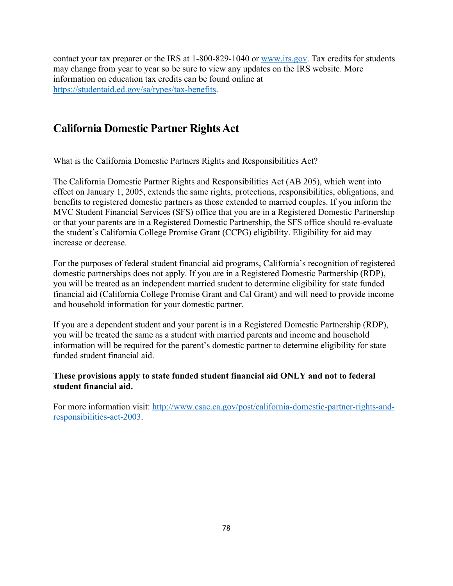contact your tax preparer or the IRS at 1-800-829-1040 or [www.irs.gov.](http://www.irs.gov/) Tax credits for students may change from year to year so be sure to view any updates on the IRS website. More information on education tax credits can be found online at [https://studentaid.ed.gov/sa/types/tax-benefits.](https://studentaid.ed.gov/sa/types/tax-benefits)

### **California Domestic Partner Rights Act**

What is the California Domestic Partners Rights and Responsibilities Act?

The California Domestic Partner Rights and Responsibilities Act (AB 205), which went into effect on January 1, 2005, extends the same rights, protections, responsibilities, obligations, and benefits to registered domestic partners as those extended to married couples. If you inform the MVC Student Financial Services (SFS) office that you are in a Registered Domestic Partnership or that your parents are in a Registered Domestic Partnership, the SFS office should re-evaluate the student's California College Promise Grant (CCPG) eligibility. Eligibility for aid may increase or decrease.

For the purposes of federal student financial aid programs, California's recognition of registered domestic partnerships does not apply. If you are in a Registered Domestic Partnership (RDP), you will be treated as an independent married student to determine eligibility for state funded financial aid (California College Promise Grant and Cal Grant) and will need to provide income and household information for your domestic partner.

If you are a dependent student and your parent is in a Registered Domestic Partnership (RDP), you will be treated the same as a student with married parents and income and household information will be required for the parent's domestic partner to determine eligibility for state funded student financial aid.

#### **These provisions apply to state funded student financial aid ONLY and not to federal student financial aid.**

For more information visit: [http://www.csac.ca.gov/post/california-domestic-partner-rights-and](http://www.csac.ca.gov/post/california-domestic-partner-rights-and-responsibilities-act-2003)[responsibilities-act-2003.](http://www.csac.ca.gov/post/california-domestic-partner-rights-and-responsibilities-act-2003)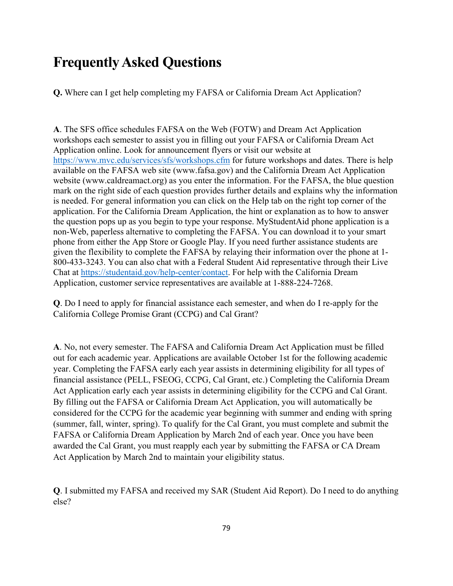# **Frequently Asked Questions**

**Q.** Where can I get help completing my FAFSA or California Dream Act Application?

**A**. The SFS office schedules FAFSA on the Web (FOTW) and Dream Act Application workshops each semester to assist you in filling out your FAFSA or California Dream Act Application online. Look for announcement flyers or visit our website at <https://www.mvc.edu/services/sfs/workshops.cfm> for future workshops and dates. There is help available on the FAFSA web site (www.fafsa.gov) and the California Dream Act Application website (www.caldreamact.org) as you enter the information. For the FAFSA, the blue question mark on the right side of each question provides further details and explains why the information is needed. For general information you can click on the Help tab on the right top corner of the application. For the California Dream Application, the hint or explanation as to how to answer the question pops up as you begin to type your response. MyStudentAid phone application is a non-Web, paperless alternative to completing the FAFSA. You can download it to your smart phone from either the App Store or Google Play. If you need further assistance students are given the flexibility to complete the FAFSA by relaying their information over the phone at 1- 800-433-3243. You can also chat with a Federal Student Aid representative through their Live Chat at [https://studentaid.gov/help-center/contact.](https://studentaid.gov/help-center/contact) For help with the California Dream Application, customer service representatives are available at 1-888-224-7268.

**Q**. Do I need to apply for financial assistance each semester, and when do I re-apply for the California College Promise Grant (CCPG) and Cal Grant?

**A**. No, not every semester. The FAFSA and California Dream Act Application must be filled out for each academic year. Applications are available October 1st for the following academic year. Completing the FAFSA early each year assists in determining eligibility for all types of financial assistance (PELL, FSEOG, CCPG, Cal Grant, etc.) Completing the California Dream Act Application early each year assists in determining eligibility for the CCPG and Cal Grant. By filling out the FAFSA or California Dream Act Application, you will automatically be considered for the CCPG for the academic year beginning with summer and ending with spring (summer, fall, winter, spring). To qualify for the Cal Grant, you must complete and submit the FAFSA or California Dream Application by March 2nd of each year. Once you have been awarded the Cal Grant, you must reapply each year by submitting the FAFSA or CA Dream Act Application by March 2nd to maintain your eligibility status.

**Q**. I submitted my FAFSA and received my SAR (Student Aid Report). Do I need to do anything else?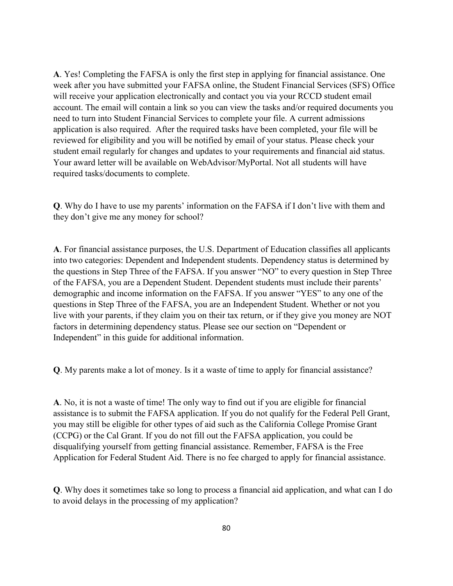**A**. Yes! Completing the FAFSA is only the first step in applying for financial assistance. One week after you have submitted your FAFSA online, the Student Financial Services (SFS) Office will receive your application electronically and contact you via your RCCD student email account. The email will contain a link so you can view the tasks and/or required documents you need to turn into Student Financial Services to complete your file. A current admissions application is also required. After the required tasks have been completed, your file will be reviewed for eligibility and you will be notified by email of your status. Please check your student email regularly for changes and updates to your requirements and financial aid status. Your award letter will be available on WebAdvisor/MyPortal. Not all students will have required tasks/documents to complete.

**Q**. Why do I have to use my parents' information on the FAFSA if I don't live with them and they don't give me any money for school?

**A**. For financial assistance purposes, the U.S. Department of Education classifies all applicants into two categories: Dependent and Independent students. Dependency status is determined by the questions in Step Three of the FAFSA. If you answer "NO" to every question in Step Three of the FAFSA, you are a Dependent Student. Dependent students must include their parents' demographic and income information on the FAFSA. If you answer "YES" to any one of the questions in Step Three of the FAFSA, you are an Independent Student. Whether or not you live with your parents, if they claim you on their tax return, or if they give you money are NOT factors in determining dependency status. Please see our section on "Dependent or Independent" in this guide for additional information.

**Q**. My parents make a lot of money. Is it a waste of time to apply for financial assistance?

**A**. No, it is not a waste of time! The only way to find out if you are eligible for financial assistance is to submit the FAFSA application. If you do not qualify for the Federal Pell Grant, you may still be eligible for other types of aid such as the California College Promise Grant (CCPG) or the Cal Grant. If you do not fill out the FAFSA application, you could be disqualifying yourself from getting financial assistance. Remember, FAFSA is the Free Application for Federal Student Aid. There is no fee charged to apply for financial assistance.

**Q**. Why does it sometimes take so long to process a financial aid application, and what can I do to avoid delays in the processing of my application?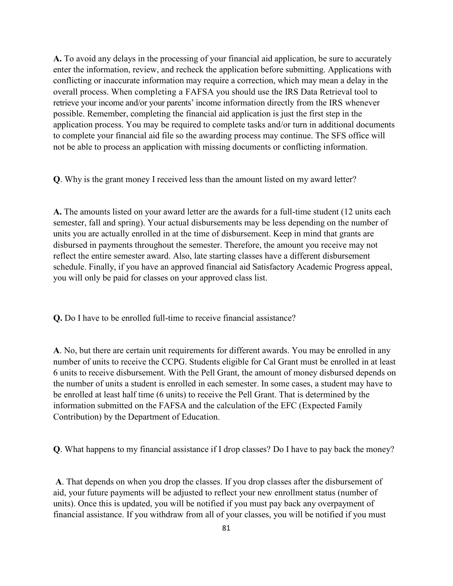**A.** To avoid any delays in the processing of your financial aid application, be sure to accurately enter the information, review, and recheck the application before submitting. Applications with conflicting or inaccurate information may require a correction, which may mean a delay in the overall process. When completing a FAFSA you should use the IRS Data Retrieval tool to retrieve your income and/or your parents' income information directly from the IRS whenever possible. Remember, completing the financial aid application is just the first step in the application process. You may be required to complete tasks and/or turn in additional documents to complete your financial aid file so the awarding process may continue. The SFS office will not be able to process an application with missing documents or conflicting information.

**Q**. Why is the grant money I received less than the amount listed on my award letter?

**A.** The amounts listed on your award letter are the awards for a full-time student (12 units each semester, fall and spring). Your actual disbursements may be less depending on the number of units you are actually enrolled in at the time of disbursement. Keep in mind that grants are disbursed in payments throughout the semester. Therefore, the amount you receive may not reflect the entire semester award. Also, late starting classes have a different disbursement schedule. Finally, if you have an approved financial aid Satisfactory Academic Progress appeal, you will only be paid for classes on your approved class list.

**Q.** Do I have to be enrolled full-time to receive financial assistance?

**A**. No, but there are certain unit requirements for different awards. You may be enrolled in any number of units to receive the CCPG. Students eligible for Cal Grant must be enrolled in at least 6 units to receive disbursement. With the Pell Grant, the amount of money disbursed depends on the number of units a student is enrolled in each semester. In some cases, a student may have to be enrolled at least half time (6 units) to receive the Pell Grant. That is determined by the information submitted on the FAFSA and the calculation of the EFC (Expected Family Contribution) by the Department of Education.

**Q**. What happens to my financial assistance if I drop classes? Do I have to pay back the money?

**A**. That depends on when you drop the classes. If you drop classes after the disbursement of aid, your future payments will be adjusted to reflect your new enrollment status (number of units). Once this is updated, you will be notified if you must pay back any overpayment of financial assistance. If you withdraw from all of your classes, you will be notified if you must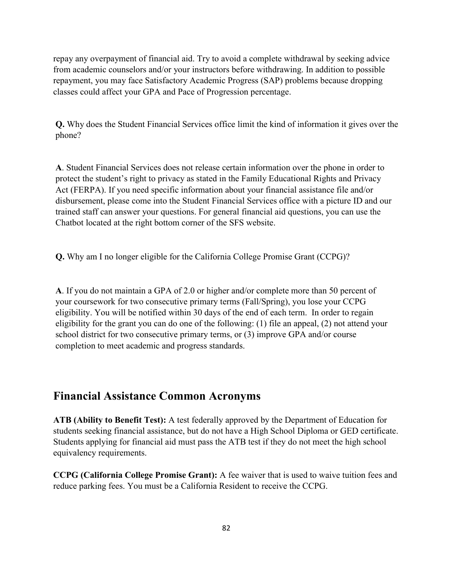repay any overpayment of financial aid. Try to avoid a complete withdrawal by seeking advice from academic counselors and/or your instructors before withdrawing. In addition to possible repayment, you may face Satisfactory Academic Progress (SAP) problems because dropping classes could affect your GPA and Pace of Progression percentage.

**Q.** Why does the Student Financial Services office limit the kind of information it gives over the phone?

**A**. Student Financial Services does not release certain information over the phone in order to protect the student's right to privacy as stated in the Family Educational Rights and Privacy Act (FERPA). If you need specific information about your financial assistance file and/or disbursement, please come into the Student Financial Services office with a picture ID and our trained staff can answer your questions. For general financial aid questions, you can use the Chatbot located at the right bottom corner of the SFS website.

**Q.** Why am I no longer eligible for the California College Promise Grant (CCPG)?

**A**. If you do not maintain a GPA of 2.0 or higher and/or complete more than 50 percent of your coursework for two consecutive primary terms (Fall/Spring), you lose your CCPG eligibility. You will be notified within 30 days of the end of each term. In order to regain eligibility for the grant you can do one of the following: (1) file an appeal, (2) not attend your school district for two consecutive primary terms, or (3) improve GPA and/or course completion to meet academic and progress standards.

### **Financial Assistance Common Acronyms**

**ATB (Ability to Benefit Test):** A test federally approved by the Department of Education for students seeking financial assistance, but do not have a High School Diploma or GED certificate. Students applying for financial aid must pass the ATB test if they do not meet the high school equivalency requirements.

**CCPG (California College Promise Grant):** A fee waiver that is used to waive tuition fees and reduce parking fees. You must be a California Resident to receive the CCPG.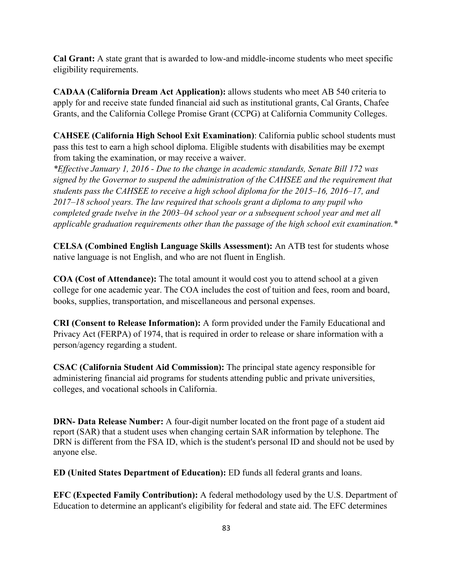**Cal Grant:** A state grant that is awarded to low-and middle-income students who meet specific eligibility requirements.

**CADAA (California Dream Act Application):** allows students who meet AB 540 criteria to apply for and receive state funded financial aid such as institutional grants, Cal Grants, Chafee Grants, and the California College Promise Grant (CCPG) at California Community Colleges.

**CAHSEE (California High School Exit Examination)**: California public school students must pass this test to earn a high school diploma. Eligible students with disabilities may be exempt from taking the examination, or may receive a waiver.

*\*Effective January 1, 2016 - Due to the change in academic standards, Senate Bill 172 was signed by the Governor to suspend the administration of the CAHSEE and the requirement that students pass the CAHSEE to receive a high school diploma for the 2015–16, 2016–17, and 2017–18 school years. The law required that schools grant a diploma to any pupil who completed grade twelve in the 2003–04 school year or a subsequent school year and met all applicable graduation requirements other than the passage of the high school exit examination.\** 

**CELSA (Combined English Language Skills Assessment):** An ATB test for students whose native language is not English, and who are not fluent in English.

**COA (Cost of Attendance):** The total amount it would cost you to attend school at a given college for one academic year. The COA includes the cost of tuition and fees, room and board, books, supplies, transportation, and miscellaneous and personal expenses.

**CRI (Consent to Release Information):** A form provided under the Family Educational and Privacy Act (FERPA) of 1974, that is required in order to release or share information with a person/agency regarding a student.

**CSAC (California Student Aid Commission):** The principal state agency responsible for administering financial aid programs for students attending public and private universities, colleges, and vocational schools in California.

**DRN- Data Release Number:** A four-digit number located on the front page of a student aid report (SAR) that a student uses when changing certain SAR information by telephone. The DRN is different from the FSA ID, which is the student's personal ID and should not be used by anyone else.

**ED (United States Department of Education):** ED funds all federal grants and loans.

**EFC (Expected Family Contribution):** A federal methodology used by the U.S. Department of Education to determine an applicant's eligibility for federal and state aid. The EFC determines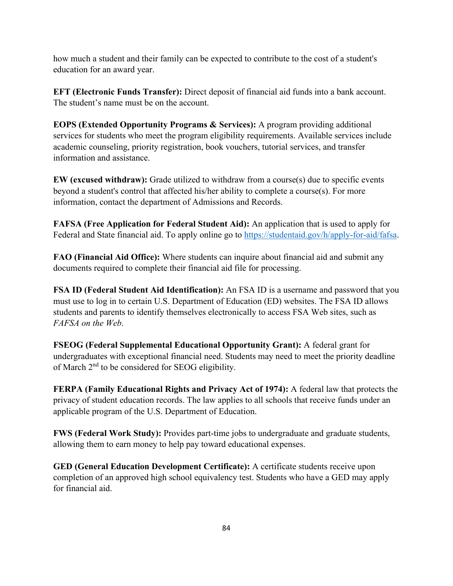how much a student and their family can be expected to contribute to the cost of a student's education for an award year.

**EFT (Electronic Funds Transfer):** Direct deposit of financial aid funds into a bank account. The student's name must be on the account.

**EOPS (Extended Opportunity Programs & Services):** A program providing additional services for students who meet the program eligibility requirements. Available services include academic counseling, priority registration, book vouchers, tutorial services, and transfer information and assistance.

**EW (excused withdraw):** Grade utilized to withdraw from a course(s) due to specific events beyond a student's control that affected his/her ability to complete a course(s). For more information, contact the department of Admissions and Records.

**FAFSA (Free Application for Federal Student Aid):** An application that is used to apply for Federal and State financial aid. To apply online go to [https://studentaid.gov/h/apply-for-aid/fafsa.](https://studentaid.gov/h/apply-for-aid/fafsa)

**FAO (Financial Aid Office):** Where students can inquire about financial aid and submit any documents required to complete their financial aid file for processing.

**FSA ID (Federal Student Aid Identification):** An FSA ID is a username and password that you must use to log in to certain U.S. Department of Education (ED) websites. The FSA ID allows students and parents to identify themselves electronically to access FSA Web sites, such as *FAFSA on the Web*.

**FSEOG (Federal Supplemental Educational Opportunity Grant):** A federal grant for undergraduates with exceptional financial need. Students may need to meet the priority deadline of March 2nd to be considered for SEOG eligibility.

**FERPA (Family Educational Rights and Privacy Act of 1974):** A federal law that protects the privacy of student education records. The law applies to all schools that receive funds under an applicable program of the U.S. Department of Education.

**FWS (Federal Work Study):** Provides part-time jobs to undergraduate and graduate students, allowing them to earn money to help pay toward educational expenses.

**GED (General Education Development Certificate):** A certificate students receive upon completion of an approved high school equivalency test. Students who have a GED may apply for financial aid.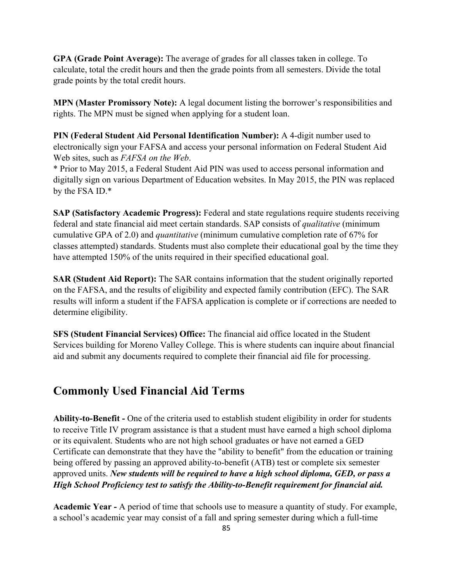**GPA (Grade Point Average):** The average of grades for all classes taken in college. To calculate, total the credit hours and then the grade points from all semesters. Divide the total grade points by the total credit hours.

**MPN (Master Promissory Note):** A legal document listing the borrower's responsibilities and rights. The MPN must be signed when applying for a student loan.

**PIN (Federal Student Aid Personal Identification Number):** A 4-digit number used to electronically sign your FAFSA and access your personal information on Federal Student Aid Web sites, such as *FAFSA on the Web*.

\* Prior to May 2015, a Federal Student Aid PIN was used to access personal information and digitally sign on various Department of Education websites. In May 2015, the PIN was replaced by the FSA ID.\*

**SAP (Satisfactory Academic Progress):** Federal and state regulations require students receiving federal and state financial aid meet certain standards. SAP consists of *qualitative* (minimum cumulative GPA of 2.0) and *quantitative* (minimum cumulative completion rate of 67% for classes attempted) standards. Students must also complete their educational goal by the time they have attempted 150% of the units required in their specified educational goal.

**SAR (Student Aid Report):** The SAR contains information that the student originally reported on the FAFSA, and the results of eligibility and expected family contribution (EFC). The SAR results will inform a student if the FAFSA application is complete or if corrections are needed to determine eligibility.

**SFS (Student Financial Services) Office:** The financial aid office located in the Student Services building for Moreno Valley College. This is where students can inquire about financial aid and submit any documents required to complete their financial aid file for processing.

### **Commonly Used Financial Aid Terms**

**Ability-to-Benefit -** One of the criteria used to establish student eligibility in order for students to receive Title IV program assistance is that a student must have earned a high school diploma or its equivalent. Students who are not high school graduates or have not earned a GED Certificate can demonstrate that they have the "ability to benefit" from the education or training being offered by passing an approved ability-to-benefit (ATB) test or complete six semester approved units. *New students will be required to have a high school diploma, GED, or pass a High School Proficiency test to satisfy the Ability-to-Benefit requirement for financial aid.*

**Academic Year -** A period of time that schools use to measure a quantity of study. For example, a school's academic year may consist of a fall and spring semester during which a full-time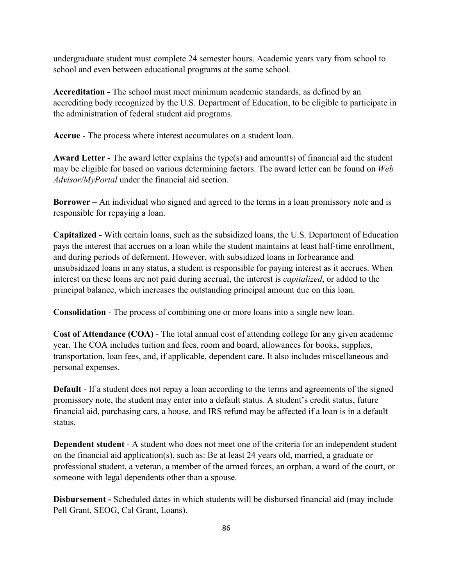undergraduate student must complete 24 semester hours. Academic years vary from school to school and even between educational programs at the same school.

**Accreditation -** The school must meet minimum academic standards, as defined by an accrediting body recognized by the U.S. Department of Education, to be eligible to participate in the administration of federal student aid programs.

**Accrue** - The process where interest accumulates on a student loan.

**Award Letter -** The award letter explains the type(s) and amount(s) of financial aid the student may be eligible for based on various determining factors. The award letter can be found on *Web Advisor/MyPortal* under the financial aid section.

**Borrower** – An individual who signed and agreed to the terms in a loan promissory note and is responsible for repaying a loan.

**Capitalized -** With certain loans, such as the subsidized loans, the U.S. Department of Education pays the interest that accrues on a loan while the student maintains at least half-time enrollment, and during periods of deferment. However, with subsidized loans in forbearance and unsubsidized loans in any status, a student is responsible for paying interest as it accrues. When interest on these loans are not paid during accrual, the interest is *capitalized*, or added to the principal balance, which increases the outstanding principal amount due on this loan.

**Consolidation** - The process of combining one or more loans into a single new loan.

**Cost of Attendance (COA)** - The total annual cost of attending college for any given academic year. The COA includes tuition and fees, room and board, allowances for books, supplies, transportation, loan fees, and, if applicable, dependent care. It also includes miscellaneous and personal expenses.

**Default** - If a student does not repay a loan according to the terms and agreements of the signed promissory note, the student may enter into a default status. A student's credit status, future financial aid, purchasing cars, a house, and IRS refund may be affected if a loan is in a default status.

**Dependent student** - A student who does not meet one of the criteria for an independent student on the financial aid application(s), such as: Be at least 24 years old, married, a graduate or professional student, a veteran, a member of the armed forces, an orphan, a ward of the court, or someone with legal dependents other than a spouse.

**Disbursement -** Scheduled dates in which students will be disbursed financial aid (may include Pell Grant, SEOG, Cal Grant, Loans).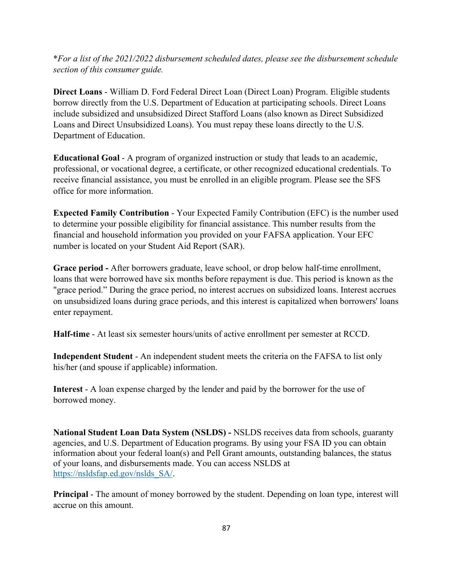\**For a list of the 2021/2022 disbursement scheduled dates, please see the disbursement schedule section of this consumer guide.*

**Direct Loans** - William D. Ford Federal Direct Loan (Direct Loan) Program. Eligible students borrow directly from the U.S. Department of Education at participating schools. Direct Loans include subsidized and unsubsidized Direct Stafford Loans (also known as Direct Subsidized Loans and Direct Unsubsidized Loans). You must repay these loans directly to the U.S. Department of Education.

**Educational Goal** - A program of organized instruction or study that leads to an academic, professional, or vocational degree, a certificate, or other recognized educational credentials. To receive financial assistance, you must be enrolled in an eligible program. Please see the SFS office for more information.

**Expected Family Contribution** - Your Expected Family Contribution (EFC) is the number used to determine your possible eligibility for financial assistance. This number results from the financial and household information you provided on your FAFSA application. Your EFC number is located on your Student Aid Report (SAR).

**Grace period -** After borrowers graduate, leave school, or drop below half-time enrollment, loans that were borrowed have six months before repayment is due. This period is known as the "grace period." During the grace period, no interest accrues on subsidized loans. Interest accrues on unsubsidized loans during grace periods, and this interest is capitalized when borrowers' loans enter repayment.

**Half-time** - At least six semester hours/units of active enrollment per semester at RCCD.

**Independent Student** - An independent student meets the criteria on the FAFSA to list only his/her (and spouse if applicable) information.

**Interest** - A loan expense charged by the lender and paid by the borrower for the use of borrowed money.

**National Student Loan Data System (NSLDS) -** NSLDS receives data from schools, guaranty agencies, and U.S. Department of Education programs. By using your FSA ID you can obtain information about your federal loan(s) and Pell Grant amounts, outstanding balances, the status of your loans, and disbursements made. You can access NSLDS at [https://nsldsfap.ed.gov/nslds\\_SA/.](https://nsldsfap.ed.gov/nslds_SA/)

**Principal** - The amount of money borrowed by the student. Depending on loan type, interest will accrue on this amount.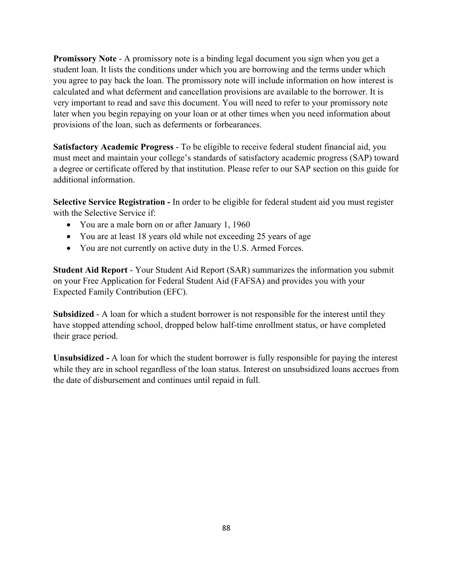**Promissory Note - A promissory note is a binding legal document you sign when you get a** student loan. It lists the conditions under which you are borrowing and the terms under which you agree to pay back the loan. The promissory note will include information on how interest is calculated and what deferment and cancellation provisions are available to the borrower. It is very important to read and save this document. You will need to refer to your promissory note later when you begin repaying on your loan or at other times when you need information about provisions of the loan, such as deferments or forbearances.

**Satisfactory Academic Progress** - To be eligible to receive federal student financial aid, you must meet and maintain your college's standards of satisfactory academic progress (SAP) toward a degree or certificate offered by that institution. Please refer to our SAP section on this guide for additional information.

**Selective Service Registration -** In order to be eligible for federal student aid you must register with the Selective Service if:

- You are a male born on or after January 1, 1960
- You are at least 18 years old while not exceeding 25 years of age
- You are not currently on active duty in the U.S. Armed Forces.

**Student Aid Report** - Your Student Aid Report (SAR) summarizes the information you submit on your Free Application for Federal Student Aid (FAFSA) and provides you with your Expected Family Contribution (EFC).

**Subsidized** - A loan for which a student borrower is not responsible for the interest until they have stopped attending school, dropped below half-time enrollment status, or have completed their grace period.

**Unsubsidized -** A loan for which the student borrower is fully responsible for paying the interest while they are in school regardless of the loan status. Interest on unsubsidized loans accrues from the date of disbursement and continues until repaid in full.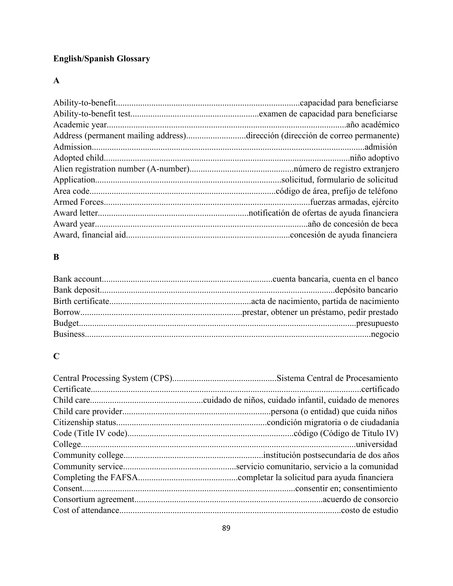# **English/Spanish Glossary**

### **A**

| Address (permanent mailing address)dirección (dirección de correo permanente) |  |
|-------------------------------------------------------------------------------|--|
|                                                                               |  |
|                                                                               |  |
|                                                                               |  |
|                                                                               |  |
|                                                                               |  |
|                                                                               |  |
|                                                                               |  |
|                                                                               |  |
|                                                                               |  |

### **B**

## **C**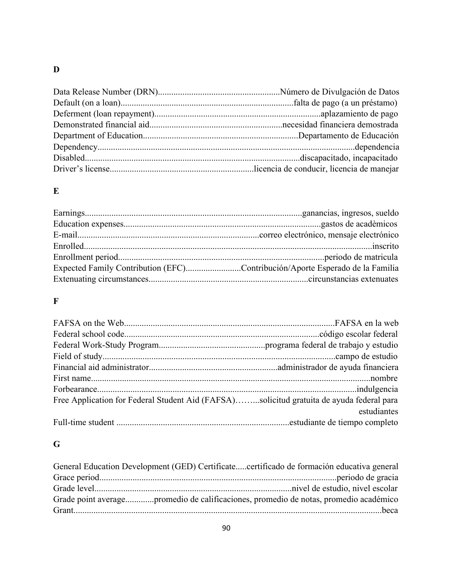## **D**

### **E**

| Expected Family Contribution (EFC)Contribución/Aporte Esperado de la Familia |
|------------------------------------------------------------------------------|
|                                                                              |
|                                                                              |

### **F**

| Free Application for Federal Student Aid (FAFSA)solicitud gratuita de ayuda federal para |             |
|------------------------------------------------------------------------------------------|-------------|
|                                                                                          | estudiantes |
|                                                                                          |             |

# **G**

| General Education Development (GED) Certificatecertificado de formación educativa general |  |
|-------------------------------------------------------------------------------------------|--|
|                                                                                           |  |
|                                                                                           |  |
| Grade point averagepromedio de calificaciones, promedio de notas, promedio académico      |  |
|                                                                                           |  |
|                                                                                           |  |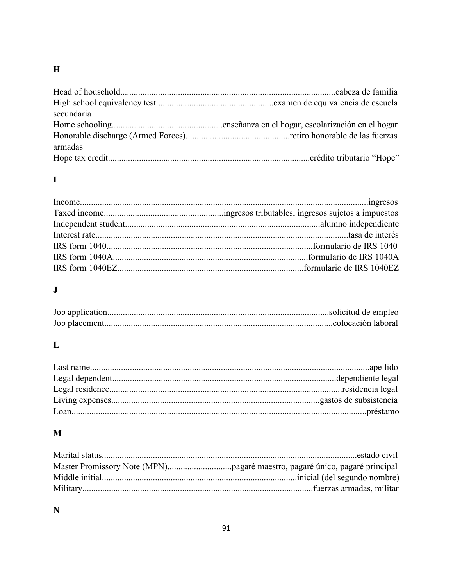## $\overline{\mathbf{H}}$

| secundaria |  |
|------------|--|
|            |  |
|            |  |
| armadas    |  |
|            |  |

# $\mathbf I$

# $\mathbf{J}$

## $\mathbf{L}$

# $\mathbf{M}$

# $\mathbf N$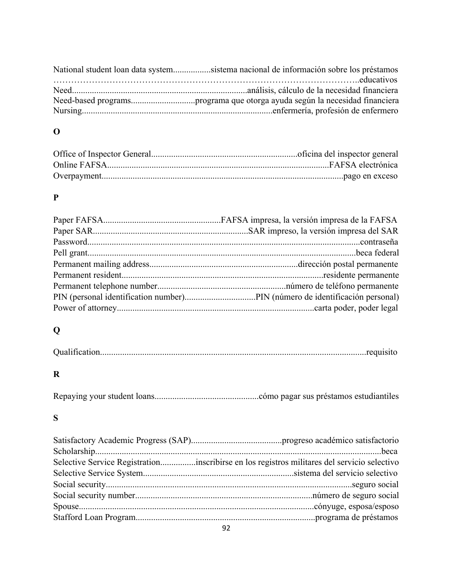| National student loan data systemsistema nacional de información sobre los préstamos |
|--------------------------------------------------------------------------------------|
|                                                                                      |
|                                                                                      |
|                                                                                      |
|                                                                                      |

# **O**

## **P**

# **Q**

# **R**

|--|--|--|

### **S**

| Selective Service Registrationinscribirse en los registros militares del servicio selectivo |  |
|---------------------------------------------------------------------------------------------|--|
|                                                                                             |  |
|                                                                                             |  |
|                                                                                             |  |
|                                                                                             |  |
|                                                                                             |  |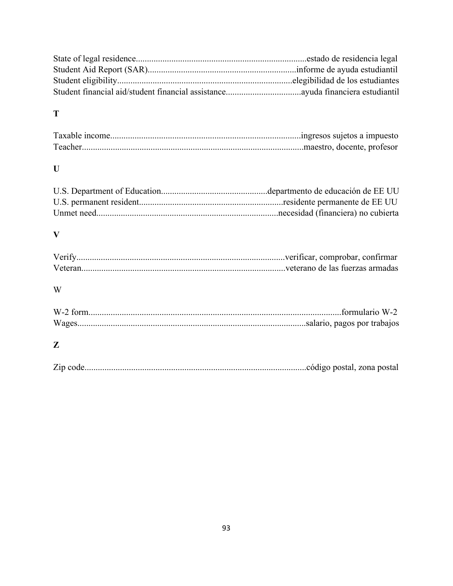## **T**

# **U**

### **V**

## W

## **Z**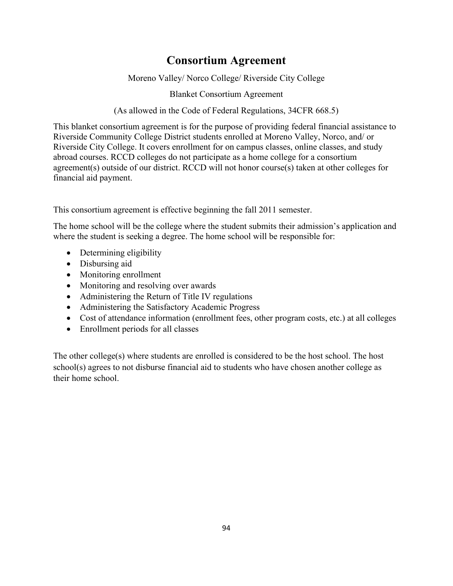## **Consortium Agreement**

Moreno Valley/ Norco College/ Riverside City College

Blanket Consortium Agreement

(As allowed in the Code of Federal Regulations, 34CFR 668.5)

This blanket consortium agreement is for the purpose of providing federal financial assistance to Riverside Community College District students enrolled at Moreno Valley, Norco, and/ or Riverside City College. It covers enrollment for on campus classes, online classes, and study abroad courses. RCCD colleges do not participate as a home college for a consortium agreement(s) outside of our district. RCCD will not honor course(s) taken at other colleges for financial aid payment.

This consortium agreement is effective beginning the fall 2011 semester.

The home school will be the college where the student submits their admission's application and where the student is seeking a degree. The home school will be responsible for:

- Determining eligibility
- Disbursing aid
- Monitoring enrollment
- Monitoring and resolving over awards
- Administering the Return of Title IV regulations
- Administering the Satisfactory Academic Progress
- Cost of attendance information (enrollment fees, other program costs, etc.) at all colleges
- Enrollment periods for all classes

The other college(s) where students are enrolled is considered to be the host school. The host school(s) agrees to not disburse financial aid to students who have chosen another college as their home school.